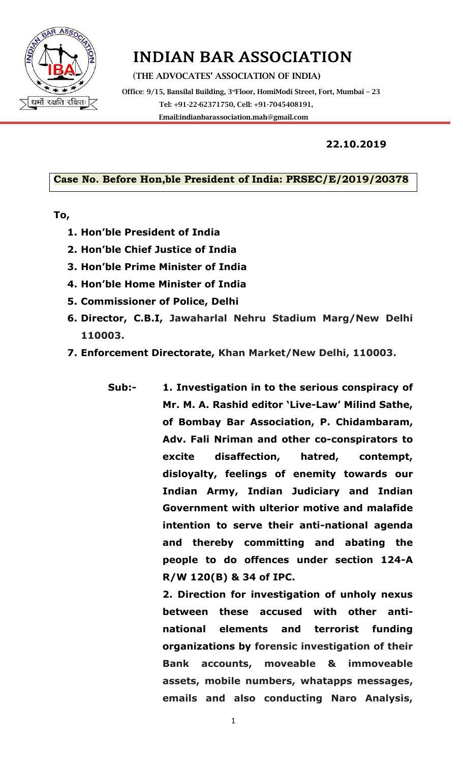

# INDIAN BAR ASSOCIATION

(THE ADVOCATES' ASSOCIATION OF INDIA)

Office: 9/15, Bansilal Building, 3<sup>rd</sup>Floor, HomiModi Street, Fort, Mumbai - 23 Tel: +91-22-62371750, Cell: +91-7045408191, Emai[l:indianbarassociation.mah@gmail.com](mailto:indianbarassociation.mah@gmail.com)

#### **22.10.2019**

#### **Case No. Before Hon,ble President of India: PRSEC/E/2019/20378**

#### **To,**

- **1. Hon'ble President of India**
- **2. Hon'ble Chief Justice of India**
- **3. Hon'ble Prime Minister of India**
- **4. Hon'ble Home Minister of India**
- **5. Commissioner of Police, Delhi**
- **6. Director, C.B.I, Jawaharlal Nehru Stadium Marg/New Delhi 110003.**
- **7. Enforcement Directorate, Khan Market/New Delhi, 110003.**
	- **Sub:- 1. Investigation in to the serious conspiracy of Mr. M. A. Rashid editor 'Live-Law' Milind Sathe, of Bombay Bar Association, P. Chidambaram, Adv. Fali Nriman and other co-conspirators to excite disaffection, hatred, contempt, disloyalty, feelings of enemity towards our Indian Army, Indian Judiciary and Indian Government with ulterior motive and malafide intention to serve their anti-national agenda and thereby committing and abating the people to do offences under section 124-A R/W 120(B) & 34 of IPC.**

**2. Direction for investigation of unholy nexus between these accused with other antinational elements and terrorist funding organizations by forensic investigation of their Bank accounts, moveable & immoveable assets, mobile numbers, whatapps messages, emails and also conducting Naro Analysis,** 

1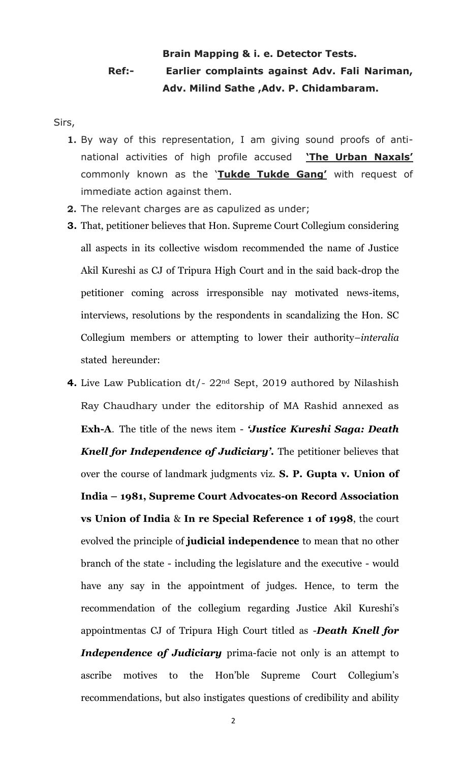### **Brain Mapping & i. e. Detector Tests. Ref:- Earlier complaints against Adv. Fali Nariman, Adv. Milind Sathe ,Adv. P. Chidambaram.**

- Sirs,
	- **1.** By way of this representation, I am giving sound proofs of antinational activities of high profile accused **'The Urban Naxals'** commonly known as the '**Tukde Tukde Gang'** with request of immediate action against them.
	- **2.** The relevant charges are as capulized as under;
	- **3.** That, petitioner believes that Hon. Supreme Court Collegium considering all aspects in its collective wisdom recommended the name of Justice Akil Kureshi as CJ of Tripura High Court and in the said back-drop the petitioner coming across irresponsible nay motivated news-items, interviews, resolutions by the respondents in scandalizing the Hon. SC Collegium members or attempting to lower their authority–*interalia* stated hereunder:
	- **4.** Live Law Publication dt/- 22nd Sept, 2019 authored by Nilashish Ray Chaudhary under the editorship of MA Rashid annexed as **Exh-A**. The title of the news item - *'Justice Kureshi Saga: Death Knell for Independence of Judiciary'.* The petitioner believes that over the course of landmark judgments viz. **S. P. Gupta v. Union of India – 1981, Supreme Court Advocates-on Record Association vs Union of India** & **In re Special Reference 1 of 1998**, the court evolved the principle of **judicial independence** to mean that no other branch of the state - including the legislature and the executive - would have any say in the appointment of judges. Hence, to term the recommendation of the collegium regarding Justice Akil Kureshi's appointmentas CJ of Tripura High Court titled as -*Death Knell for Independence of Judiciary* prima-facie not only is an attempt to ascribe motives to the Hon'ble Supreme Court Collegium's recommendations, but also instigates questions of credibility and ability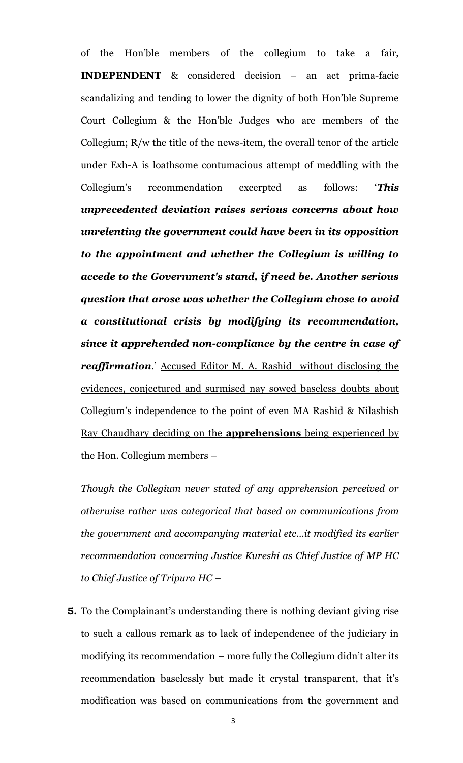of the Hon'ble members of the collegium to take a fair, **INDEPENDENT** & considered decision – an act prima-facie scandalizing and tending to lower the dignity of both Hon'ble Supreme Court Collegium & the Hon'ble Judges who are members of the Collegium; R/w the title of the news-item, the overall tenor of the article under Exh-A is loathsome contumacious attempt of meddling with the Collegium's recommendation excerpted as follows: '*This unprecedented deviation raises serious concerns about how unrelenting the government could have been in its opposition to the appointment and whether the Collegium is willing to accede to the Government's stand, if need be. Another serious question that arose was whether the Collegium chose to avoid a constitutional crisis by modifying its recommendation, since it apprehended non-compliance by the centre in case of reaffirmation*.' Accused Editor M. A. Rashid without disclosing the evidences, conjectured and surmised nay sowed baseless doubts about Collegium's independence to the point of even MA Rashid & Nilashish Ray Chaudhary deciding on the **apprehensions** being experienced by the Hon. Collegium members –

*Though the Collegium never stated of any apprehension perceived or otherwise rather was categorical that based on communications from the government and accompanying material etc…it modified its earlier recommendation concerning Justice Kureshi as Chief Justice of MP HC to Chief Justice of Tripura HC* –

**5.** To the Complainant's understanding there is nothing deviant giving rise to such a callous remark as to lack of independence of the judiciary in modifying its recommendation – more fully the Collegium didn't alter its recommendation baselessly but made it crystal transparent, that it's modification was based on communications from the government and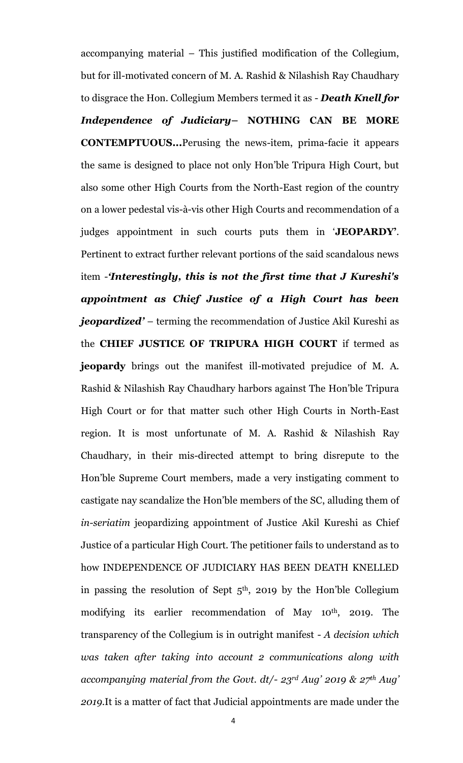accompanying material – This justified modification of the Collegium, but for ill-motivated concern of M. A. Rashid & Nilashish Ray Chaudhary to disgrace the Hon. Collegium Members termed it as - *Death Knell for Independence of Judiciary***– NOTHING CAN BE MORE CONTEMPTUOUS...**Perusing the news-item, prima-facie it appears the same is designed to place not only Hon'ble Tripura High Court, but also some other High Courts from the North-East region of the country on a lower pedestal vis-à-vis other High Courts and recommendation of a judges appointment in such courts puts them in '**JEOPARDY'**. Pertinent to extract further relevant portions of the said scandalous news item -*'Interestingly, this is not the first time that J Kureshi's appointment as Chief Justice of a High Court has been jeopardized'* – terming the recommendation of Justice Akil Kureshi as the **CHIEF JUSTICE OF TRIPURA HIGH COURT** if termed as **jeopardy** brings out the manifest ill-motivated prejudice of M. A. Rashid & Nilashish Ray Chaudhary harbors against The Hon'ble Tripura High Court or for that matter such other High Courts in North-East region. It is most unfortunate of M. A. Rashid & Nilashish Ray Chaudhary, in their mis-directed attempt to bring disrepute to the Hon'ble Supreme Court members, made a very instigating comment to castigate nay scandalize the Hon'ble members of the SC, alluding them of *in-seriatim* jeopardizing appointment of Justice Akil Kureshi as Chief Justice of a particular High Court. The petitioner fails to understand as to how INDEPENDENCE OF JUDICIARY HAS BEEN DEATH KNELLED in passing the resolution of Sept  $5<sup>th</sup>$ , 2019 by the Hon'ble Collegium modifying its earlier recommendation of May 10<sup>th</sup>, 2019. The transparency of the Collegium is in outright manifest - *A decision which was taken after taking into account 2 communications along with accompanying material from the Govt. dt/- 23rd Aug' 2019 & 27th Aug' 2019*.It is a matter of fact that Judicial appointments are made under the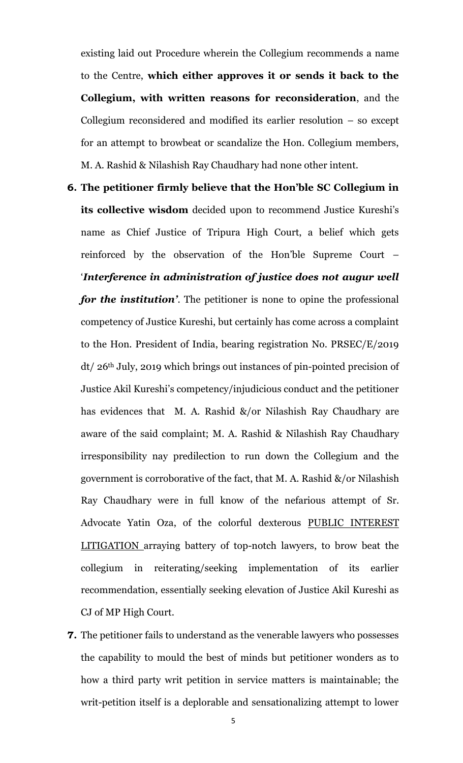existing laid out Procedure wherein the Collegium recommends a name to the Centre, **which either approves it or sends it back to the Collegium, with written reasons for reconsideration**, and the Collegium reconsidered and modified its earlier resolution – so except for an attempt to browbeat or scandalize the Hon. Collegium members, M. A. Rashid & Nilashish Ray Chaudhary had none other intent.

- **6. The petitioner firmly believe that the Hon'ble SC Collegium in its collective wisdom** decided upon to recommend Justice Kureshi's name as Chief Justice of Tripura High Court, a belief which gets reinforced by the observation of the Hon'ble Supreme Court – '*Interference in administration of justice does not augur well for the institution'*. The petitioner is none to opine the professional competency of Justice Kureshi, but certainly has come across a complaint to the Hon. President of India, bearing registration No. PRSEC/E/2019 dt/ 26th July, 2019 which brings out instances of pin-pointed precision of Justice Akil Kureshi's competency/injudicious conduct and the petitioner has evidences that M. A. Rashid &/or Nilashish Ray Chaudhary are aware of the said complaint; M. A. Rashid & Nilashish Ray Chaudhary irresponsibility nay predilection to run down the Collegium and the government is corroborative of the fact, that M. A. Rashid &/or Nilashish Ray Chaudhary were in full know of the nefarious attempt of Sr. Advocate Yatin Oza, of the colorful dexterous PUBLIC INTEREST LITIGATION arraying battery of top-notch lawyers, to brow beat the collegium in reiterating/seeking implementation of its earlier recommendation, essentially seeking elevation of Justice Akil Kureshi as CJ of MP High Court.
- **7.** The petitioner fails to understand as the venerable lawyers who possesses the capability to mould the best of minds but petitioner wonders as to how a third party writ petition in service matters is maintainable; the writ-petition itself is a deplorable and sensationalizing attempt to lower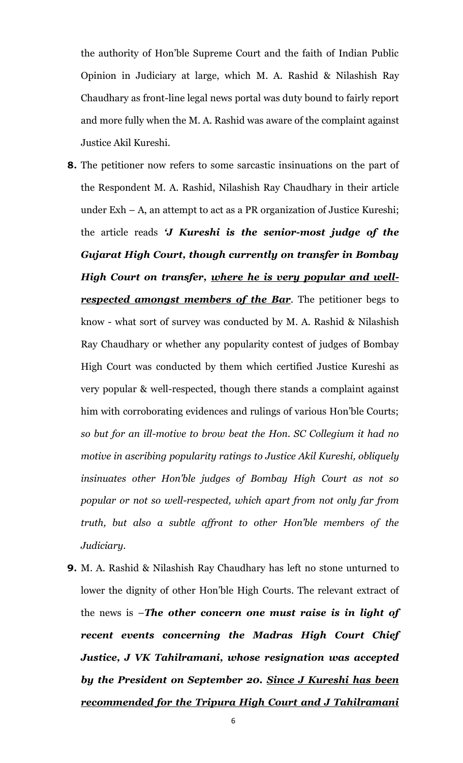the authority of Hon'ble Supreme Court and the faith of Indian Public Opinion in Judiciary at large, which M. A. Rashid & Nilashish Ray Chaudhary as front-line legal news portal was duty bound to fairly report and more fully when the M. A. Rashid was aware of the complaint against Justice Akil Kureshi.

- **8.** The petitioner now refers to some sarcastic insinuations on the part of the Respondent M. A. Rashid, Nilashish Ray Chaudhary in their article under Exh – A, an attempt to act as a PR organization of Justice Kureshi; the article reads *'J Kureshi is the senior-most judge of the Gujarat High Court, though currently on transfer in Bombay High Court on transfer, where he is very popular and well***respected amongst members of the Bar**. The petitioner begs to know - what sort of survey was conducted by M. A. Rashid & Nilashish Ray Chaudhary or whether any popularity contest of judges of Bombay High Court was conducted by them which certified Justice Kureshi as very popular & well-respected, though there stands a complaint against him with corroborating evidences and rulings of various Hon'ble Courts; *so but for an ill-motive to brow beat the Hon. SC Collegium it had no motive in ascribing popularity ratings to Justice Akil Kureshi, obliquely insinuates other Hon'ble judges of Bombay High Court as not so popular or not so well-respected, which apart from not only far from truth, but also a subtle affront to other Hon'ble members of the Judiciary*.
- **9.** M. A. Rashid & Nilashish Ray Chaudhary has left no stone unturned to lower the dignity of other Hon'ble High Courts. The relevant extract of the news is –*The other concern one must raise is in light of recent events concerning the Madras High Court Chief Justice, J VK Tahilramani, whose resignation was accepted by the President on September 20. Since J Kureshi has been recommended for the Tripura High Court and J Tahilramani*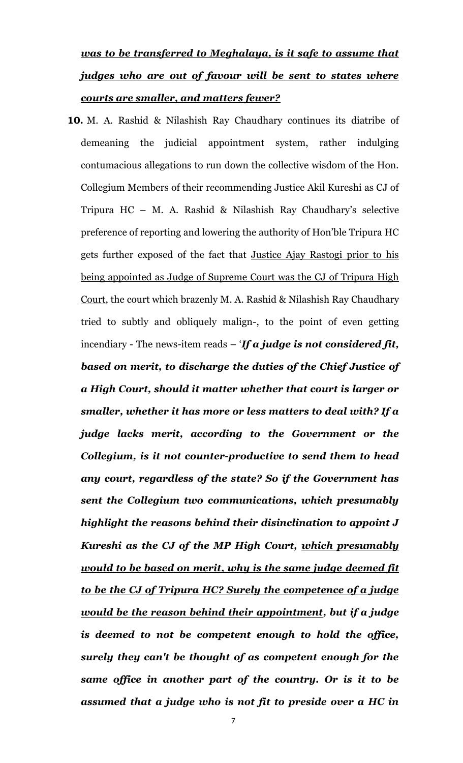# *was to be transferred to Meghalaya, is it safe to assume that judges who are out of favour will be sent to states where courts are smaller, and matters fewer?*

**10.** M. A. Rashid & Nilashish Ray Chaudhary continues its diatribe of demeaning the judicial appointment system, rather indulging contumacious allegations to run down the collective wisdom of the Hon. Collegium Members of their recommending Justice Akil Kureshi as CJ of Tripura HC – M. A. Rashid & Nilashish Ray Chaudhary's selective preference of reporting and lowering the authority of Hon'ble Tripura HC gets further exposed of the fact that Justice Ajay Rastogi prior to his being appointed as Judge of Supreme Court was the CJ of Tripura High Court, the court which brazenly M. A. Rashid & Nilashish Ray Chaudhary tried to subtly and obliquely malign-, to the point of even getting incendiary - The news-item reads – '*If a judge is not considered fit, based on merit, to discharge the duties of the Chief Justice of a High Court, should it matter whether that court is larger or smaller, whether it has more or less matters to deal with? If a judge lacks merit, according to the Government or the Collegium, is it not counter-productive to send them to head any court, regardless of the state? So if the Government has sent the Collegium two communications, which presumably highlight the reasons behind their disinclination to appoint J Kureshi as the CJ of the MP High Court, which presumably would to be based on merit, why is the same judge deemed fit to be the CJ of Tripura HC? Surely the competence of a judge would be the reason behind their appointment, but if a judge is deemed to not be competent enough to hold the office, surely they can't be thought of as competent enough for the same office in another part of the country. Or is it to be assumed that a judge who is not fit to preside over a HC in*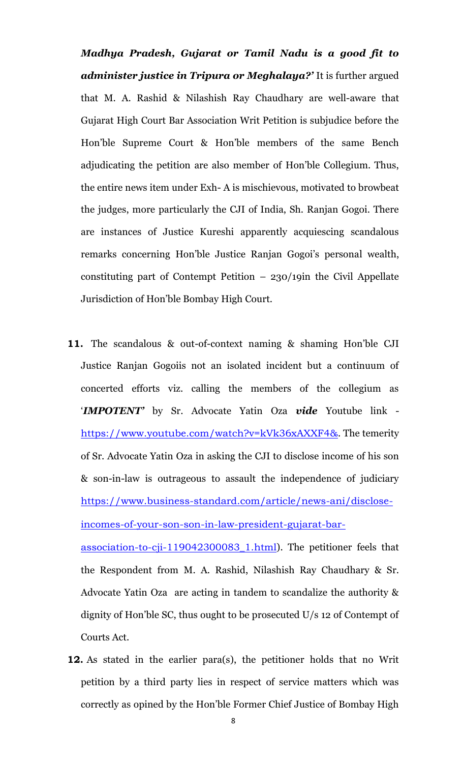*Madhya Pradesh, Gujarat or Tamil Nadu is a good fit to administer justice in Tripura or Meghalaya?'* It is further argued that M. A. Rashid & Nilashish Ray Chaudhary are well-aware that Gujarat High Court Bar Association Writ Petition is subjudice before the Hon'ble Supreme Court & Hon'ble members of the same Bench adjudicating the petition are also member of Hon'ble Collegium. Thus, the entire news item under Exh- A is mischievous, motivated to browbeat the judges, more particularly the CJI of India, Sh. Ranjan Gogoi. There are instances of Justice Kureshi apparently acquiescing scandalous remarks concerning Hon'ble Justice Ranjan Gogoi's personal wealth, constituting part of Contempt Petition  $-230/19$ in the Civil Appellate Jurisdiction of Hon'ble Bombay High Court.

**11.** The scandalous & out-of-context naming & shaming Hon'ble CJI Justice Ranjan Gogoiis not an isolated incident but a continuum of concerted efforts viz. calling the members of the collegium as '*IMPOTENT'* by Sr. Advocate Yatin Oza *vide* Youtube link <https://www.youtube.com/watch?v=kVk36xAXXF4&>. The temerity of Sr. Advocate Yatin Oza in asking the CJI to disclose income of his son & son-in-law is outrageous to assault the independence of judiciary [https://www.business-standard.com/article/news-ani/disclose](https://www.business-standard.com/article/news-ani/disclose-incomes-of-your-son-son-in-law-president-gujarat-bar-association-to-cji-119042300083_1.html)[incomes-of-your-son-son-in-law-president-gujarat-bar-](https://www.business-standard.com/article/news-ani/disclose-incomes-of-your-son-son-in-law-president-gujarat-bar-association-to-cji-119042300083_1.html)

[association-to-cji-119042300083\\_1.html](https://www.business-standard.com/article/news-ani/disclose-incomes-of-your-son-son-in-law-president-gujarat-bar-association-to-cji-119042300083_1.html)). The petitioner feels that the Respondent from M. A. Rashid, Nilashish Ray Chaudhary & Sr. Advocate Yatin Oza are acting in tandem to scandalize the authority & dignity of Hon'ble SC, thus ought to be prosecuted U/s 12 of Contempt of Courts Act.

**12.** As stated in the earlier para(s), the petitioner holds that no Writ petition by a third party lies in respect of service matters which was correctly as opined by the Hon'ble Former Chief Justice of Bombay High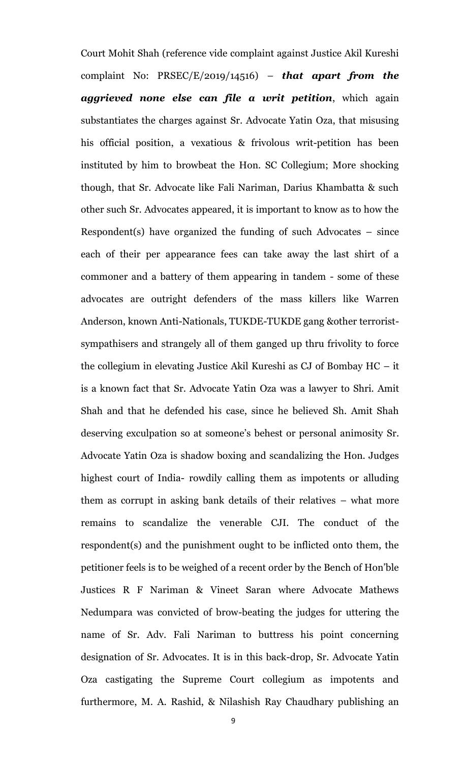Court Mohit Shah (reference vide complaint against Justice Akil Kureshi complaint No: PRSEC/E/2019/14516) – *that apart from the aggrieved none else can file a writ petition*, which again substantiates the charges against Sr. Advocate Yatin Oza, that misusing his official position, a vexatious & frivolous writ-petition has been instituted by him to browbeat the Hon. SC Collegium; More shocking though, that Sr. Advocate like Fali Nariman, Darius Khambatta & such other such Sr. Advocates appeared, it is important to know as to how the Respondent(s) have organized the funding of such Advocates  $-$  since each of their per appearance fees can take away the last shirt of a commoner and a battery of them appearing in tandem - some of these advocates are outright defenders of the mass killers like Warren Anderson, known Anti-Nationals, TUKDE-TUKDE gang &other terroristsympathisers and strangely all of them ganged up thru frivolity to force the collegium in elevating Justice Akil Kureshi as CJ of Bombay HC – it is a known fact that Sr. Advocate Yatin Oza was a lawyer to Shri. Amit Shah and that he defended his case, since he believed Sh. Amit Shah deserving exculpation so at someone's behest or personal animosity Sr. Advocate Yatin Oza is shadow boxing and scandalizing the Hon. Judges highest court of India- rowdily calling them as impotents or alluding them as corrupt in asking bank details of their relatives – what more remains to scandalize the venerable CJI. The conduct of the respondent(s) and the punishment ought to be inflicted onto them, the petitioner feels is to be weighed of a recent order by the Bench of Hon'ble Justices R F Nariman & Vineet Saran where Advocate Mathews Nedumpara was convicted of brow-beating the judges for uttering the name of Sr. Adv. Fali Nariman to buttress his point concerning designation of Sr. Advocates. It is in this back-drop, Sr. Advocate Yatin Oza castigating the Supreme Court collegium as impotents and furthermore, M. A. Rashid, & Nilashish Ray Chaudhary publishing an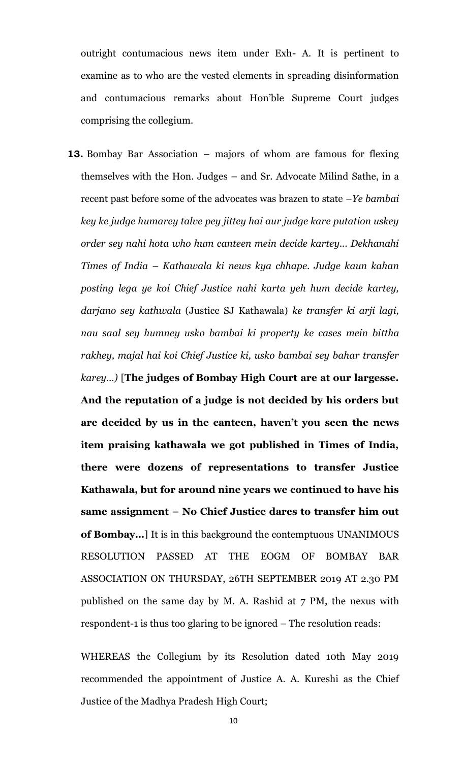outright contumacious news item under Exh- A. It is pertinent to examine as to who are the vested elements in spreading disinformation and contumacious remarks about Hon'ble Supreme Court judges comprising the collegium.

**13.** Bombay Bar Association – majors of whom are famous for flexing themselves with the Hon. Judges – and Sr. Advocate Milind Sathe, in a recent past before some of the advocates was brazen to state –*Ye bambai key ke judge humarey talve pey jittey hai aur judge kare putation uskey order sey nahi hota who hum canteen mein decide kartey... Dekhanahi Times of India – Kathawala ki news kya chhape. Judge kaun kahan posting lega ye koi Chief Justice nahi karta yeh hum decide kartey, darjano sey kathwala* (Justice SJ Kathawala) *ke transfer ki arji lagi, nau saal sey humney usko bambai ki property ke cases mein bittha rakhey, majal hai koi Chief Justice ki, usko bambai sey bahar transfer karey…)* [**The judges of Bombay High Court are at our largesse. And the reputation of a judge is not decided by his orders but are decided by us in the canteen, haven't you seen the news item praising kathawala we got published in Times of India, there were dozens of representations to transfer Justice Kathawala, but for around nine years we continued to have his same assignment – No Chief Justice dares to transfer him out of Bombay…**] It is in this background the contemptuous UNANIMOUS RESOLUTION PASSED AT THE EOGM OF BOMBAY BAR ASSOCIATION ON THURSDAY, 26TH SEPTEMBER 2019 AT 2.30 PM published on the same day by M. A. Rashid at 7 PM, the nexus with respondent-1 is thus too glaring to be ignored – The resolution reads:

WHEREAS the Collegium by its Resolution dated 10th May 2019 recommended the appointment of Justice A. A. Kureshi as the Chief Justice of the Madhya Pradesh High Court;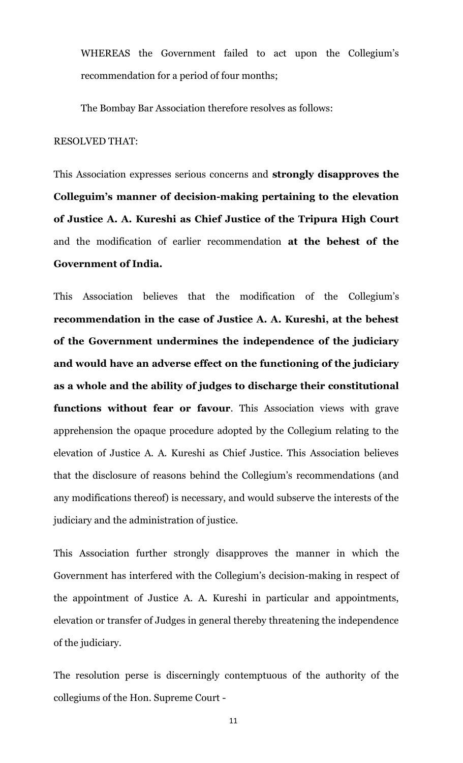WHEREAS the Government failed to act upon the Collegium's recommendation for a period of four months;

The Bombay Bar Association therefore resolves as follows:

#### RESOLVED THAT:

This Association expresses serious concerns and **strongly disapproves the Colleguim's manner of decision-making pertaining to the elevation of Justice A. A. Kureshi as Chief Justice of the Tripura High Court** and the modification of earlier recommendation **at the behest of the Government of India.**

This Association believes that the modification of the Collegium's **recommendation in the case of Justice A. A. Kureshi, at the behest of the Government undermines the independence of the judiciary and would have an adverse effect on the functioning of the judiciary as a whole and the ability of judges to discharge their constitutional functions without fear or favour**. This Association views with grave apprehension the opaque procedure adopted by the Collegium relating to the elevation of Justice A. A. Kureshi as Chief Justice. This Association believes that the disclosure of reasons behind the Collegium's recommendations (and any modifications thereof) is necessary, and would subserve the interests of the judiciary and the administration of justice.

This Association further strongly disapproves the manner in which the Government has interfered with the Collegium's decision-making in respect of the appointment of Justice A. A. Kureshi in particular and appointments, elevation or transfer of Judges in general thereby threatening the independence of the judiciary.

The resolution perse is discerningly contemptuous of the authority of the collegiums of the Hon. Supreme Court -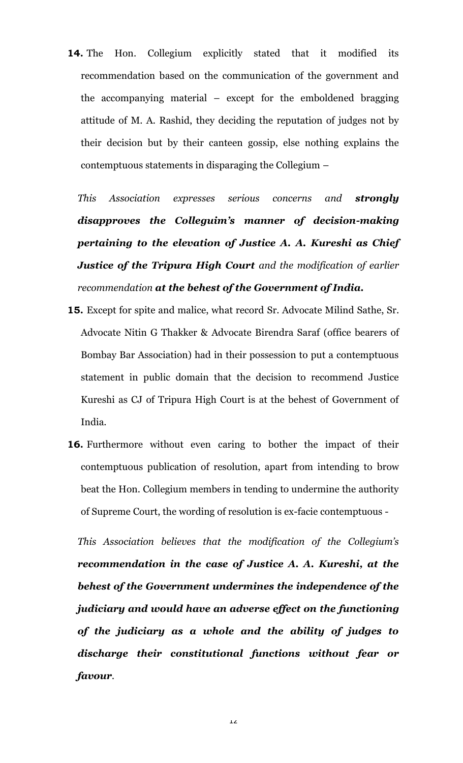**14.** The Hon. Collegium explicitly stated that it modified its recommendation based on the communication of the government and the accompanying material – except for the emboldened bragging attitude of M. A. Rashid, they deciding the reputation of judges not by their decision but by their canteen gossip, else nothing explains the contemptuous statements in disparaging the Collegium –

*This Association expresses serious concerns and strongly disapproves the Colleguim's manner of decision-making pertaining to the elevation of Justice A. A. Kureshi as Chief Justice of the Tripura High Court and the modification of earlier recommendation at the behest of the Government of India.*

- **15.** Except for spite and malice, what record Sr. Advocate Milind Sathe, Sr. Advocate Nitin G Thakker & Advocate Birendra Saraf (office bearers of Bombay Bar Association) had in their possession to put a contemptuous statement in public domain that the decision to recommend Justice Kureshi as CJ of Tripura High Court is at the behest of Government of India.
- **16.** Furthermore without even caring to bother the impact of their contemptuous publication of resolution, apart from intending to brow beat the Hon. Collegium members in tending to undermine the authority of Supreme Court, the wording of resolution is ex-facie contemptuous -

*This Association believes that the modification of the Collegium's recommendation in the case of Justice A. A. Kureshi, at the behest of the Government undermines the independence of the judiciary and would have an adverse effect on the functioning of the judiciary as a whole and the ability of judges to discharge their constitutional functions without fear or favour.*

12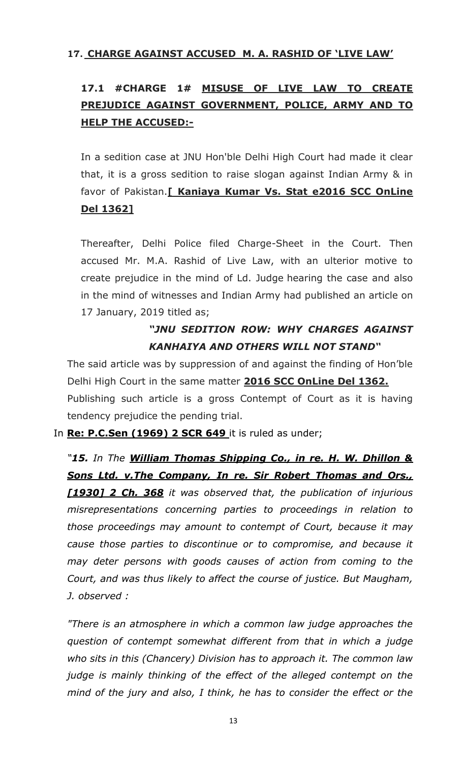#### **17. CHARGE AGAINST ACCUSED M. A. RASHID OF 'LIVE LAW'**

# **17.1 #CHARGE 1# MISUSE OF LIVE LAW TO CREATE PREJUDICE AGAINST GOVERNMENT, POLICE, ARMY AND TO HELP THE ACCUSED:-**

In a sedition case at JNU Hon'ble Delhi High Court had made it clear that, it is a gross sedition to raise slogan against Indian Army & in favor of Pakistan.**[ Kaniaya Kumar Vs. Stat e2016 SCC OnLine Del 1362]**

Thereafter, Delhi Police filed Charge-Sheet in the Court. Then accused Mr. M.A. Rashid of Live Law, with an ulterior motive to create prejudice in the mind of Ld. Judge hearing the case and also in the mind of witnesses and Indian Army had published an article on 17 January, 2019 titled as;

### *"JNU SEDITION ROW: WHY CHARGES AGAINST KANHAIYA AND OTHERS WILL NOT STAND"*

The said article was by suppression of and against the finding of Hon'ble Delhi High Court in the same matter **2016 SCC OnLine Del 1362.** Publishing such article is a gross Contempt of Court as it is having tendency prejudice the pending trial.

#### In **Re: P.C.Sen (1969) 2 SCR 649** it is ruled as under;

*"15. In The William Thomas Shipping Co., in re. H. W. Dhillon & Sons Ltd. v.The Company, In re. Sir Robert Thomas and Ors., [1930] 2 Ch. 368 it was observed that, the publication of injurious misrepresentations concerning parties to proceedings in relation to those proceedings may amount to contempt of Court, because it may cause those parties to discontinue or to compromise, and because it may deter persons with goods causes of action from coming to the Court, and was thus likely to affect the course of justice. But Maugham, J. observed :*

*"There is an atmosphere in which a common law judge approaches the question of contempt somewhat different from that in which a judge who sits in this (Chancery) Division has to approach it. The common law judge is mainly thinking of the effect of the alleged contempt on the mind of the jury and also, I think, he has to consider the effect or the*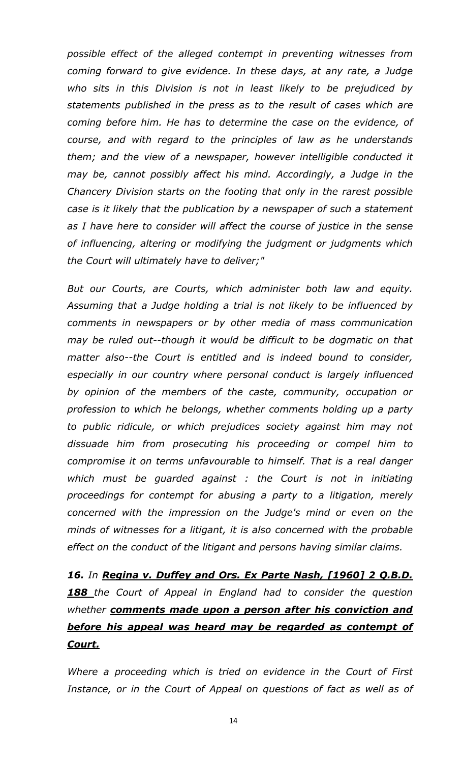*possible effect of the alleged contempt in preventing witnesses from coming forward to give evidence. In these days, at any rate, a Judge who sits in this Division is not in least likely to be prejudiced by statements published in the press as to the result of cases which are coming before him. He has to determine the case on the evidence, of course, and with regard to the principles of law as he understands them; and the view of a newspaper, however intelligible conducted it may be, cannot possibly affect his mind. Accordingly, a Judge in the Chancery Division starts on the footing that only in the rarest possible case is it likely that the publication by a newspaper of such a statement as I have here to consider will affect the course of justice in the sense of influencing, altering or modifying the judgment or judgments which the Court will ultimately have to deliver;"*

*But our Courts, are Courts, which administer both law and equity. Assuming that a Judge holding a trial is not likely to be influenced by comments in newspapers or by other media of mass communication may be ruled out--though it would be difficult to be dogmatic on that matter also--the Court is entitled and is indeed bound to consider, especially in our country where personal conduct is largely influenced by opinion of the members of the caste, community, occupation or profession to which he belongs, whether comments holding up a party to public ridicule, or which prejudices society against him may not dissuade him from prosecuting his proceeding or compel him to compromise it on terms unfavourable to himself. That is a real danger which must be guarded against : the Court is not in initiating proceedings for contempt for abusing a party to a litigation, merely concerned with the impression on the Judge's mind or even on the minds of witnesses for a litigant, it is also concerned with the probable effect on the conduct of the litigant and persons having similar claims.*

*16. In Regina v. Duffey and Ors. Ex Parte Nash, [1960] 2 Q.B.D. 188 the Court of Appeal in England had to consider the question whether comments made upon a person after his conviction and before his appeal was heard may be regarded as contempt of Court.*

*Where a proceeding which is tried on evidence in the Court of First Instance, or in the Court of Appeal on questions of fact as well as of*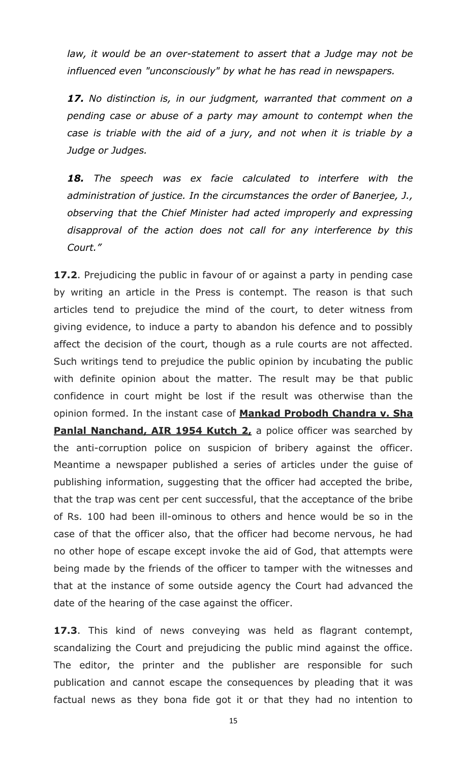law, it would be an over-statement to assert that a Judge may not be *influenced even "unconsciously" by what he has read in newspapers.*

*17. No distinction is, in our judgment, warranted that comment on a pending case or abuse of a party may amount to contempt when the case is triable with the aid of a jury, and not when it is triable by a Judge or Judges.*

*18. The speech was ex facie calculated to interfere with the administration of justice. In the circumstances the order of Banerjee, J., observing that the Chief Minister had acted improperly and expressing disapproval of the action does not call for any interference by this Court."*

**17.2**. Prejudicing the public in favour of or against a party in pending case by writing an article in the Press is contempt. The reason is that such articles tend to prejudice the mind of the court, to deter witness from giving evidence, to induce a party to abandon his defence and to possibly affect the decision of the court, though as a rule courts are not affected. Such writings tend to prejudice the public opinion by incubating the public with definite opinion about the matter. The result may be that public confidence in court might be lost if the result was otherwise than the opinion formed. In the instant case of **Mankad Probodh Chandra v. Sha Panlal Nanchand, AIR 1954 Kutch 2,** a police officer was searched by the anti-corruption police on suspicion of bribery against the officer. Meantime a newspaper published a series of articles under the guise of publishing information, suggesting that the officer had accepted the bribe, that the trap was cent per cent successful, that the acceptance of the bribe of Rs. 100 had been ill-ominous to others and hence would be so in the case of that the officer also, that the officer had become nervous, he had no other hope of escape except invoke the aid of God, that attempts were being made by the friends of the officer to tamper with the witnesses and that at the instance of some outside agency the Court had advanced the date of the hearing of the case against the officer.

**17.3**. This kind of news conveying was held as flagrant contempt, scandalizing the Court and prejudicing the public mind against the office. The editor, the printer and the publisher are responsible for such publication and cannot escape the consequences by pleading that it was factual news as they bona fide got it or that they had no intention to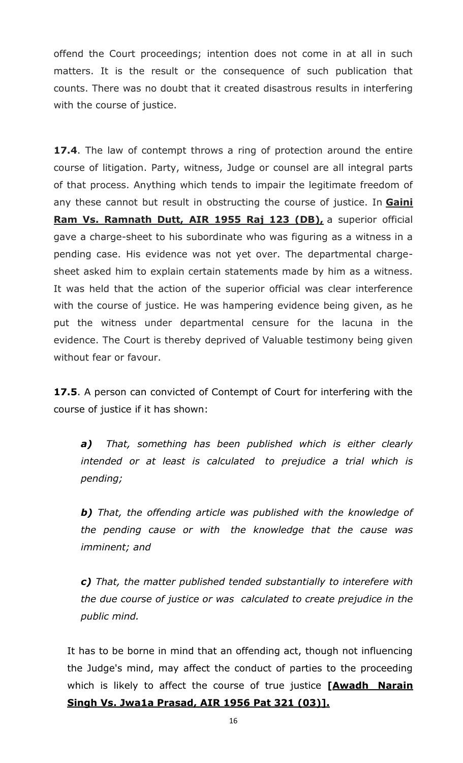offend the Court proceedings; intention does not come in at all in such matters. It is the result or the consequence of such publication that counts. There was no doubt that it created disastrous results in interfering with the course of justice.

**17.4**. The law of contempt throws a ring of protection around the entire course of litigation. Party, witness, Judge or counsel are all integral parts of that process. Anything which tends to impair the legitimate freedom of any these cannot but result in obstructing the course of justice. In **Gaini Ram Vs. Ramnath Dutt, AIR 1955 Raj 123 (DB),** a superior official gave a charge-sheet to his subordinate who was figuring as a witness in a pending case. His evidence was not yet over. The departmental chargesheet asked him to explain certain statements made by him as a witness. It was held that the action of the superior official was clear interference with the course of justice. He was hampering evidence being given, as he put the witness under departmental censure for the lacuna in the evidence. The Court is thereby deprived of Valuable testimony being given without fear or favour.

**17.5**. A person can convicted of Contempt of Court for interfering with the course of justice if it has shown:

*a) That, something has been published which is either clearly intended or at least is calculated to prejudice a trial which is pending;*

*b) That, the offending article was published with the knowledge of the pending cause or with the knowledge that the cause was imminent; and*

*c) That, the matter published tended substantially to interefere with the due course of justice or was calculated to create prejudice in the public mind.*

It has to be borne in mind that an offending act, though not influencing the Judge's mind, may affect the conduct of parties to the proceeding which is likely to affect the course of true justice **[Awadh Narain Singh Vs. Jwa1a Prasad, AIR 1956 Pat 321 (03)].**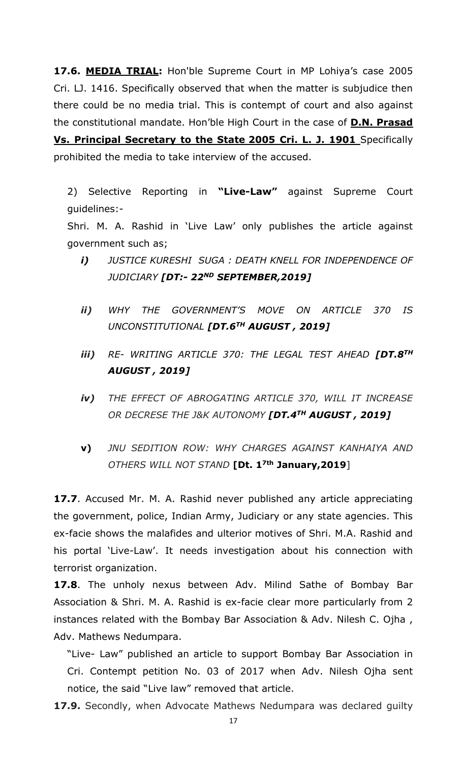**17.6. MEDIA TRIAL:** Hon'ble Supreme Court in MP Lohiya's case 2005 Cri. LJ. 1416. Specifically observed that when the matter is subjudice then there could be no media trial. This is contempt of court and also against the constitutional mandate. Hon'ble High Court in the case of **D.N. Prasad** 

**Vs. Principal Secretary to the State 2005 Cri. L. J. 1901** Specifically prohibited the media to take interview of the accused.

2) Selective Reporting in **"Live-Law"** against Supreme Court guidelines:-

Shri. M. A. Rashid in 'Live Law' only publishes the article against government such as;

- *i) JUSTICE KURESHI SUGA : DEATH KNELL FOR INDEPENDENCE OF JUDICIARY [DT:- 22ND SEPTEMBER,2019]*
- *ii) WHY THE GOVERNMENT'S MOVE ON ARTICLE 370 IS UNCONSTITUTIONAL [DT.6TH AUGUST , 2019]*
- *iii) RE- WRITING ARTICLE 370: THE LEGAL TEST AHEAD [DT.8TH AUGUST , 2019]*
- *iv) THE EFFECT OF ABROGATING ARTICLE 370, WILL IT INCREASE OR DECRESE THE J&K AUTONOMY [DT.4TH AUGUST , 2019]*
- **v)** *JNU SEDITION ROW: WHY CHARGES AGAINST KANHAIYA AND OTHERS WILL NOT STAND* **[Dt. 17th January,2019**]

**17.7**. Accused Mr. M. A. Rashid never published any article appreciating the government, police, Indian Army, Judiciary or any state agencies. This ex-facie shows the malafides and ulterior motives of Shri. M.A. Rashid and his portal 'Live-Law'. It needs investigation about his connection with terrorist organization.

**17.8**. The unholy nexus between Adv. Milind Sathe of Bombay Bar Association & Shri. M. A. Rashid is ex-facie clear more particularly from 2 instances related with the Bombay Bar Association & Adv. Nilesh C. Ojha , Adv. Mathews Nedumpara.

"Live- Law" published an article to support Bombay Bar Association in Cri. Contempt petition No. 03 of 2017 when Adv. Nilesh Ojha sent notice, the said "Live law" removed that article.

**17.9.** Secondly, when Advocate Mathews Nedumpara was declared guilty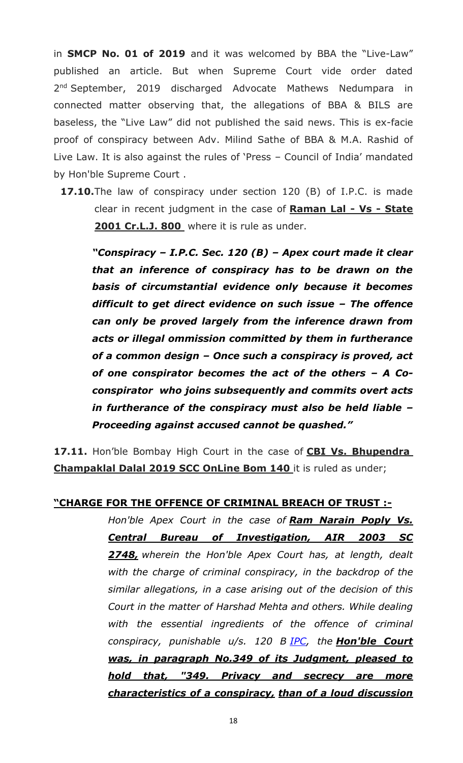in **SMCP No. 01 of 2019** and it was welcomed by BBA the "Live-Law" published an article. But when Supreme Court vide order dated 2<sup>nd</sup> September, 2019 discharged Advocate Mathews Nedumpara in connected matter observing that, the allegations of BBA & BILS are baseless, the "Live Law" did not published the said news. This is ex-facie proof of conspiracy between Adv. Milind Sathe of BBA & M.A. Rashid of Live Law. It is also against the rules of 'Press – Council of India' mandated by Hon'ble Supreme Court .

**17.10.**The law of conspiracy under section 120 (B) of I.P.C. is made clear in recent judgment in the case of **Raman Lal - Vs - State 2001 Cr.L.J. 800** where it is rule as under.

*"Conspiracy – I.P.C. Sec. 120 (B) – Apex court made it clear that an inference of conspiracy has to be drawn on the basis of circumstantial evidence only because it becomes difficult to get direct evidence on such issue – The offence can only be proved largely from the inference drawn from acts or illegal ommission committed by them in furtherance of a common design – Once such a conspiracy is proved, act of one conspirator becomes the act of the others – A Coconspirator who joins subsequently and commits overt acts in furtherance of the conspiracy must also be held liable – Proceeding against accused cannot be quashed."* 

**17.11.** Hon'ble Bombay High Court in the case of **CBI Vs. Bhupendra Champaklal Dalal 2019 SCC OnLine Bom 140** it is ruled as under;

#### **"CHARGE FOR THE OFFENCE OF CRIMINAL BREACH OF TRUST :-**

*Hon'ble Apex Court in the case of Ram Narain Poply Vs. Central Bureau of Investigation, AIR 2003 SC 2748, wherein the Hon'ble Apex Court has, at length, dealt with the charge of criminal conspiracy, in the backdrop of the similar allegations, in a case arising out of the decision of this Court in the matter of Harshad Mehta and others. While dealing with the essential ingredients of the offence of criminal conspiracy, punishable u/s. 120 B [IPC,](https://indiankanoon.org/doc/1569253/) the Hon'ble Court was, in paragraph No.349 of its Judgment, pleased to hold that, "349. Privacy and secrecy are more characteristics of a conspiracy, than of a loud discussion*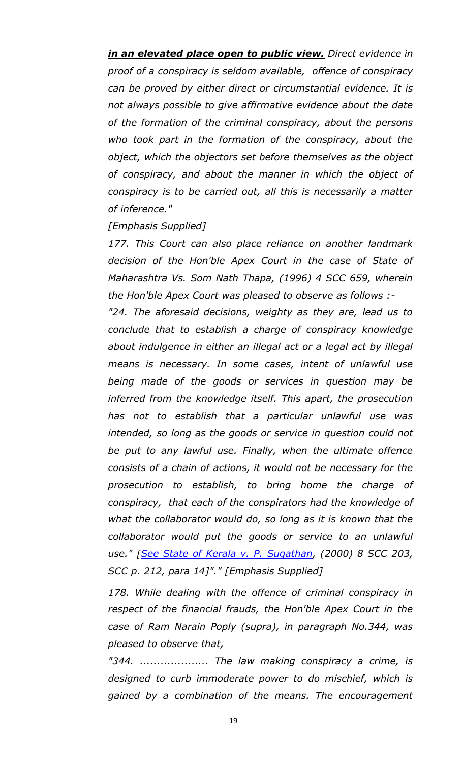*in an elevated place open to public view. Direct evidence in proof of a conspiracy is seldom available, offence of conspiracy can be proved by either direct or circumstantial evidence. It is not always possible to give affirmative evidence about the date of the formation of the criminal conspiracy, about the persons who took part in the formation of the conspiracy, about the object, which the objectors set before themselves as the object of conspiracy, and about the manner in which the object of conspiracy is to be carried out, all this is necessarily a matter of inference."*

#### *[Emphasis Supplied]*

*177. This Court can also place reliance on another landmark decision of the Hon'ble Apex Court in the case of State of Maharashtra Vs. Som Nath Thapa, (1996) 4 SCC 659, wherein the Hon'ble Apex Court was pleased to observe as follows :-*

*"24. The aforesaid decisions, weighty as they are, lead us to conclude that to establish a charge of conspiracy knowledge about indulgence in either an illegal act or a legal act by illegal means is necessary. In some cases, intent of unlawful use being made of the goods or services in question may be inferred from the knowledge itself. This apart, the prosecution has not to establish that a particular unlawful use was intended, so long as the goods or service in question could not be put to any lawful use. Finally, when the ultimate offence consists of a chain of actions, it would not be necessary for the prosecution to establish, to bring home the charge of conspiracy, that each of the conspirators had the knowledge of what the collaborator would do, so long as it is known that the collaborator would put the goods or service to an unlawful use." [\[See State of Kerala v. P. Sugathan,](https://indiankanoon.org/doc/186305/) (2000) 8 SCC 203, SCC p. 212, para 14]"." [Emphasis Supplied]*

*178. While dealing with the offence of criminal conspiracy in respect of the financial frauds, the Hon'ble Apex Court in the case of Ram Narain Poply (supra), in paragraph No.344, was pleased to observe that,*

*"344. .................... The law making conspiracy a crime, is designed to curb immoderate power to do mischief, which is gained by a combination of the means. The encouragement*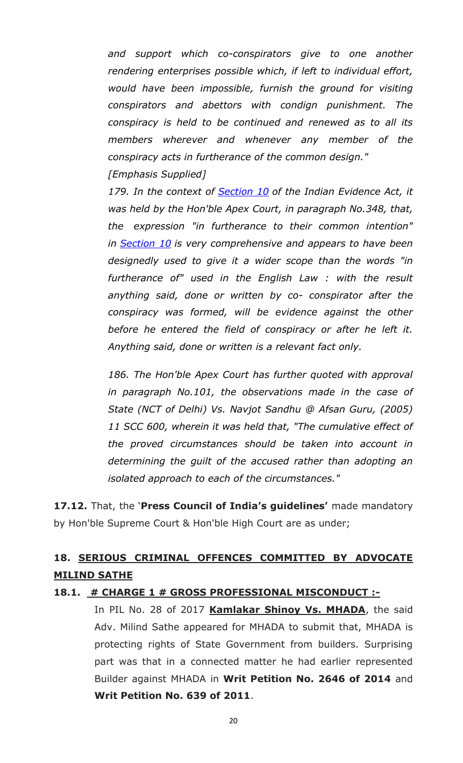*and support which co-conspirators give to one another rendering enterprises possible which, if left to individual effort, would have been impossible, furnish the ground for visiting conspirators and abettors with condign punishment. The conspiracy is held to be continued and renewed as to all its members wherever and whenever any member of the conspiracy acts in furtherance of the common design." [Emphasis Supplied]*

*179. In the context of [Section 10](https://indiankanoon.org/doc/1946503/) of the Indian Evidence Act, it was held by the Hon'ble Apex Court, in paragraph No.348, that, the expression "in furtherance to their common intention" in [Section 10](https://indiankanoon.org/doc/1946503/) is very comprehensive and appears to have been designedly used to give it a wider scope than the words "in furtherance of" used in the English Law : with the result anything said, done or written by co- conspirator after the conspiracy was formed, will be evidence against the other before he entered the field of conspiracy or after he left it. Anything said, done or written is a relevant fact only.*

*186. The Hon'ble Apex Court has further quoted with approval in paragraph No.101, the observations made in the case of State (NCT of Delhi) Vs. Navjot Sandhu @ Afsan Guru, (2005) 11 SCC 600, wherein it was held that, "The cumulative effect of the proved circumstances should be taken into account in determining the guilt of the accused rather than adopting an isolated approach to each of the circumstances."*

**17.12.** That, the '**Press Council of India's guidelines'** made mandatory by Hon'ble Supreme Court & Hon'ble High Court are as under;

### **18. SERIOUS CRIMINAL OFFENCES COMMITTED BY ADVOCATE MILIND SATHE**

#### **18.1. # CHARGE 1 # GROSS PROFESSIONAL MISCONDUCT :-**

In PIL No. 28 of 2017 **Kamlakar Shinoy Vs. MHADA**, the said Adv. Milind Sathe appeared for MHADA to submit that, MHADA is protecting rights of State Government from builders. Surprising part was that in a connected matter he had earlier represented Builder against MHADA in **Writ Petition No. 2646 of 2014** and **Writ Petition No. 639 of 2011**.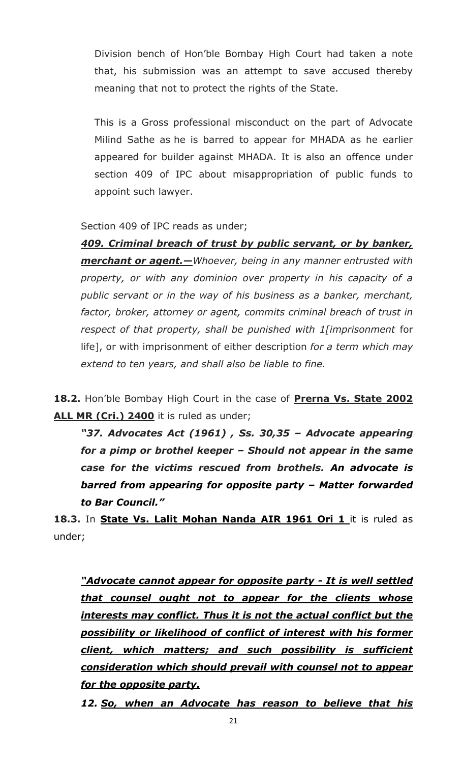Division bench of Hon'ble Bombay High Court had taken a note that, his submission was an attempt to save accused thereby meaning that not to protect the rights of the State.

This is a Gross professional misconduct on the part of Advocate Milind Sathe as he is barred to appear for MHADA as he earlier appeared for builder against MHADA. It is also an offence under section 409 of IPC about misappropriation of public funds to appoint such lawyer.

Section 409 of IPC reads as under;

*409. Criminal breach of trust by public servant, or by banker, merchant or agent.—Whoever, being in any manner entrusted with property, or with any dominion over property in his capacity of a public servant or in the way of his business as a banker, merchant, factor, broker, attorney or agent, commits criminal breach of trust in respect of that property, shall be punished with 1[imprisonment* for life], or with imprisonment of either description *for a term which may extend to ten years, and shall also be liable to fine.*

**18.2.** Hon'ble Bombay High Court in the case of **Prerna Vs. State 2002**  ALL MR (Cri.) 2400 it is ruled as under;

*"37. Advocates Act (1961) , Ss. 30,35 – Advocate appearing for a pimp or brothel keeper – Should not appear in the same case for the victims rescued from brothels. An advocate is barred from appearing for opposite party – Matter forwarded to Bar Council."*

**18.3.** In **State Vs. Lalit Mohan Nanda AIR 1961 Ori 1** it is ruled as under;

*"Advocate cannot appear for opposite party - It is well settled that counsel ought not to appear for the clients whose interests may conflict. Thus it is not the actual conflict but the possibility or likelihood of conflict of interest with his former client, which matters; and such possibility is sufficient consideration which should prevail with counsel not to appear for the opposite party.*

*12. So, when an Advocate has reason to believe that his*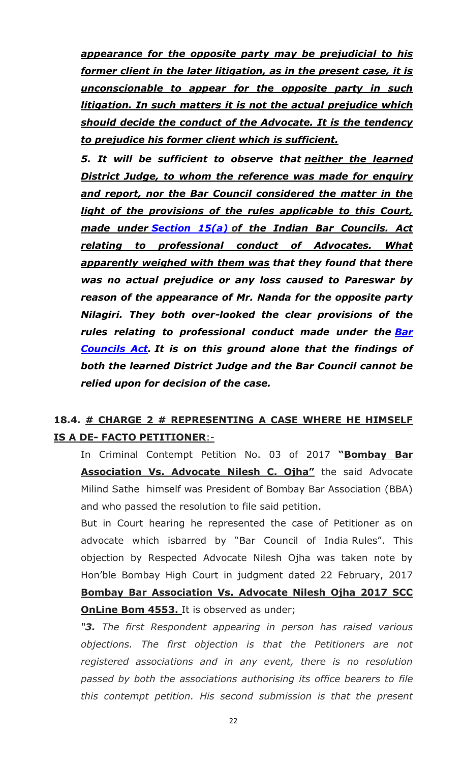*appearance for the opposite party may be prejudicial to his former client in the later litigation, as in the present case, it is unconscionable to appear for the opposite party in such litigation. In such matters it is not the actual prejudice which should decide the conduct of the Advocate. It is the tendency to prejudice his former client which is sufficient.*

*5. It will be sufficient to observe that neither the learned District Judge, to whom the reference was made for enquiry and report, nor the Bar Council considered the matter in the light of the provisions of the rules applicable to this Court, made under [Section 15\(a\)](https://indiankanoon.org/doc/1235589/) of the Indian Bar Councils. Act relating to professional conduct of Advocates. What apparently weighed with them was that they found that there was no actual prejudice or any loss caused to Pareswar by reason of the appearance of Mr. Nanda for the opposite party Nilagiri. They both over-looked the clear provisions of the rules relating to professional conduct made under the [Bar](https://indiankanoon.org/doc/214169/)  [Councils Act.](https://indiankanoon.org/doc/214169/) It is on this ground alone that the findings of both the learned District Judge and the Bar Council cannot be relied upon for decision of the case.*

### **18.4. # CHARGE 2 # REPRESENTING A CASE WHERE HE HIMSELF IS A DE- FACTO PETITIONER**:-

In Criminal Contempt Petition No. 03 of 2017 **"Bombay Bar Association Vs. Advocate Nilesh C. Ojha"** the said Advocate Milind Sathe himself was President of Bombay Bar Association (BBA) and who passed the resolution to file said petition.

But in Court hearing he represented the case of Petitioner as on advocate which isbarred by "Bar Council of India Rules". This objection by Respected Advocate Nilesh Ojha was taken note by Hon'ble Bombay High Court in judgment dated 22 February, 2017 **Bombay Bar Association Vs. Advocate Nilesh Ojha 2017 SCC OnLine Bom 4553.** It is observed as under;

*"3. The first Respondent appearing in person has raised various objections. The first objection is that the Petitioners are not registered associations and in any event, there is no resolution passed by both the associations authorising its office bearers to file this contempt petition. His second submission is that the present*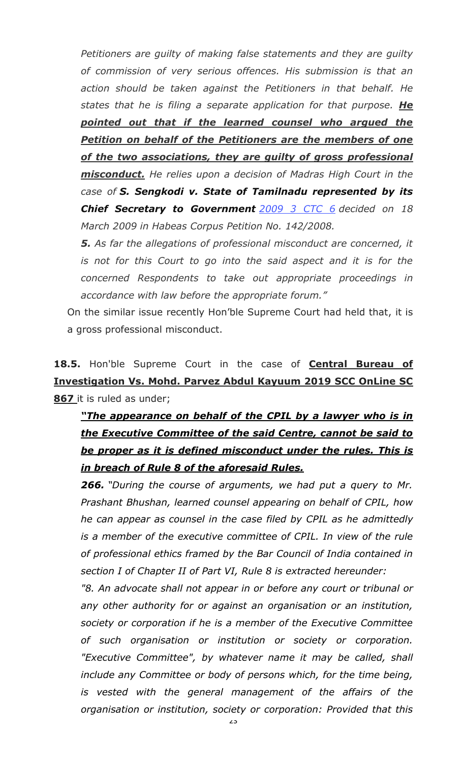*Petitioners are guilty of making false statements and they are guilty of commission of very serious offences. His submission is that an action should be taken against the Petitioners in that behalf. He states that he is filing a separate application for that purpose. He pointed out that if the learned counsel who argued the Petition on behalf of the Petitioners are the members of one of the two associations, they are guilty of gross professional misconduct. He relies upon a decision of Madras High Court in the case of S. Sengkodi v. State of Tamilnadu represented by its Chief Secretary to Government [2009 3 CTC 6](https://www.casemine.com/judgement/in/560903c6e4b014971115c745) decided on 18 March 2009 in Habeas Corpus Petition No. 142/2008.* 

*5. As far the allegations of professional misconduct are concerned, it is not for this Court to go into the said aspect and it is for the concerned Respondents to take out appropriate proceedings in accordance with law before the appropriate forum."*

On the similar issue recently Hon'ble Supreme Court had held that, it is a gross professional misconduct.

**18.5.** Hon'ble Supreme Court in the case of **Central Bureau of Investigation Vs. Mohd. Parvez Abdul Kayuum 2019 SCC OnLine SC 867** it is ruled as under;

# *"The appearance on behalf of the CPIL by a lawyer who is in the Executive Committee of the said Centre, cannot be said to be proper as it is defined misconduct under the rules. This is in breach of Rule 8 of the aforesaid Rules.*

*266. "During the course of arguments, we had put a query to Mr. Prashant Bhushan, learned counsel appearing on behalf of CPIL, how he can appear as counsel in the case filed by CPIL as he admittedly is a member of the executive committee of CPIL. In view of the rule of professional ethics framed by the Bar Council of India contained in section I of Chapter II of Part VI, Rule 8 is extracted hereunder:*

*"8. An advocate shall not appear in or before any court or tribunal or any other authority for or against an organisation or an institution, society or corporation if he is a member of the Executive Committee of such organisation or institution or society or corporation. "Executive Committee", by whatever name it may be called, shall include any Committee or body of persons which, for the time being, is vested with the general management of the affairs of the organisation or institution, society or corporation: Provided that this*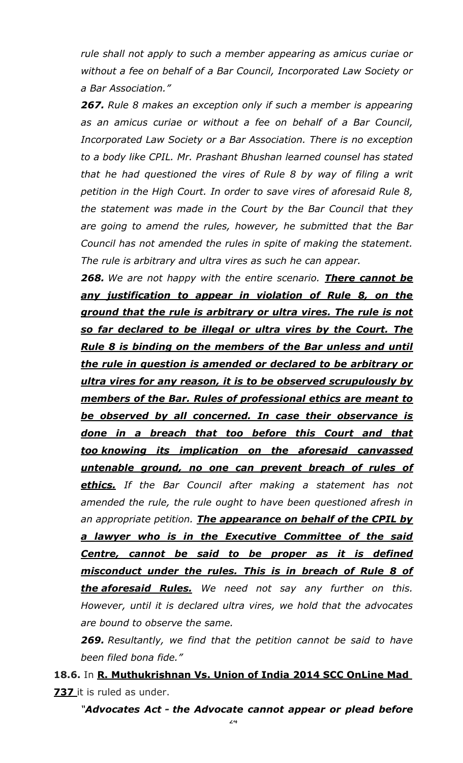*rule shall not apply to such a member appearing as amicus curiae or without a fee on behalf of a Bar Council, Incorporated Law Society or a Bar Association."*

*267. Rule 8 makes an exception only if such a member is appearing as an amicus curiae or without a fee on behalf of a Bar Council, Incorporated Law Society or a Bar Association. There is no exception to a body like CPIL. Mr. Prashant Bhushan learned counsel has stated that he had questioned the vires of Rule 8 by way of filing a writ petition in the High Court. In order to save vires of aforesaid Rule 8, the statement was made in the Court by the Bar Council that they are going to amend the rules, however, he submitted that the Bar Council has not amended the rules in spite of making the statement. The rule is arbitrary and ultra vires as such he can appear.*

*268. We are not happy with the entire scenario. There cannot be any justification to appear in violation of Rule 8, on the ground that the rule is arbitrary or ultra vires. The rule is not so far declared to be illegal or ultra vires by the Court. The Rule 8 is binding on the members of the Bar unless and until the rule in question is amended or declared to be arbitrary or ultra vires for any reason, it is to be observed scrupulously by members of the Bar. Rules of professional ethics are meant to be observed by all concerned. In case their observance is done in a breach that too before this Court and that too knowing its implication on the aforesaid canvassed untenable ground, no one can prevent breach of rules of ethics. If the Bar Council after making a statement has not amended the rule, the rule ought to have been questioned afresh in an appropriate petition. The appearance on behalf of the CPIL by a lawyer who is in the Executive Committee of the said Centre, cannot be said to be proper as it is defined misconduct under the rules. This is in breach of Rule 8 of the aforesaid Rules. We need not say any further on this. However, until it is declared ultra vires, we hold that the advocates are bound to observe the same.*

*269. Resultantly, we find that the petition cannot be said to have been filed bona fide."*

**18.6.** In **R. Muthukrishnan Vs. Union of India 2014 SCC OnLine Mad 737** it is ruled as under.

*"[Advocates Act](http://indiankanoon.org/doc/262262/) - the Advocate cannot appear or plead before*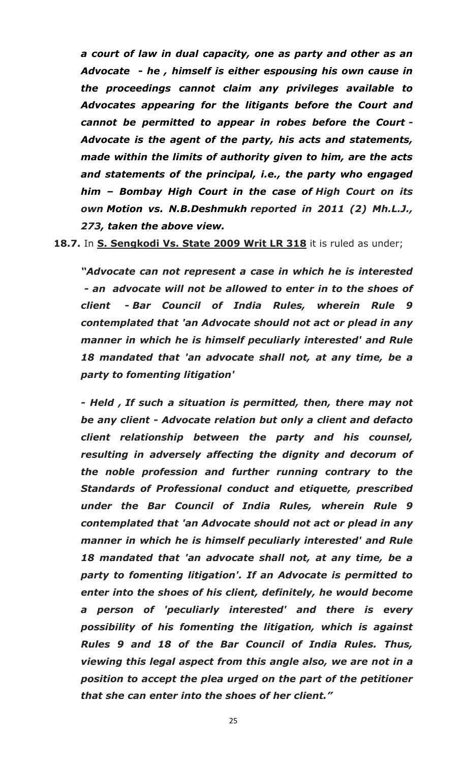*a court of law in dual capacity, one as party and other as an Advocate - he , himself is either espousing his own cause in the proceedings cannot claim any privileges available to Advocates appearing for the litigants before the Court and cannot be permitted to appear in robes before the Court - Advocate is the agent of the party, his acts and statements, made within the limits of authority given to him, are the acts and statements of the principal, i.e., the party who engaged him – Bombay High Court in the case of High Court on its own [Motion vs. N.B.Deshmukh](http://indiankanoon.org/doc/1441997/) reported in 2011 (2) Mh.L.J., 273, taken the above view.*

**18.7.** In **S. Sengkodi Vs. State 2009 Writ LR 318** it is ruled as under;

*"Advocate can not represent a case in which he is interested - an advocate will not be allowed to enter in to the shoes of client - Bar Council of India Rules, wherein Rule 9 contemplated that 'an Advocate should not act or plead in any manner in which he is himself peculiarly interested' and Rule 18 mandated that 'an advocate shall not, at any time, be a party to fomenting litigation'*

*- Held , If such a situation is permitted, then, there may not be any client - Advocate relation but only a client and defacto client relationship between the party and his counsel, resulting in adversely affecting the dignity and decorum of the noble profession and further running contrary to the Standards of Professional conduct and etiquette, prescribed under the Bar Council of India Rules, wherein Rule 9 contemplated that 'an Advocate should not act or plead in any manner in which he is himself peculiarly interested' and Rule 18 mandated that 'an advocate shall not, at any time, be a party to fomenting litigation'. If an Advocate is permitted to enter into the shoes of his client, definitely, he would become a person of 'peculiarly interested' and there is every possibility of his fomenting the litigation, which is against Rules 9 and 18 of the Bar Council of India Rules. Thus, viewing this legal aspect from this angle also, we are not in a position to accept the plea urged on the part of the petitioner that she can enter into the shoes of her client."*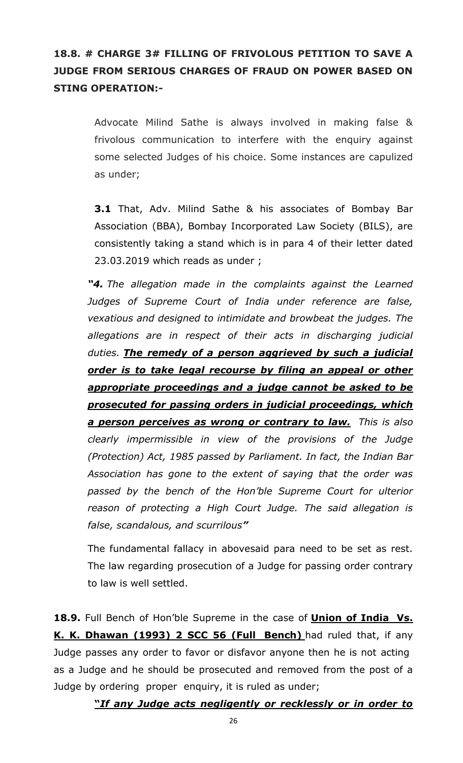## **18.8. # CHARGE 3# FILLING OF FRIVOLOUS PETITION TO SAVE A JUDGE FROM SERIOUS CHARGES OF FRAUD ON POWER BASED ON STING OPERATION:-**

Advocate Milind Sathe is always involved in making false & frivolous communication to interfere with the enquiry against some selected Judges of his choice. Some instances are capulized as under;

**3.1** That, Adv. Milind Sathe & his associates of Bombay Bar Association (BBA), Bombay Incorporated Law Society (BILS), are consistently taking a stand which is in para 4 of their letter dated 23.03.2019 which reads as under ;

*"4. The allegation made in the complaints against the Learned Judges of Supreme Court of India under reference are false, vexatious and designed to intimidate and browbeat the judges. The allegations are in respect of their acts in discharging judicial duties. The remedy of a person aggrieved by such a judicial order is to take legal recourse by filing an appeal or other appropriate proceedings and a judge cannot be asked to be prosecuted for passing orders in judicial proceedings, which a person perceives as wrong or contrary to law. This is also clearly impermissible in view of the provisions of the Judge (Protection) Act, 1985 passed by Parliament. In fact, the Indian Bar Association has gone to the extent of saying that the order was passed by the bench of the Hon'ble Supreme Court for ulterior reason of protecting a High Court Judge. The said allegation is false, scandalous, and scurrilous"*

The fundamental fallacy in abovesaid para need to be set as rest. The law regarding prosecution of a Judge for passing order contrary to law is well settled.

**18.9.** Full Bench of Hon'ble Supreme in the case of **Union of India Vs. K. K. Dhawan (1993) 2 SCC 56 (Full Bench)** had ruled that, if any Judge passes any order to favor or disfavor anyone then he is not acting as a Judge and he should be prosecuted and removed from the post of a Judge by ordering proper enquiry, it is ruled as under;

**"***If any Judge acts negligently or recklessly or in order to*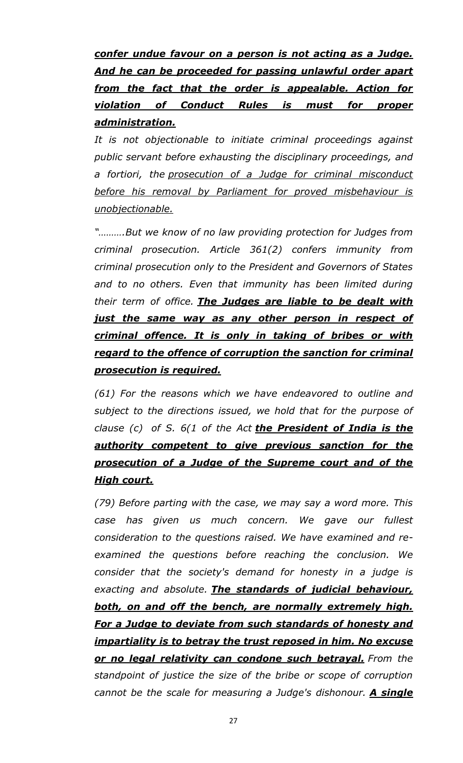*confer undue favour on a person is not acting as a Judge. And he can be proceeded for passing unlawful order apart from the fact that the order is appealable. Action for violation of Conduct Rules is must for proper administration.*

*It is not objectionable to initiate criminal proceedings against public servant before exhausting the disciplinary proceedings, and a fortiori, the prosecution of a Judge for criminal misconduct before his removal by Parliament for proved misbehaviour is unobjectionable.*

*"……….But we know of no law providing protection for Judges from criminal prosecution. Article 361(2) confers immunity from criminal prosecution only to the President and Governors of States*  and to no others. Even that immunity has been limited during *their term of office. The Judges are liable to be dealt with just the same way as any other person in respect of criminal offence. It is only in taking of bribes or with regard to the offence of corruption the sanction for criminal prosecution is required.*

*(61) For the reasons which we have endeavored to outline and subject to the directions issued, we hold that for the purpose of clause (c) of S. 6(1 of the Act the President of India is the authority competent to give previous sanction for the prosecution of a Judge of the Supreme court and of the High court.*

*(79) Before parting with the case, we may say a word more. This case has given us much concern. We gave our fullest consideration to the questions raised. We have examined and reexamined the questions before reaching the conclusion. We consider that the society's demand for honesty in a judge is exacting and absolute. The standards of judicial behaviour, both, on and off the bench, are normally extremely high. For a Judge to deviate from such standards of honesty and impartiality is to betray the trust reposed in him. No excuse or no legal relativity can condone such betrayal. From the standpoint of justice the size of the bribe or scope of corruption cannot be the scale for measuring a Judge's dishonour. A single*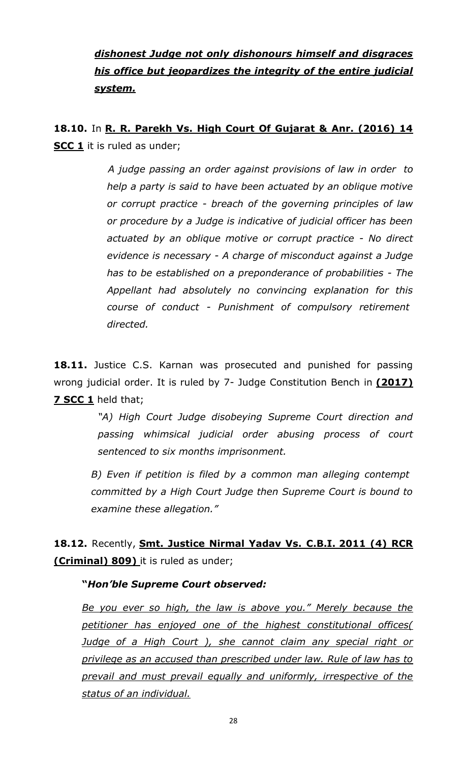## *dishonest Judge not only dishonours himself and disgraces his office but jeopardizes the integrity of the entire judicial system.*

**18.10.** In **R. R. Parekh Vs. High Court Of Gujarat & Anr. (2016) 14 SCC 1** it is ruled as under;

> *A judge passing an order against provisions of law in order to help a party is said to have been actuated by an oblique motive or corrupt practice - breach of the governing principles of law or procedure by a Judge is indicative of judicial officer has been actuated by an oblique motive or corrupt practice - No direct evidence is necessary - A charge of misconduct against a Judge has to be established on a preponderance of probabilities - The Appellant had absolutely no convincing explanation for this course of conduct - Punishment of compulsory retirement directed.*

**18.11.** Justice C.S. Karnan was prosecuted and punished for passing wrong judicial order. It is ruled by 7- Judge Constitution Bench in **(2017) 7 SCC 1** held that;

> *"A) High Court Judge disobeying Supreme Court direction and passing whimsical judicial order abusing process of court sentenced to six months imprisonment.*

*B) Even if petition is filed by a common man alleging contempt committed by a High Court Judge then Supreme Court is bound to examine these allegation."*

**18.12.** Recently, **Smt. Justice Nirmal Yadav Vs. C.B.I. 2011 (4) RCR (Criminal) 809)** it is ruled as under;

#### **"***Hon'ble Supreme Court observed:*

*Be you ever so high, the law is above you." Merely because the petitioner has enjoyed one of the highest constitutional offices( Judge of a High Court ), she cannot claim any special right or privilege as an accused than prescribed under law. Rule of law has to prevail and must prevail equally and uniformly, irrespective of the status of an individual.*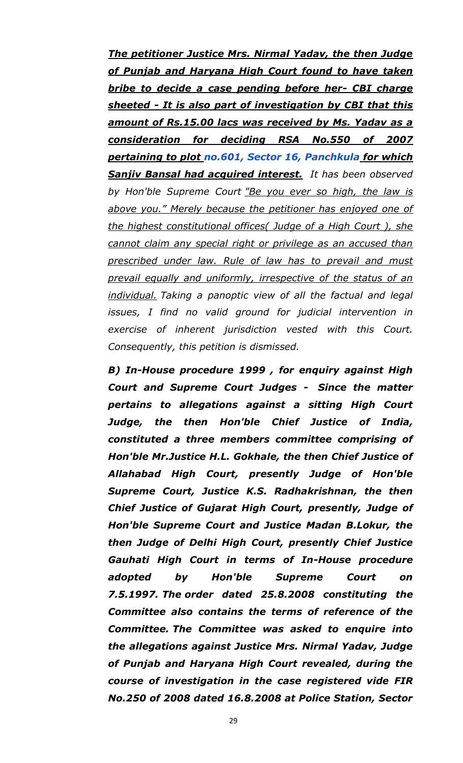*The petitioner Justice Mrs. Nirmal Yadav, the then Judge of Punjab and Haryana High Court found to have taken bribe to decide a case pending before her- CBI charge sheeted - It is also part of investigation by CBI that this amount of Rs.15.00 lacs was received by Ms. Yadav as a consideration for deciding RSA No.550 of 2007 pertaining to plot [no.601, Sector 16, Panchkula](https://www.google.com/maps/search/no.601,+Sector+16,+Panchkula?entry=gmail&source=g) for which Sanjiv Bansal had acquired interest. It has been observed by Hon'ble Supreme Court "Be you ever so high, the law is above you." Merely because the petitioner has enjoyed one of the highest constitutional offices( Judge of a High Court ), she cannot claim any special right or privilege as an accused than prescribed under law. Rule of law has to prevail and must prevail equally and uniformly, irrespective of the status of an individual. Taking a panoptic view of all the factual and legal issues, I find no valid ground for judicial intervention in exercise of inherent jurisdiction vested with this Court. Consequently, this petition is dismissed.*

*B) In-House procedure 1999 , for enquiry against High Court and Supreme Court Judges - Since the matter pertains to allegations against a sitting High Court Judge, the then Hon'ble Chief Justice of India, constituted a three members committee comprising of Hon'ble Mr.Justice H.L. Gokhale, the then Chief Justice of Allahabad High Court, presently Judge of Hon'ble Supreme Court, Justice K.S. Radhakrishnan, the then Chief Justice of Gujarat High Court, presently, Judge of Hon'ble Supreme Court and Justice Madan B.Lokur, the then Judge of Delhi High Court, presently Chief Justice Gauhati High Court in terms of In-House procedure adopted by Hon'ble Supreme Court on 7.5.1997. The order dated 25.8.2008 constituting the Committee also contains the terms of reference of the Committee. The Committee was asked to enquire into the allegations against Justice Mrs. Nirmal Yadav, Judge of Punjab and Haryana High Court revealed, during the course of investigation in the case registered vide FIR No.250 of 2008 dated 16.8.2008 at Police Station, Sector*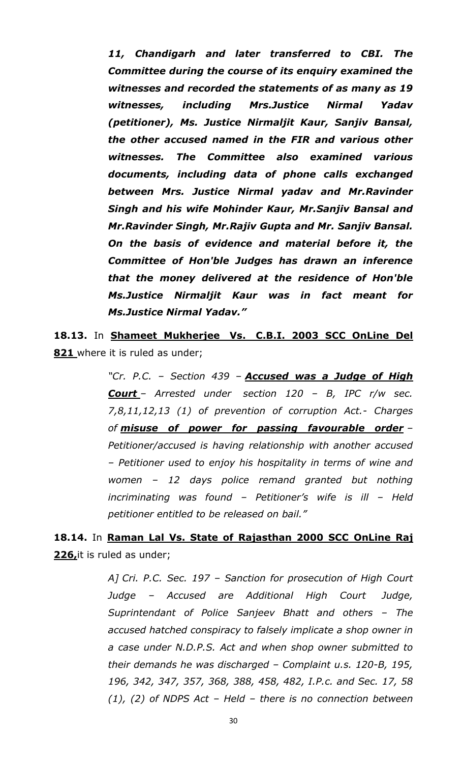*11, Chandigarh and later transferred to CBI. The Committee during the course of its enquiry examined the witnesses and recorded the statements of as many as 19 witnesses, including Mrs.Justice Nirmal Yadav (petitioner), Ms. Justice Nirmaljit Kaur, Sanjiv Bansal, the other accused named in the FIR and various other witnesses. The Committee also examined various documents, including data of phone calls exchanged between Mrs. Justice Nirmal yadav and Mr.Ravinder Singh and his wife Mohinder Kaur, Mr.Sanjiv Bansal and Mr.Ravinder Singh, Mr.Rajiv Gupta and Mr. Sanjiv Bansal. On the basis of evidence and material before it, the Committee of Hon'ble Judges has drawn an inference that the money delivered at the residence of Hon'ble Ms.Justice Nirmaljit Kaur was in fact meant for Ms.Justice Nirmal Yadav."*

**18.13.** In **Shameet Mukherjee Vs. C.B.I. 2003 SCC OnLine Del 821** where it is ruled as under;

> *"Cr. P.C. – Section 439 – Accused was a Judge of High Court – Arrested under section 120 – B, IPC r/w sec. 7,8,11,12,13 (1) of prevention of corruption Act.- Charges of misuse of power for passing favourable order – Petitioner/accused is having relationship with another accused – Petitioner used to enjoy his hospitality in terms of wine and women – 12 days police remand granted but nothing incriminating was found – Petitioner's wife is ill – Held petitioner entitled to be released on bail."*

**18.14.** In **Raman Lal Vs. State of Rajasthan 2000 SCC OnLine Raj 226,**it is ruled as under;

> *A] Cri. P.C. Sec. 197 – Sanction for prosecution of High Court Judge – Accused are Additional High Court Judge, Suprintendant of Police Sanjeev Bhatt and others – The accused hatched conspiracy to falsely implicate a shop owner in a case under N.D.P.S. Act and when shop owner submitted to their demands he was discharged – Complaint u.s. 120-B, 195, 196, 342, 347, 357, 368, 388, 458, 482, I.P.c. and Sec. 17, 58 (1), (2) of NDPS Act – Held – there is no connection between*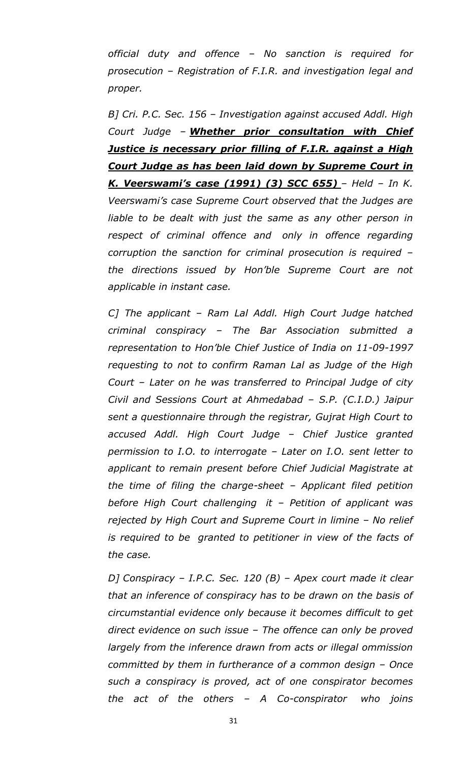*official duty and offence – No sanction is required for prosecution – Registration of F.I.R. and investigation legal and proper.*

*B] Cri. P.C. Sec. 156 – Investigation against accused Addl. High Court Judge – Whether prior consultation with Chief Justice is necessary prior filling of F.I.R. against a High Court Judge as has been laid down by Supreme Court in K. Veerswami's case (1991) (3) SCC 655) – Held – In K. Veerswami's case Supreme Court observed that the Judges are*  liable to be dealt with just the same as any other person in *respect of criminal offence and only in offence regarding corruption the sanction for criminal prosecution is required – the directions issued by Hon'ble Supreme Court are not applicable in instant case.*

*C] The applicant – Ram Lal Addl. High Court Judge hatched criminal conspiracy – The Bar Association submitted a representation to Hon'ble Chief Justice of India on 11-09-1997 requesting to not to confirm Raman Lal as Judge of the High Court – Later on he was transferred to Principal Judge of city Civil and Sessions Court at Ahmedabad – S.P. (C.I.D.) Jaipur sent a questionnaire through the registrar, Gujrat High Court to accused Addl. High Court Judge – Chief Justice granted permission to I.O. to interrogate – Later on I.O. sent letter to applicant to remain present before Chief Judicial Magistrate at the time of filing the charge-sheet – Applicant filed petition before High Court challenging it – Petition of applicant was rejected by High Court and Supreme Court in limine – No relief is required to be granted to petitioner in view of the facts of the case.*

*D] Conspiracy – I.P.C. Sec. 120 (B) – Apex court made it clear that an inference of conspiracy has to be drawn on the basis of circumstantial evidence only because it becomes difficult to get direct evidence on such issue – The offence can only be proved largely from the inference drawn from acts or illegal ommission committed by them in furtherance of a common design – Once such a conspiracy is proved, act of one conspirator becomes the act of the others – A Co-conspirator who joins*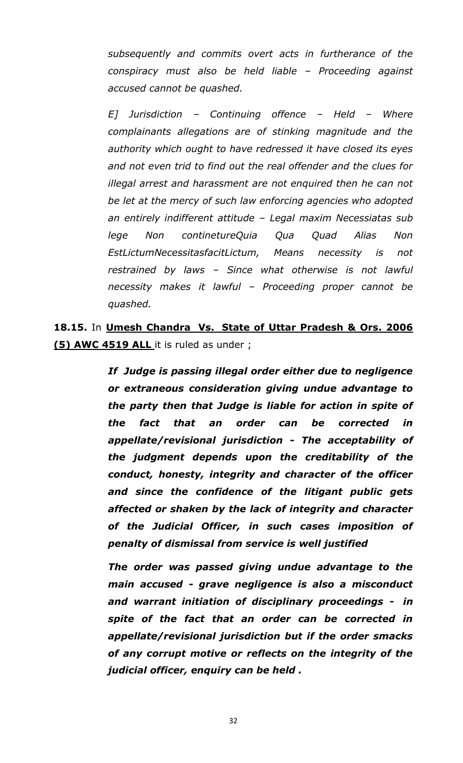*subsequently and commits overt acts in furtherance of the conspiracy must also be held liable – Proceeding against accused cannot be quashed.*

*E] Jurisdiction – Continuing offence – Held – Where complainants allegations are of stinking magnitude and the authority which ought to have redressed it have closed its eyes and not even trid to find out the real offender and the clues for illegal arrest and harassment are not enquired then he can not be let at the mercy of such law enforcing agencies who adopted an entirely indifferent attitude – Legal maxim Necessiatas sub lege Non continetureQuia Qua Quad Alias Non EstLictumNecessitasfacitLictum, Means necessity is not restrained by laws – Since what otherwise is not lawful necessity makes it lawful – Proceeding proper cannot be quashed.*

**18.15.** In **Umesh Chandra Vs. State of Uttar Pradesh & Ors. 2006 (5) AWC 4519 ALL** it is ruled as under ;

> *If Judge is passing illegal order either due to negligence or extraneous consideration giving undue advantage to the party then that Judge is liable for action in spite of the fact that an order can be corrected in appellate/revisional jurisdiction - The acceptability of the judgment depends upon the creditability of the conduct, honesty, integrity and character of the officer and since the confidence of the litigant public gets affected or shaken by the lack of integrity and character of the Judicial Officer, in such cases imposition of penalty of dismissal from service is well justified*

> *The order was passed giving undue advantage to the main accused - grave negligence is also a misconduct and warrant initiation of disciplinary proceedings - in spite of the fact that an order can be corrected in appellate/revisional jurisdiction but if the order smacks of any corrupt motive or reflects on the integrity of the judicial officer, enquiry can be held .*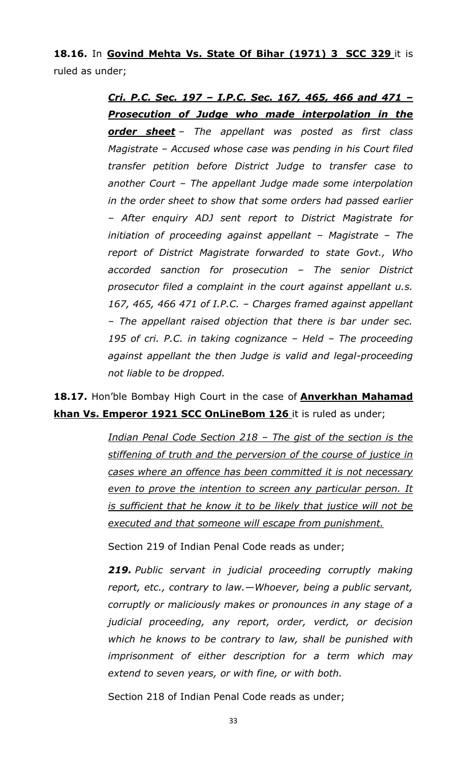**18.16.** In **Govind Mehta Vs. State Of Bihar (1971) 3 SCC 329** it is ruled as under;

> *Cri. P.C. Sec. 197 – I.P.C. Sec. 167, 465, 466 and 471 – Prosecution of Judge who made interpolation in the order sheet – The appellant was posted as first class Magistrate – Accused whose case was pending in his Court filed transfer petition before District Judge to transfer case to another Court – The appellant Judge made some interpolation in the order sheet to show that some orders had passed earlier – After enquiry ADJ sent report to District Magistrate for initiation of proceeding against appellant – Magistrate – The report of District Magistrate forwarded to state Govt., Who accorded sanction for prosecution – The senior District prosecutor filed a complaint in the court against appellant u.s. 167, 465, 466 471 of I.P.C. – Charges framed against appellant – The appellant raised objection that there is bar under sec. 195 of cri. P.C. in taking cognizance – Held – The proceeding against appellant the then Judge is valid and legal-proceeding not liable to be dropped.*

**18.17.** Hon'ble Bombay High Court in the case of **Anverkhan Mahamad khan Vs. Emperor 1921 SCC OnLineBom 126** it is ruled as under;

> *Indian Penal Code Section 218 – The gist of the section is the stiffening of truth and the perversion of the course of justice in cases where an offence has been committed it is not necessary even to prove the intention to screen any particular person. It is sufficient that he know it to be likely that justice will not be executed and that someone will escape from punishment.*

Section 219 of Indian Penal Code reads as under;

*219. Public servant in judicial proceeding corruptly making report, etc., contrary to law.—Whoever, being a public servant, corruptly or maliciously makes or pronounces in any stage of a judicial proceeding, any report, order, verdict, or decision which he knows to be contrary to law, shall be punished with imprisonment of either description for a term which may extend to seven years, or with fine, or with both.*

Section 218 of Indian Penal Code reads as under;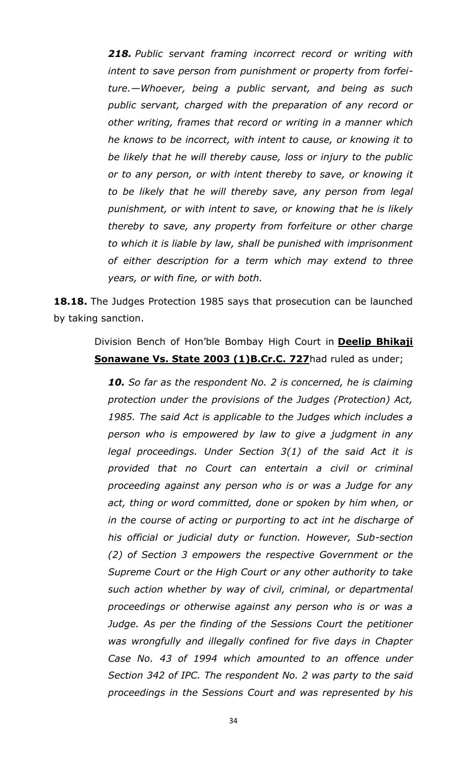*218. Public servant framing incorrect record or writing with intent to save person from punishment or property from forfeiture.—Whoever, being a public servant, and being as such public servant, charged with the preparation of any record or other writing, frames that record or writing in a manner which he knows to be incorrect, with intent to cause, or knowing it to be likely that he will thereby cause, loss or injury to the public or to any person, or with intent thereby to save, or knowing it to be likely that he will thereby save, any person from legal punishment, or with intent to save, or knowing that he is likely thereby to save, any property from forfeiture or other charge to which it is liable by law, shall be punished with imprisonment of either description for a term which may extend to three years, or with fine, or with both.*

**18.18.** The Judges Protection 1985 says that prosecution can be launched by taking sanction.

### Division Bench of Hon'ble Bombay High Court in **Deelip Bhikaji Sonawane Vs. State 2003 (1)B.Cr.C. 727had ruled as under;**

*10. So far as the respondent No. 2 is concerned, he is claiming protection under the provisions of the Judges (Protection) Act, 1985. The said Act is applicable to the Judges which includes a person who is empowered by law to give a judgment in any legal proceedings. Under Section 3(1) of the said Act it is provided that no Court can entertain a civil or criminal proceeding against any person who is or was a Judge for any act, thing or word committed, done or spoken by him when, or in the course of acting or purporting to act int he discharge of his official or judicial duty or function. However, Sub-section (2) of Section 3 empowers the respective Government or the Supreme Court or the High Court or any other authority to take such action whether by way of civil, criminal, or departmental proceedings or otherwise against any person who is or was a*  Judge. As per the finding of the Sessions Court the petitioner *was wrongfully and illegally confined for five days in Chapter Case No. 43 of 1994 which amounted to an offence under Section 342 of IPC. The respondent No. 2 was party to the said proceedings in the Sessions Court and was represented by his*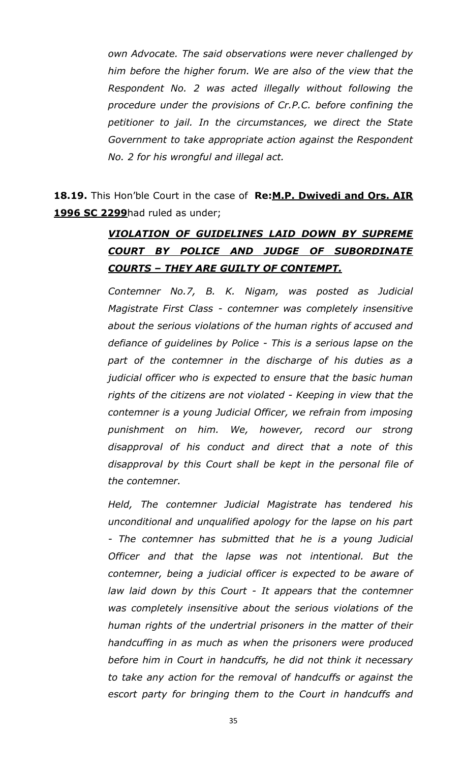*own Advocate. The said observations were never challenged by him before the higher forum. We are also of the view that the Respondent No. 2 was acted illegally without following the procedure under the provisions of Cr.P.C. before confining the petitioner to jail. In the circumstances, we direct the State Government to take appropriate action against the Respondent No. 2 for his wrongful and illegal act.*

**18.19.** This Hon'ble Court in the case of **Re:M.P. Dwivedi and Ors. AIR 1996 SC 2299**had ruled as under;

## *VIOLATION OF GUIDELINES LAID DOWN BY SUPREME COURT BY POLICE AND JUDGE OF SUBORDINATE COURTS – THEY ARE GUILTY OF CONTEMPT.*

*Contemner No.7, B. K. Nigam, was posted as Judicial Magistrate First Class - contemner was completely insensitive about the serious violations of the human rights of accused and defiance of guidelines by Police - This is a serious lapse on the part of the contemner in the discharge of his duties as a judicial officer who is expected to ensure that the basic human rights of the citizens are not violated - Keeping in view that the contemner is a young Judicial Officer, we refrain from imposing punishment on him. We, however, record our strong disapproval of his conduct and direct that a note of this disapproval by this Court shall be kept in the personal file of the contemner.*

*Held, The contemner Judicial Magistrate has tendered his unconditional and unqualified apology for the lapse on his part - The contemner has submitted that he is a young Judicial Officer and that the lapse was not intentional. But the contemner, being a judicial officer is expected to be aware of law laid down by this Court - It appears that the contemner was completely insensitive about the serious violations of the human rights of the undertrial prisoners in the matter of their handcuffing in as much as when the prisoners were produced before him in Court in handcuffs, he did not think it necessary to take any action for the removal of handcuffs or against the escort party for bringing them to the Court in handcuffs and*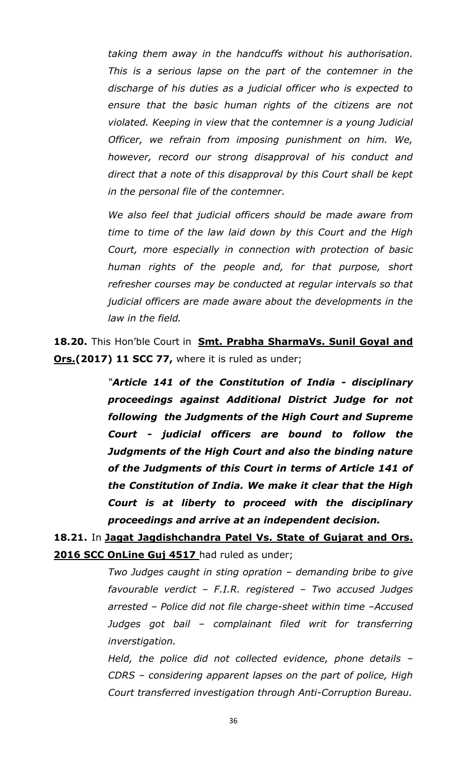*taking them away in the handcuffs without his authorisation. This is a serious lapse on the part of the contemner in the discharge of his duties as a judicial officer who is expected to ensure that the basic human rights of the citizens are not violated. Keeping in view that the contemner is a young Judicial Officer, we refrain from imposing punishment on him. We, however, record our strong disapproval of his conduct and direct that a note of this disapproval by this Court shall be kept in the personal file of the contemner.*

*We also feel that judicial officers should be made aware from time to time of the law laid down by this Court and the High Court, more especially in connection with protection of basic human rights of the people and, for that purpose, short refresher courses may be conducted at regular intervals so that judicial officers are made aware about the developments in the law in the field.*

**18.20.** This Hon'ble Court in **Smt. Prabha SharmaVs. Sunil Goyal and Ors.(2017) 11 SCC 77, where it is ruled as under;** 

> *"Article 141 of the Constitution of India - disciplinary proceedings against Additional District Judge for not following the Judgments of the High Court and Supreme Court - judicial officers are bound to follow the Judgments of the High Court and also the binding nature of the Judgments of this Court in terms of Article 141 of the Constitution of India. We make it clear that the High Court is at liberty to proceed with the disciplinary proceedings and arrive at an independent decision.*

**18.21.** In **Jagat Jagdishchandra Patel Vs. State of Gujarat and Ors.**  2016 SCC OnLine Guj 4517 had ruled as under;

> *Two Judges caught in sting opration – demanding bribe to give favourable verdict – F.I.R. registered – Two accused Judges arrested – Police did not file charge-sheet within time –Accused Judges got bail – complainant filed writ for transferring inverstigation.*

> *Held, the police did not collected evidence, phone details – CDRS – considering apparent lapses on the part of police, High Court transferred investigation through Anti-Corruption Bureau.*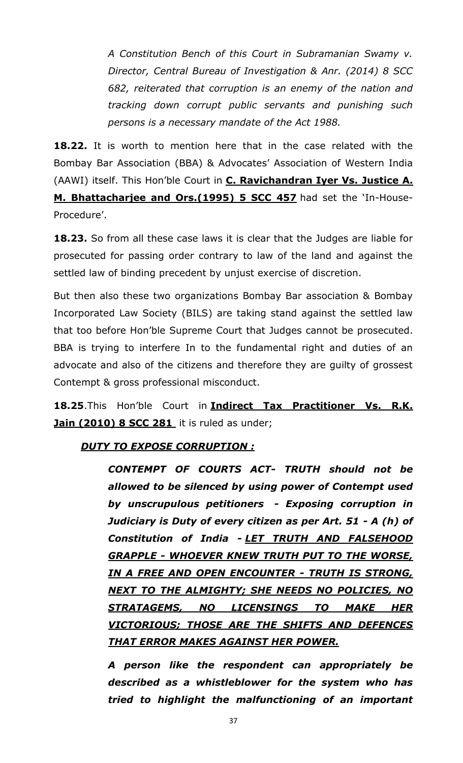*A Constitution Bench of this Court in Subramanian Swamy v. Director, Central Bureau of Investigation & Anr. (2014) 8 SCC 682, reiterated that corruption is an enemy of the nation and tracking down corrupt public servants and punishing such persons is a necessary mandate of the Act 1988.*

**18.22.** It is worth to mention here that in the case related with the Bombay Bar Association (BBA) & Advocates' Association of Western India (AAWI) itself. This Hon'ble Court in **C. Ravichandran Iyer Vs. Justice A. M. Bhattacharjee and Ors.(1995) 5 SCC 457** had set the 'In-House-Procedure'.

**18.23.** So from all these case laws it is clear that the Judges are liable for prosecuted for passing order contrary to law of the land and against the settled law of binding precedent by unjust exercise of discretion.

But then also these two organizations Bombay Bar association & Bombay Incorporated Law Society (BILS) are taking stand against the settled law that too before Hon'ble Supreme Court that Judges cannot be prosecuted. BBA is trying to interfere In to the fundamental right and duties of an advocate and also of the citizens and therefore they are guilty of grossest Contempt & gross professional misconduct.

**18.25**.This Hon'ble Court in **Indirect Tax Practitioner Vs. R.K. Jain (2010) 8 SCC 281** it is ruled as under;

### *DUTY TO EXPOSE CORRUPTION :*

*CONTEMPT OF COURTS ACT- TRUTH should not be allowed to be silenced by using power of Contempt used by unscrupulous petitioners - Exposing corruption in Judiciary is Duty of every citizen as per Art. 51 - A (h) of Constitution of India - LET TRUTH AND FALSEHOOD GRAPPLE - WHOEVER KNEW TRUTH PUT TO THE WORSE, IN A FREE AND OPEN ENCOUNTER - TRUTH IS STRONG, NEXT TO THE ALMIGHTY; SHE NEEDS NO POLICIES, NO STRATAGEMS, NO LICENSINGS TO MAKE HER VICTORIOUS; THOSE ARE THE SHIFTS AND DEFENCES THAT ERROR MAKES AGAINST HER POWER.*

*A person like the respondent can appropriately be described as a whistleblower for the system who has tried to highlight the malfunctioning of an important*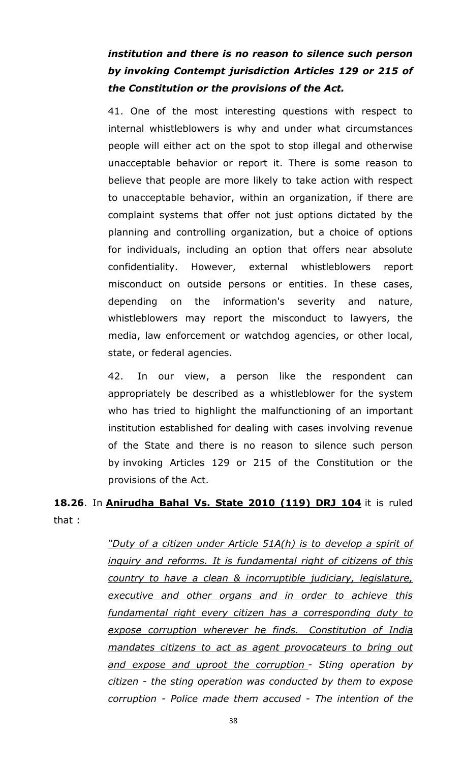# *institution and there is no reason to silence such person by invoking Contempt jurisdiction Articles 129 or 215 of the Constitution or the provisions of the Act.*

41. One of the most interesting questions with respect to internal whistleblowers is why and under what circumstances people will either act on the spot to stop illegal and otherwise unacceptable behavior or report it. There is some reason to believe that people are more likely to take action with respect to unacceptable behavior, within an organization, if there are complaint systems that offer not just options dictated by the planning and controlling organization, but a choice of options for individuals, including an option that offers near absolute confidentiality. However, external whistleblowers report misconduct on outside persons or entities. In these cases, depending on the information's severity and nature, whistleblowers may report the misconduct to lawyers, the media, law enforcement or watchdog agencies, or other local, state, or federal agencies.

42. In our view, a person like the respondent can appropriately be described as a whistleblower for the system who has tried to highlight the malfunctioning of an important institution established for dealing with cases involving revenue of the State and there is no reason to silence such person by invoking Articles 129 or 215 of the Constitution or the provisions of the Act.

### **18.26**. In **Anirudha Bahal Vs. State 2010 (119) DRJ 104** it is ruled that :

*"Duty of a citizen under Article 51A(h) is to develop a spirit of inquiry and reforms. It is fundamental right of citizens of this country to have a clean & incorruptible judiciary, legislature, executive and other organs and in order to achieve this fundamental right every citizen has a corresponding duty to expose corruption wherever he finds. Constitution of India mandates citizens to act as agent provocateurs to bring out and expose and uproot the corruption - Sting operation by citizen - the sting operation was conducted by them to expose corruption - Police made them accused - The intention of the*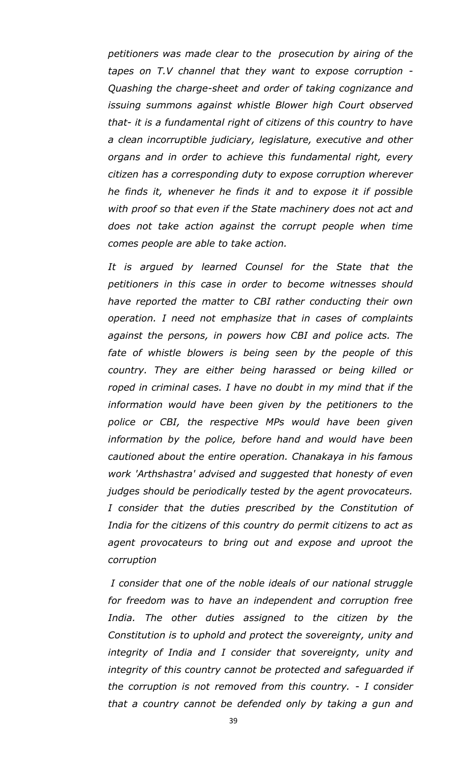*petitioners was made clear to the prosecution by airing of the tapes on T.V channel that they want to expose corruption - Quashing the charge-sheet and order of taking cognizance and issuing summons against whistle Blower high Court observed that- it is a fundamental right of citizens of this country to have a clean incorruptible judiciary, legislature, executive and other organs and in order to achieve this fundamental right, every citizen has a corresponding duty to expose corruption wherever he finds it, whenever he finds it and to expose it if possible with proof so that even if the State machinery does not act and does not take action against the corrupt people when time comes people are able to take action.*

*It is argued by learned Counsel for the State that the petitioners in this case in order to become witnesses should have reported the matter to CBI rather conducting their own operation. I need not emphasize that in cases of complaints against the persons, in powers how CBI and police acts. The*  fate of whistle blowers is being seen by the people of this *country. They are either being harassed or being killed or roped in criminal cases. I have no doubt in my mind that if the information would have been given by the petitioners to the police or CBI, the respective MPs would have been given information by the police, before hand and would have been cautioned about the entire operation. Chanakaya in his famous work 'Arthshastra' advised and suggested that honesty of even judges should be periodically tested by the agent provocateurs. I consider that the duties prescribed by the Constitution of India for the citizens of this country do permit citizens to act as agent provocateurs to bring out and expose and uproot the corruption*

*I consider that one of the noble ideals of our national struggle for freedom was to have an independent and corruption free India. The other duties assigned to the citizen by the Constitution is to uphold and protect the sovereignty, unity and integrity of India and I consider that sovereignty, unity and integrity of this country cannot be protected and safeguarded if the corruption is not removed from this country. - I consider that a country cannot be defended only by taking a gun and*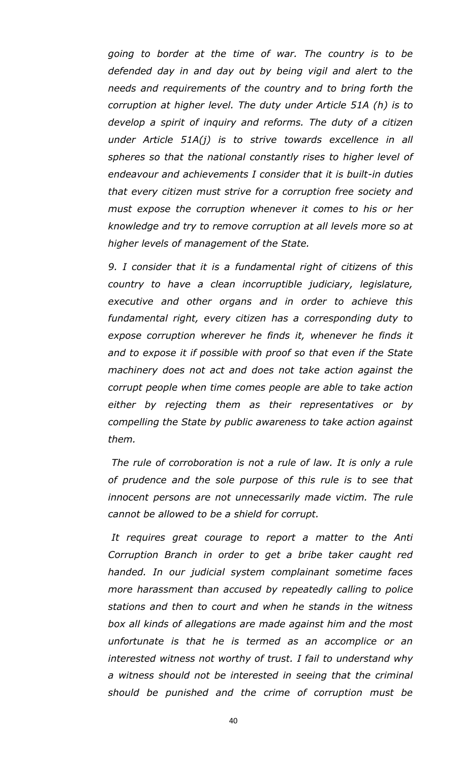*going to border at the time of war. The country is to be defended day in and day out by being vigil and alert to the needs and requirements of the country and to bring forth the corruption at higher level. The duty under Article 51A (h) is to develop a spirit of inquiry and reforms. The duty of a citizen under Article 51A(j) is to strive towards excellence in all spheres so that the national constantly rises to higher level of endeavour and achievements I consider that it is built-in duties that every citizen must strive for a corruption free society and must expose the corruption whenever it comes to his or her knowledge and try to remove corruption at all levels more so at higher levels of management of the State.*

*9. I consider that it is a fundamental right of citizens of this country to have a clean incorruptible judiciary, legislature, executive and other organs and in order to achieve this fundamental right, every citizen has a corresponding duty to expose corruption wherever he finds it, whenever he finds it and to expose it if possible with proof so that even if the State machinery does not act and does not take action against the corrupt people when time comes people are able to take action either by rejecting them as their representatives or by compelling the State by public awareness to take action against them.*

*The rule of corroboration is not a rule of law. It is only a rule of prudence and the sole purpose of this rule is to see that innocent persons are not unnecessarily made victim. The rule cannot be allowed to be a shield for corrupt.*

*It requires great courage to report a matter to the Anti Corruption Branch in order to get a bribe taker caught red handed. In our judicial system complainant sometime faces more harassment than accused by repeatedly calling to police stations and then to court and when he stands in the witness box all kinds of allegations are made against him and the most unfortunate is that he is termed as an accomplice or an interested witness not worthy of trust. I fail to understand why a witness should not be interested in seeing that the criminal should be punished and the crime of corruption must be*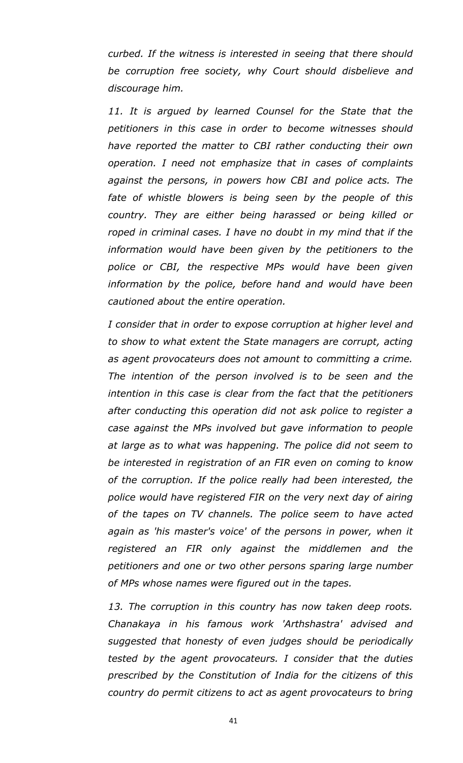*curbed. If the witness is interested in seeing that there should be corruption free society, why Court should disbelieve and discourage him.*

11. It is argued by learned Counsel for the State that the *petitioners in this case in order to become witnesses should have reported the matter to CBI rather conducting their own operation. I need not emphasize that in cases of complaints against the persons, in powers how CBI and police acts. The*  fate of whistle blowers is being seen by the people of this *country. They are either being harassed or being killed or roped in criminal cases. I have no doubt in my mind that if the information would have been given by the petitioners to the police or CBI, the respective MPs would have been given information by the police, before hand and would have been cautioned about the entire operation.*

*I consider that in order to expose corruption at higher level and to show to what extent the State managers are corrupt, acting as agent provocateurs does not amount to committing a crime. The intention of the person involved is to be seen and the intention in this case is clear from the fact that the petitioners after conducting this operation did not ask police to register a case against the MPs involved but gave information to people at large as to what was happening. The police did not seem to be interested in registration of an FIR even on coming to know of the corruption. If the police really had been interested, the police would have registered FIR on the very next day of airing of the tapes on TV channels. The police seem to have acted again as 'his master's voice' of the persons in power, when it registered an FIR only against the middlemen and the petitioners and one or two other persons sparing large number of MPs whose names were figured out in the tapes.*

*13. The corruption in this country has now taken deep roots. Chanakaya in his famous work 'Arthshastra' advised and suggested that honesty of even judges should be periodically tested by the agent provocateurs. I consider that the duties prescribed by the Constitution of India for the citizens of this country do permit citizens to act as agent provocateurs to bring* 

41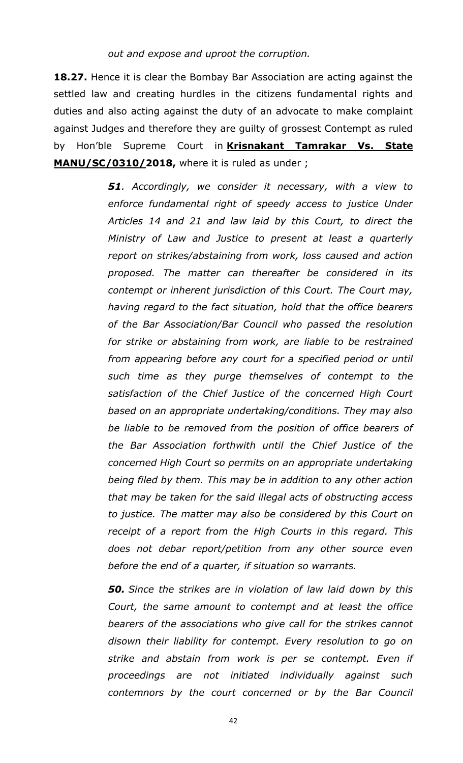**18.27.** Hence it is clear the Bombay Bar Association are acting against the settled law and creating hurdles in the citizens fundamental rights and duties and also acting against the duty of an advocate to make complaint against Judges and therefore they are guilty of grossest Contempt as ruled by Hon'ble Supreme Court in **Krisnakant Tamrakar Vs. State MANU/SC/0310/2018,** where it is ruled as under ;

> *51. Accordingly, we consider it necessary, with a view to enforce fundamental right of speedy access to justice Under Articles 14 and 21 and law laid by this Court, to direct the Ministry of Law and Justice to present at least a quarterly report on strikes/abstaining from work, loss caused and action proposed. The matter can thereafter be considered in its contempt or inherent jurisdiction of this Court. The Court may, having regard to the fact situation, hold that the office bearers of the Bar Association/Bar Council who passed the resolution for strike or abstaining from work, are liable to be restrained from appearing before any court for a specified period or until such time as they purge themselves of contempt to the satisfaction of the Chief Justice of the concerned High Court based on an appropriate undertaking/conditions. They may also be liable to be removed from the position of office bearers of the Bar Association forthwith until the Chief Justice of the concerned High Court so permits on an appropriate undertaking being filed by them. This may be in addition to any other action that may be taken for the said illegal acts of obstructing access to justice. The matter may also be considered by this Court on*  receipt of a report from the High Courts in this regard. This *does not debar report/petition from any other source even before the end of a quarter, if situation so warrants.*

> *50. Since the strikes are in violation of law laid down by this Court, the same amount to contempt and at least the office bearers of the associations who give call for the strikes cannot disown their liability for contempt. Every resolution to go on strike and abstain from work is per se contempt. Even if proceedings are not initiated individually against such contemnors by the court concerned or by the Bar Council*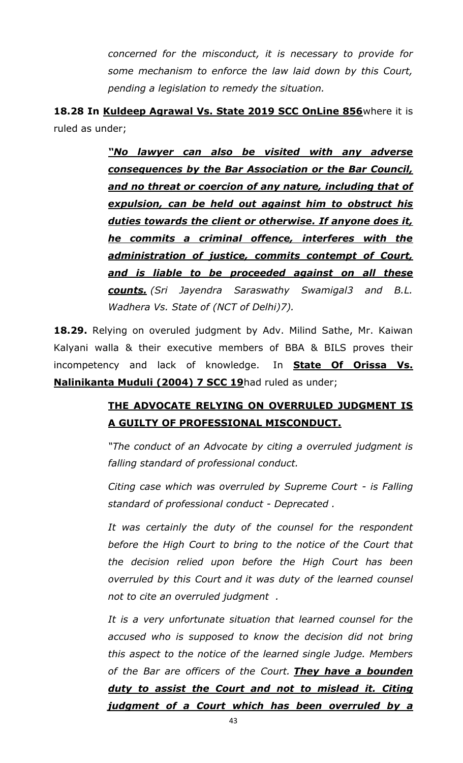*concerned for the misconduct, it is necessary to provide for some mechanism to enforce the law laid down by this Court, pending a legislation to remedy the situation.*

**18.28 In Kuldeep Agrawal Vs. State 2019 SCC OnLine 856**where it is ruled as under;

> *"No lawyer can also be visited with any adverse consequences by the Bar Association or the Bar Council, and no threat or coercion of any nature, including that of expulsion, can be held out against him to obstruct his duties towards the client or otherwise. If anyone does it, he commits a criminal offence, interferes with the administration of justice, commits contempt of Court, and is liable to be proceeded against on all these counts. (Sri Jayendra Saraswathy Swamigal3 and B.L. Wadhera Vs. State of (NCT of Delhi)7).*

**18.29.** Relying on overuled judgment by Adv. Milind Sathe, Mr. Kaiwan Kalyani walla & their executive members of BBA & BILS proves their incompetency and lack of knowledge. In **State Of Orissa Vs. Nalinikanta Muduli (2004) 7 SCC 19**had ruled as under;

## **THE ADVOCATE RELYING ON OVERRULED JUDGMENT IS A GUILTY OF PROFESSIONAL MISCONDUCT.**

*"The conduct of an Advocate by citing a overruled judgment is falling standard of professional conduct.*

*Citing case which was overruled by Supreme Court - is Falling standard of professional conduct - Deprecated .*

*It was certainly the duty of the counsel for the respondent before the High Court to bring to the notice of the Court that the decision relied upon before the High Court has been overruled by this Court and it was duty of the learned counsel not to cite an overruled judgment .*

*It is a very unfortunate situation that learned counsel for the accused who is supposed to know the decision did not bring this aspect to the notice of the learned single Judge. Members of the Bar are officers of the Court. They have a bounden duty to assist the Court and not to mislead it. Citing judgment of a Court which has been overruled by a*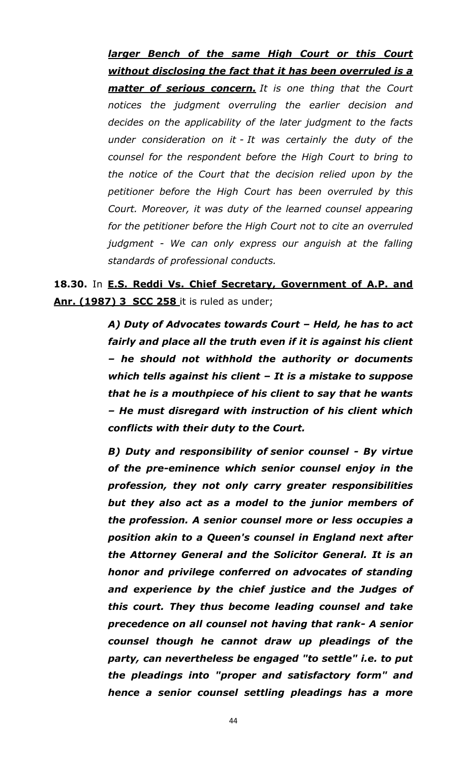*larger Bench of the same High Court or this Court without disclosing the fact that it has been overruled is a matter of serious concern. It is one thing that the Court notices the judgment overruling the earlier decision and decides on the applicability of the later judgment to the facts under consideration on it - It was certainly the duty of the counsel for the respondent before the High Court to bring to the notice of the Court that the decision relied upon by the petitioner before the High Court has been overruled by this Court. Moreover, it was duty of the learned counsel appearing for the petitioner before the High Court not to cite an overruled judgment - We can only express our anguish at the falling standards of professional conducts.*

**18.30.** In **E.S. Reddi Vs. Chief Secretary, Government of A.P. and Anr. (1987) 3 SCC 258** it is ruled as under;

> *A) Duty of Advocates towards Court – Held, he has to act fairly and place all the truth even if it is against his client – he should not withhold the authority or documents which tells against his client – It is a mistake to suppose that he is a mouthpiece of his client to say that he wants – He must disregard with instruction of his client which conflicts with their duty to the Court.*

> *B) Duty and responsibility of senior counsel - By virtue of the pre-eminence which senior counsel enjoy in the profession, they not only carry greater responsibilities but they also act as a model to the junior members of the profession. A senior counsel more or less occupies a position akin to a Queen's counsel in England next after the Attorney General and the Solicitor General. It is an honor and privilege conferred on advocates of standing and experience by the chief justice and the Judges of this court. They thus become leading counsel and take precedence on all counsel not having that rank- A senior counsel though he cannot draw up pleadings of the party, can nevertheless be engaged "to settle" i.e. to put the pleadings into "proper and satisfactory form" and hence a senior counsel settling pleadings has a more*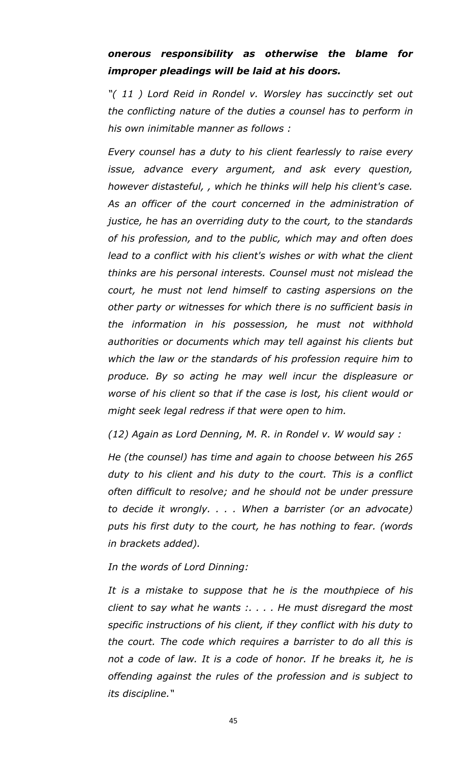## *onerous responsibility as otherwise the blame for improper pleadings will be laid at his doors.*

*"( 11 ) Lord Reid in Rondel v. Worsley has succinctly set out the conflicting nature of the duties a counsel has to perform in his own inimitable manner as follows :*

*Every counsel has a duty to his client fearlessly to raise every issue, advance every argument, and ask every question, however distasteful, , which he thinks will help his client's case. As an officer of the court concerned in the administration of justice, he has an overriding duty to the court, to the standards of his profession, and to the public, which may and often does*  lead to a conflict with his client's wishes or with what the client *thinks are his personal interests. Counsel must not mislead the court, he must not lend himself to casting aspersions on the other party or witnesses for which there is no sufficient basis in the information in his possession, he must not withhold authorities or documents which may tell against his clients but which the law or the standards of his profession require him to produce. By so acting he may well incur the displeasure or worse of his client so that if the case is lost, his client would or might seek legal redress if that were open to him.*

*(12) Again as Lord Denning, M. R. in Rondel v. W would say :*

*He (the counsel) has time and again to choose between his 265 duty to his client and his duty to the court. This is a conflict often difficult to resolve; and he should not be under pressure to decide it wrongly. . . . When a barrister (or an advocate) puts his first duty to the court, he has nothing to fear. (words in brackets added).*

*In the words of Lord Dinning:*

*It is a mistake to suppose that he is the mouthpiece of his client to say what he wants :. . . . He must disregard the most specific instructions of his client, if they conflict with his duty to the court. The code which requires a barrister to do all this is not a code of law. It is a code of honor. If he breaks it, he is offending against the rules of the profession and is subject to its discipline."*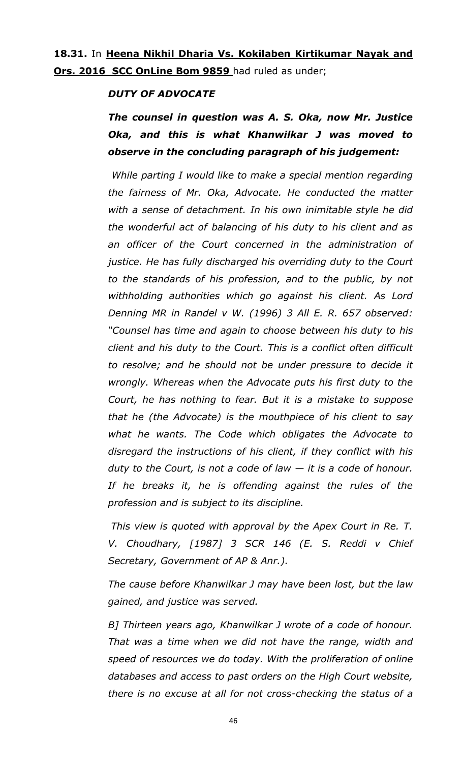### **18.31.** In **Heena Nikhil Dharia Vs. Kokilaben Kirtikumar Nayak and Ors. 2016 SCC OnLine Bom 9859** had ruled as under;

#### *DUTY OF ADVOCATE*

*The counsel in question was A. S. Oka, now Mr. Justice Oka, and this is what Khanwilkar J was moved to observe in the concluding paragraph of his judgement:*

*While parting I would like to make a special mention regarding the fairness of Mr. Oka, Advocate. He conducted the matter with a sense of detachment. In his own inimitable style he did the wonderful act of balancing of his duty to his client and as an officer of the Court concerned in the administration of justice. He has fully discharged his overriding duty to the Court to the standards of his profession, and to the public, by not withholding authorities which go against his client. As Lord Denning MR in Randel v W. (1996) 3 All E. R. 657 observed: "Counsel has time and again to choose between his duty to his client and his duty to the Court. This is a conflict often difficult to resolve; and he should not be under pressure to decide it wrongly. Whereas when the Advocate puts his first duty to the Court, he has nothing to fear. But it is a mistake to suppose that he (the Advocate) is the mouthpiece of his client to say what he wants. The Code which obligates the Advocate to disregard the instructions of his client, if they conflict with his duty to the Court, is not a code of law — it is a code of honour. If he breaks it, he is offending against the rules of the profession and is subject to its discipline.*

*This view is quoted with approval by the Apex Court in Re. T. V. Choudhary, [1987] 3 SCR 146 (E. S. Reddi v Chief Secretary, Government of AP & Anr.).*

*The cause before Khanwilkar J may have been lost, but the law gained, and justice was served.*

*B] Thirteen years ago, Khanwilkar J wrote of a code of honour. That was a time when we did not have the range, width and speed of resources we do today. With the proliferation of online databases and access to past orders on the High Court website, there is no excuse at all for not cross-checking the status of a*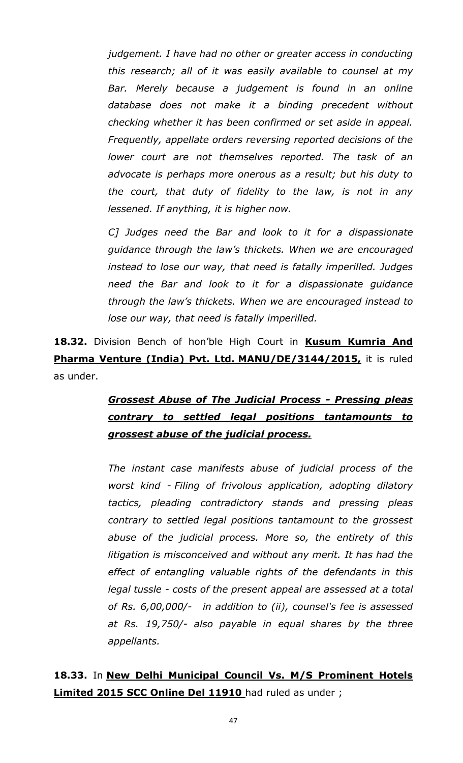*judgement. I have had no other or greater access in conducting this research; all of it was easily available to counsel at my Bar. Merely because a judgement is found in an online database does not make it a binding precedent without checking whether it has been confirmed or set aside in appeal. Frequently, appellate orders reversing reported decisions of the lower court are not themselves reported. The task of an advocate is perhaps more onerous as a result; but his duty to the court, that duty of fidelity to the law, is not in any lessened. If anything, it is higher now.*

*C] Judges need the Bar and look to it for a dispassionate guidance through the law's thickets. When we are encouraged instead to lose our way, that need is fatally imperilled. Judges need the Bar and look to it for a dispassionate guidance through the law's thickets. When we are encouraged instead to lose our way, that need is fatally imperilled.*

**18.32.** Division Bench of hon'ble High Court in **Kusum Kumria And Pharma Venture (India) Pvt. Ltd. MANU/DE/3144/2015,** it is ruled as under.

# *Grossest Abuse of The Judicial Process - Pressing pleas contrary to settled legal positions tantamounts to grossest abuse of the judicial process.*

*The instant case manifests abuse of judicial process of the worst kind - Filing of frivolous application, adopting dilatory tactics, pleading contradictory stands and pressing pleas contrary to settled legal positions tantamount to the grossest abuse of the judicial process. More so, the entirety of this litigation is misconceived and without any merit. It has had the effect of entangling valuable rights of the defendants in this legal tussle - costs of the present appeal are assessed at a total of Rs. 6,00,000/- in addition to (ii), counsel's fee is assessed at Rs. 19,750/- also payable in equal shares by the three appellants.*

**18.33.** In **New Delhi Municipal Council Vs. M/S Prominent Hotels Limited 2015 SCC Online Del 11910** had ruled as under ;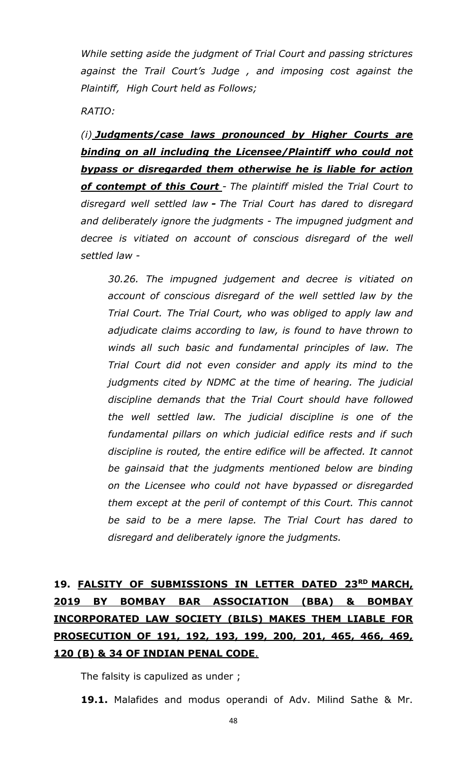*While setting aside the judgment of Trial Court and passing strictures against the Trail Court's Judge , and imposing cost against the Plaintiff, High Court held as Follows;*

*RATIO:*

*(i) Judgments/case laws pronounced by Higher Courts are binding on all including the Licensee/Plaintiff who could not bypass or disregarded them otherwise he is liable for action of contempt of this Court - The plaintiff misled the Trial Court to disregard well settled law - The Trial Court has dared to disregard and deliberately ignore the judgments - The impugned judgment and decree is vitiated on account of conscious disregard of the well settled law -*

*30.26. The impugned judgement and decree is vitiated on account of conscious disregard of the well settled law by the Trial Court. The Trial Court, who was obliged to apply law and adjudicate claims according to law, is found to have thrown to winds all such basic and fundamental principles of law. The Trial Court did not even consider and apply its mind to the judgments cited by NDMC at the time of hearing. The judicial discipline demands that the Trial Court should have followed the well settled law. The judicial discipline is one of the fundamental pillars on which judicial edifice rests and if such discipline is routed, the entire edifice will be affected. It cannot be gainsaid that the judgments mentioned below are binding on the Licensee who could not have bypassed or disregarded them except at the peril of contempt of this Court. This cannot be said to be a mere lapse. The Trial Court has dared to disregard and deliberately ignore the judgments.*

# **19. FALSITY OF SUBMISSIONS IN LETTER DATED 23RD MARCH, 2019 BY BOMBAY BAR ASSOCIATION (BBA) & BOMBAY INCORPORATED LAW SOCIETY (BILS) MAKES THEM LIABLE FOR PROSECUTION OF 191, 192, 193, 199, 200, 201, 465, 466, 469, 120 (B) & 34 OF INDIAN PENAL CODE**.

The falsity is capulized as under ;

**19.1.** Malafides and modus operandi of Adv. Milind Sathe & Mr.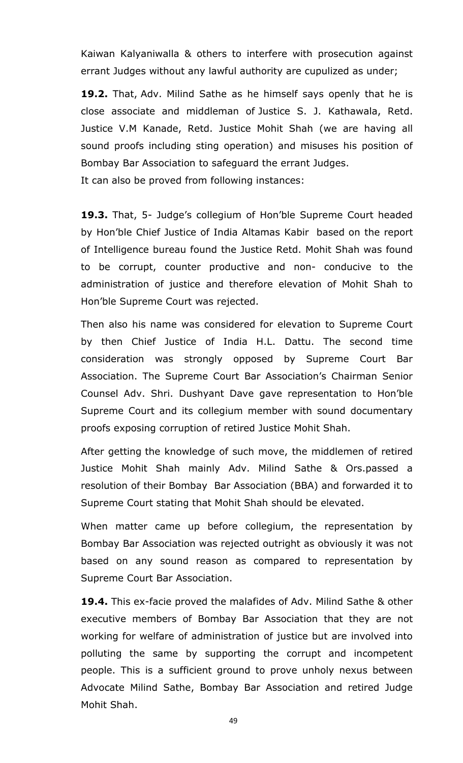Kaiwan Kalyaniwalla & others to interfere with prosecution against errant Judges without any lawful authority are cupulized as under;

**19.2.** That, Adv. Milind Sathe as he himself says openly that he is close associate and middleman of Justice S. J. Kathawala, Retd. Justice V.M Kanade, Retd. Justice Mohit Shah (we are having all sound proofs including sting operation) and misuses his position of Bombay Bar Association to safeguard the errant Judges. It can also be proved from following instances:

**19.3.** That, 5- Judge's collegium of Hon'ble Supreme Court headed by Hon'ble Chief Justice of India Altamas Kabir based on the report of Intelligence bureau found the Justice Retd. Mohit Shah was found to be corrupt, counter productive and non- conducive to the administration of justice and therefore elevation of Mohit Shah to Hon'ble Supreme Court was rejected.

Then also his name was considered for elevation to Supreme Court by then Chief Justice of India H.L. Dattu. The second time consideration was strongly opposed by Supreme Court Bar Association. The Supreme Court Bar Association's Chairman Senior Counsel Adv. Shri. Dushyant Dave gave representation to Hon'ble Supreme Court and its collegium member with sound documentary proofs exposing corruption of retired Justice Mohit Shah.

After getting the knowledge of such move, the middlemen of retired Justice Mohit Shah mainly Adv. Milind Sathe & Ors.passed a resolution of their Bombay Bar Association (BBA) and forwarded it to Supreme Court stating that Mohit Shah should be elevated.

When matter came up before collegium, the representation by Bombay Bar Association was rejected outright as obviously it was not based on any sound reason as compared to representation by Supreme Court Bar Association.

**19.4.** This ex-facie proved the malafides of Adv. Milind Sathe & other executive members of Bombay Bar Association that they are not working for welfare of administration of justice but are involved into polluting the same by supporting the corrupt and incompetent people. This is a sufficient ground to prove unholy nexus between Advocate Milind Sathe, Bombay Bar Association and retired Judge Mohit Shah.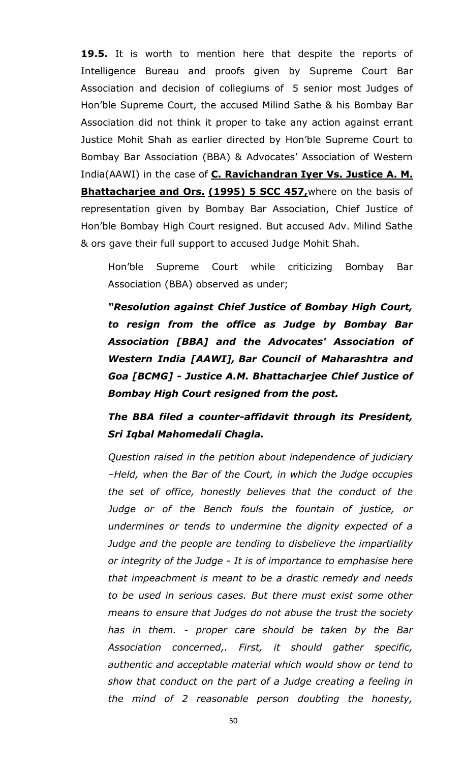**19.5.** It is worth to mention here that despite the reports of Intelligence Bureau and proofs given by Supreme Court Bar Association and decision of collegiums of 5 senior most Judges of Hon'ble Supreme Court, the accused Milind Sathe & his Bombay Bar Association did not think it proper to take any action against errant Justice Mohit Shah as earlier directed by Hon'ble Supreme Court to Bombay Bar Association (BBA) & Advocates' Association of Western India(AAWI) in the case of **C. Ravichandran Iyer Vs. Justice A. M. Bhattacharjee and Ors. (1995) 5 SCC 457,**where on the basis of representation given by Bombay Bar Association, Chief Justice of Hon'ble Bombay High Court resigned. But accused Adv. Milind Sathe & ors gave their full support to accused Judge Mohit Shah.

Hon'ble Supreme Court while criticizing Bombay Bar Association (BBA) observed as under;

*"Resolution against Chief Justice of Bombay High Court, to resign from the office as Judge by Bombay Bar Association [BBA] and the Advocates' Association of Western India [AAWI], Bar Council of Maharashtra and Goa [BCMG] - Justice A.M. Bhattacharjee Chief Justice of Bombay High Court resigned from the post.*

*The BBA filed a counter-affidavit through its President, Sri Iqbal Mahomedali Chagla.*

*Question raised in the petition about independence of judiciary –Held, when the Bar of the Court, in which the Judge occupies the set of office, honestly believes that the conduct of the Judge or of the Bench fouls the fountain of justice, or undermines or tends to undermine the dignity expected of a Judge and the people are tending to disbelieve the impartiality or integrity of the Judge - It is of importance to emphasise here that impeachment is meant to be a drastic remedy and needs to be used in serious cases. But there must exist some other means to ensure that Judges do not abuse the trust the society has in them. - proper care should be taken by the Bar Association concerned,. First, it should gather specific, authentic and acceptable material which would show or tend to show that conduct on the part of a Judge creating a feeling in the mind of 2 reasonable person doubting the honesty,*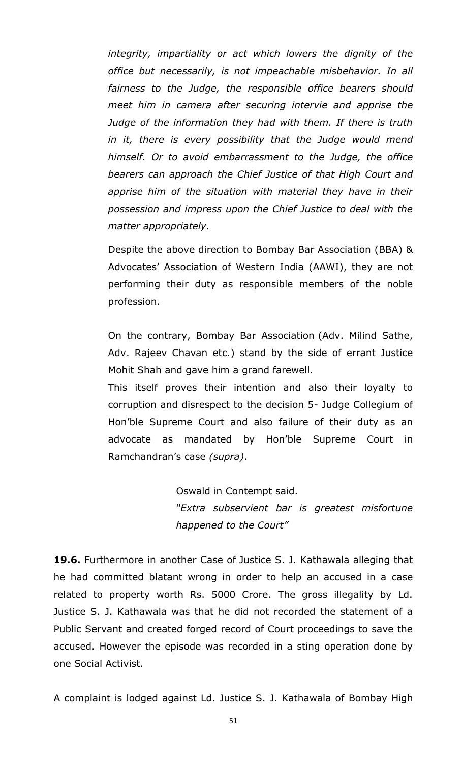*integrity, impartiality or act which lowers the dignity of the office but necessarily, is not impeachable misbehavior. In all fairness to the Judge, the responsible office bearers should meet him in camera after securing intervie and apprise the Judge of the information they had with them. If there is truth in it, there is every possibility that the Judge would mend himself. Or to avoid embarrassment to the Judge, the office bearers can approach the Chief Justice of that High Court and apprise him of the situation with material they have in their possession and impress upon the Chief Justice to deal with the matter appropriately.*

Despite the above direction to Bombay Bar Association (BBA) & Advocates' Association of Western India (AAWI), they are not performing their duty as responsible members of the noble profession.

On the contrary, Bombay Bar Association (Adv. Milind Sathe, Adv. Rajeev Chavan etc.) stand by the side of errant Justice Mohit Shah and gave him a grand farewell.

This itself proves their intention and also their loyalty to corruption and disrespect to the decision 5- Judge Collegium of Hon'ble Supreme Court and also failure of their duty as an advocate as mandated by Hon'ble Supreme Court in Ramchandran's case *(supra)*.

> Oswald in Contempt said. *"Extra subservient bar is greatest misfortune happened to the Court"*

**19.6.** Furthermore in another Case of Justice S. J. Kathawala alleging that he had committed blatant wrong in order to help an accused in a case related to property worth Rs. 5000 Crore. The gross illegality by Ld. Justice S. J. Kathawala was that he did not recorded the statement of a Public Servant and created forged record of Court proceedings to save the accused. However the episode was recorded in a sting operation done by one Social Activist.

A complaint is lodged against Ld. Justice S. J. Kathawala of Bombay High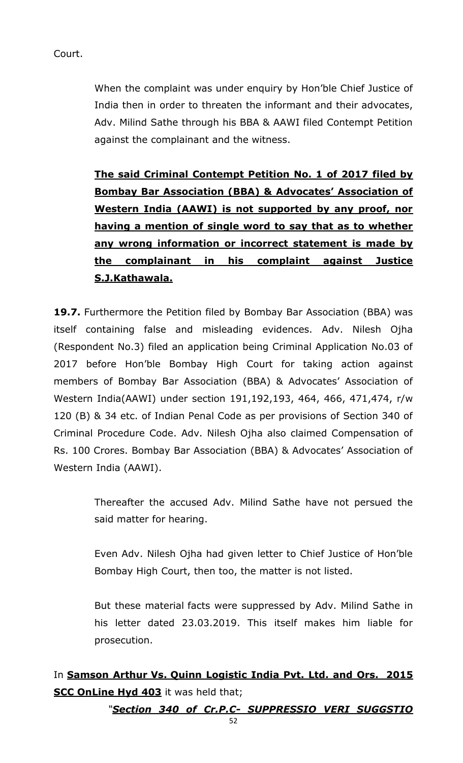Court.

When the complaint was under enquiry by Hon'ble Chief Justice of India then in order to threaten the informant and their advocates, Adv. Milind Sathe through his BBA & AAWI filed Contempt Petition against the complainant and the witness.

**The said Criminal Contempt Petition No. 1 of 2017 filed by Bombay Bar Association (BBA) & Advocates' Association of Western India (AAWI) is not supported by any proof, nor having a mention of single word to say that as to whether any wrong information or incorrect statement is made by the complainant in his complaint against Justice S.J.Kathawala.**

**19.7.** Furthermore the Petition filed by Bombay Bar Association (BBA) was itself containing false and misleading evidences. Adv. Nilesh Ojha (Respondent No.3) filed an application being Criminal Application No.03 of 2017 before Hon'ble Bombay High Court for taking action against members of Bombay Bar Association (BBA) & Advocates' Association of Western India(AAWI) under section 191,192,193, 464, 466, 471,474, r/w 120 (B) & 34 etc. of Indian Penal Code as per provisions of Section 340 of Criminal Procedure Code. Adv. Nilesh Ojha also claimed Compensation of Rs. 100 Crores. Bombay Bar Association (BBA) & Advocates' Association of Western India (AAWI).

> Thereafter the accused Adv. Milind Sathe have not persued the said matter for hearing.

> Even Adv. Nilesh Ojha had given letter to Chief Justice of Hon'ble Bombay High Court, then too, the matter is not listed.

> But these material facts were suppressed by Adv. Milind Sathe in his letter dated 23.03.2019. This itself makes him liable for prosecution.

In **Samson Arthur Vs. Quinn Logistic India Pvt. Ltd. and Ors. 2015 SCC OnLine Hyd 403** it was held that;

*"Section 340 of Cr.P.C- SUPPRESSIO VERI SUGGSTIO*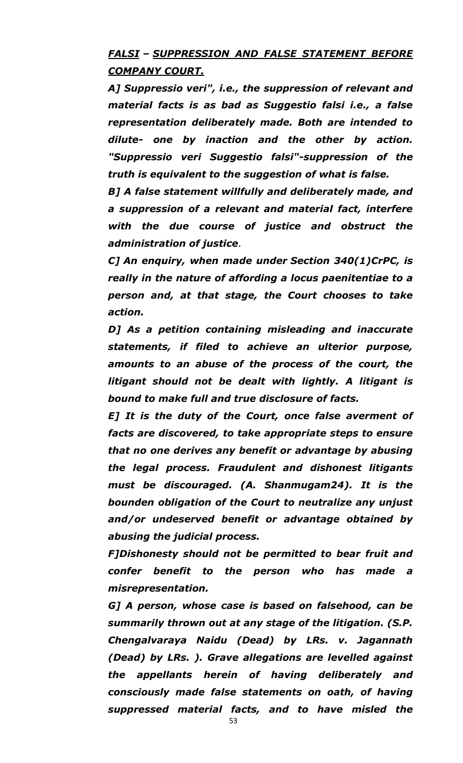### *FALSI – SUPPRESSION AND FALSE STATEMENT BEFORE COMPANY COURT.*

*A] Suppressio veri", i.e., the suppression of relevant and material facts is as bad as Suggestio falsi i.e., a false representation deliberately made. Both are intended to dilute- one by inaction and the other by action. "Suppressio veri Suggestio falsi"-suppression of the truth is equivalent to the suggestion of what is false.*

*B] A false statement willfully and deliberately made, and a suppression of a relevant and material fact, interfere with the due course of justice and obstruct the administration of justice.*

*C] An enquiry, when made under [Section 340\(1\)C](https://indiankanoon.org/doc/636921/)rPC, is really in the nature of affording a locus paenitentiae to a person and, at that stage, the Court chooses to take action.*

*D] As a petition containing misleading and inaccurate statements, if filed to achieve an ulterior purpose, amounts to an abuse of the process of the court, the litigant should not be dealt with lightly. A litigant is bound to make full and true disclosure of facts.*

*E] It is the duty of the Court, once false averment of facts are discovered, to take appropriate steps to ensure that no one derives any benefit or advantage by abusing the legal process. Fraudulent and dishonest litigants must be discouraged. (A. Shanmugam24). It is the bounden obligation of the Court to neutralize any unjust and/or undeserved benefit or advantage obtained by abusing the judicial process.*

*F]Dishonesty should not be permitted to bear fruit and confer benefit to the person who has made a misrepresentation.*

*G] A person, whose case is based on falsehood, can be summarily thrown out at any stage of the litigation. (S.P. Chengalvaraya Naidu (Dead) by LRs. v. Jagannath (Dead) by LRs. ). Grave allegations are levelled against the appellants herein of having deliberately and consciously made false statements on oath, of having suppressed material facts, and to have misled the* 

53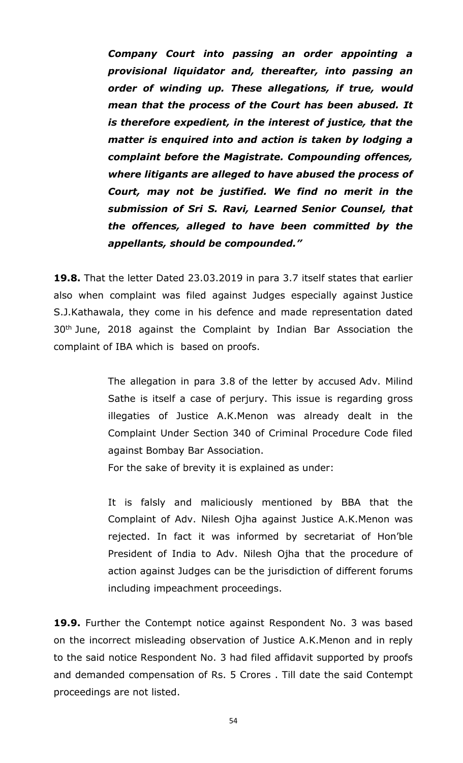*Company Court into passing an order appointing a provisional liquidator and, thereafter, into passing an order of winding up. These allegations, if true, would mean that the process of the Court has been abused. It is therefore expedient, in the interest of justice, that the matter is enquired into and action is taken by lodging a complaint before the Magistrate. Compounding offences, where litigants are alleged to have abused the process of Court, may not be justified. We find no merit in the submission of Sri S. Ravi, Learned Senior Counsel, that the offences, alleged to have been committed by the appellants, should be compounded."*

**19.8.** That the letter Dated 23.03.2019 in para 3.7 itself states that earlier also when complaint was filed against Judges especially against Justice S.J.Kathawala, they come in his defence and made representation dated 30<sup>th</sup> June, 2018 against the Complaint by Indian Bar Association the complaint of IBA which is based on proofs.

> The allegation in para 3.8 of the letter by accused Adv. Milind Sathe is itself a case of perjury. This issue is regarding gross illegaties of Justice A.K.Menon was already dealt in the Complaint Under Section 340 of Criminal Procedure Code filed against Bombay Bar Association.

For the sake of brevity it is explained as under:

It is falsly and maliciously mentioned by BBA that the Complaint of Adv. Nilesh Ojha against Justice A.K.Menon was rejected. In fact it was informed by secretariat of Hon'ble President of India to Adv. Nilesh Ojha that the procedure of action against Judges can be the jurisdiction of different forums including impeachment proceedings.

**19.9.** Further the Contempt notice against Respondent No. 3 was based on the incorrect misleading observation of Justice A.K.Menon and in reply to the said notice Respondent No. 3 had filed affidavit supported by proofs and demanded compensation of Rs. 5 Crores . Till date the said Contempt proceedings are not listed.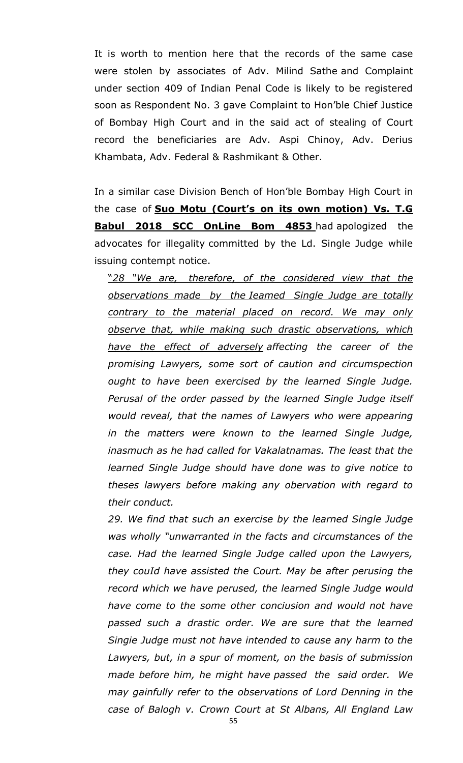It is worth to mention here that the records of the same case were stolen by associates of Adv. Milind Sathe and Complaint under section 409 of Indian Penal Code is likely to be registered soon as Respondent No. 3 gave Complaint to Hon'ble Chief Justice of Bombay High Court and in the said act of stealing of Court record the beneficiaries are Adv. Aspi Chinoy, Adv. Derius Khambata, Adv. Federal & Rashmikant & Other.

In a similar case Division Bench of Hon'ble Bombay High Court in the case of **Suo Motu (Court's on its own motion) Vs. T.G Babul 2018 SCC OnLine Bom 4853** had apologized the advocates for illegality committed by the Ld. Single Judge while issuing contempt notice.

"*28 "We are, therefore, of the considered view that the observations made by the Ieamed Single Judge are totally contrary to the material placed on record. We may only observe that, while making such drastic observations, which have the effect of adversely affecting the career of the promising Lawyers, some sort of caution and circumspection ought to have been exercised by the learned Single Judge. Perusal of the order passed by the learned Single Judge itself would reveal, that the names of Lawyers who were appearing in the matters were known to the learned Single Judge, inasmuch as he had called for Vakalatnamas. The least that the learned Single Judge should have done was to give notice to theses lawyers before making any obervation with regard to their conduct.*

*29. We find that such an exercise by the learned Single Judge was wholly "unwarranted in the facts and circumstances of the case. Had the learned Single Judge called upon the Lawyers, they couId have assisted the Court. May be after perusing the record which we have perused, the learned Single Judge would have come to the some other conciusion and would not have passed such a drastic order. We are sure that the learned Singie Judge must not have intended to cause any harm to the Lawyers, but, in a spur of moment, on the basis of submission made before him, he might have passed the said order. We may gainfully refer to the observations of Lord Denning in the case of Balogh v. Crown Court at St Albans, All England Law*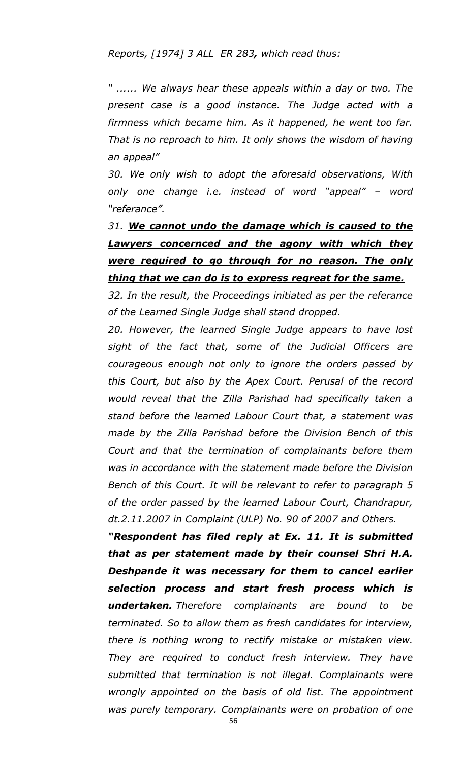*Reports, [1974] 3 ALL ER 283, which read thus:*

*" ...... We always hear these appeals within a day or two. The present case is a good instance. The Judge acted with a firmness which became him. As it happened, he went too far. That is no reproach to him. It only shows the wisdom of having an appeal"*

*30. We only wish to adopt the aforesaid observations, With only one change i.e. instead of word "appeal" – word "referance".*

*31. We cannot undo the damage which is caused to the Lawyers concernced and the agony with which they were required to go through for no reason. The only thing that we can do is to express regreat for the same.*

*32. In the result, the Proceedings initiated as per the referance of the Learned Single Judge shall stand dropped.*

*20. However, the learned Single Judge appears to have lost sight of the fact that, some of the Judicial Officers are courageous enough not only to ignore the orders passed by this Court, but also by the Apex Court. Perusal of the record would reveal that the Zilla Parishad had specifically taken a stand before the learned Labour Court that, a statement was made by the Zilla Parishad before the Division Bench of this Court and that the termination of complainants before them was in accordance with the statement made before the Division Bench of this Court. It will be relevant to refer to paragraph 5 of the order passed by the learned Labour Court, Chandrapur, dt.2.11.2007 in Complaint (ULP) No. 90 of 2007 and Others.*

*"Respondent has filed reply at Ex. 11. It is submitted that as per statement made by their counsel Shri H.A. Deshpande it was necessary for them to cancel earlier selection process and start fresh process which is undertaken. Therefore complainants are bound to be terminated. So to allow them as fresh candidates for interview, there is nothing wrong to rectify mistake or mistaken view. They are required to conduct fresh interview. They have submitted that termination is not illegal. Complainants were wrongly appointed on the basis of old list. The appointment was purely temporary. Complainants were on probation of one*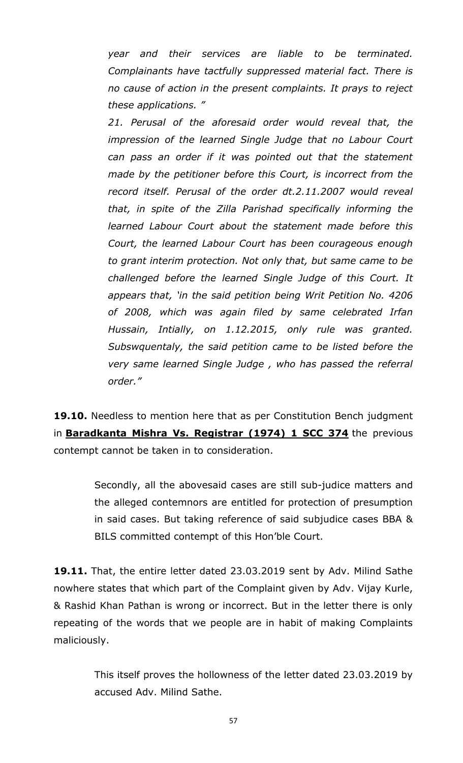*year and their services are liable to be terminated. Complainants have tactfully suppressed material fact. There is no cause of action in the present complaints. It prays to reject these applications. "*

*21. Perusal of the aforesaid order would reveal that, the impression of the learned Single Judge that no Labour Court can pass an order if it was pointed out that the statement made by the petitioner before this Court, is incorrect from the record itself. Perusal of the order dt.2.11.2007 would reveal that, in spite of the Zilla Parishad specifically informing the learned Labour Court about the statement made before this Court, the learned Labour Court has been courageous enough to grant interim protection. Not only that, but same came to be challenged before the learned Single Judge of this Court. It appears that, 'in the said petition being Writ Petition No. 4206 of 2008, which was again filed by same celebrated Irfan Hussain, Intially, on 1.12.2015, only rule was granted. Subswquentaly, the said petition came to be listed before the very same learned Single Judge , who has passed the referral order."*

**19.10.** Needless to mention here that as per Constitution Bench judgment in **Baradkanta Mishra Vs. Registrar (1974) 1 SCC 374** the previous contempt cannot be taken in to consideration.

> Secondly, all the abovesaid cases are still sub-judice matters and the alleged contemnors are entitled for protection of presumption in said cases. But taking reference of said subjudice cases BBA & BILS committed contempt of this Hon'ble Court.

**19.11.** That, the entire letter dated 23.03.2019 sent by Adv. Milind Sathe nowhere states that which part of the Complaint given by Adv. Vijay Kurle, & Rashid Khan Pathan is wrong or incorrect. But in the letter there is only repeating of the words that we people are in habit of making Complaints maliciously.

> This itself proves the hollowness of the letter dated 23.03.2019 by accused Adv. Milind Sathe.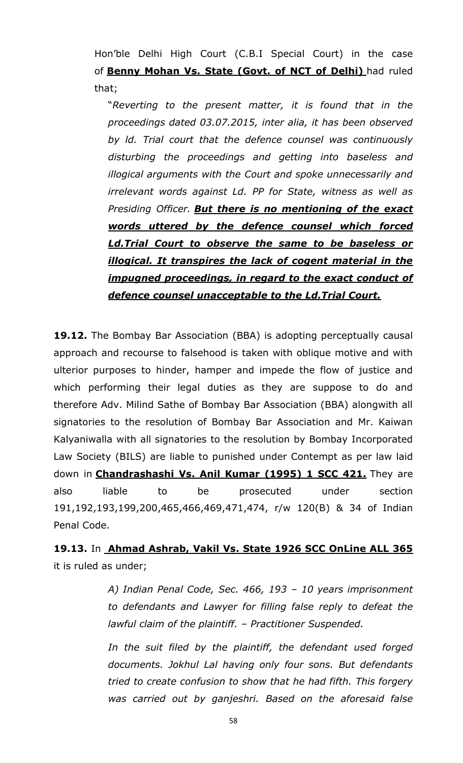Hon'ble Delhi High Court (C.B.I Special Court) in the case of **Benny Mohan Vs. State (Govt. of NCT of Delhi)** had ruled that;

"*Reverting to the present matter, it is found that in the proceedings dated 03.07.2015, inter alia, it has been observed by ld. Trial court that the defence counsel was continuously disturbing the proceedings and getting into baseless and illogical arguments with the Court and spoke unnecessarily and irrelevant words against Ld. PP for State, witness as well as Presiding Officer. But there is no mentioning of the exact words uttered by the defence counsel which forced Ld.Trial Court to observe the same to be baseless or illogical. It transpires the lack of cogent material in the impugned proceedings, in regard to the exact conduct of defence counsel unacceptable to the Ld.Trial Court.*

**19.12.** The Bombay Bar Association (BBA) is adopting perceptually causal approach and recourse to falsehood is taken with oblique motive and with ulterior purposes to hinder, hamper and impede the flow of justice and which performing their legal duties as they are suppose to do and therefore Adv. Milind Sathe of Bombay Bar Association (BBA) alongwith all signatories to the resolution of Bombay Bar Association and Mr. Kaiwan Kalyaniwalla with all signatories to the resolution by Bombay Incorporated Law Society (BILS) are liable to punished under Contempt as per law laid down in **Chandrashashi Vs. Anil Kumar (1995) 1 SCC 421.** They are also liable to be prosecuted under section 191,192,193,199,200,465,466,469,471,474, r/w 120(B) & 34 of Indian Penal Code.

**19.13.** In **Ahmad Ashrab, Vakil Vs. State 1926 SCC OnLine ALL 365** it is ruled as under;

> *A) Indian Penal Code, Sec. 466, 193 – 10 years imprisonment to defendants and Lawyer for filling false reply to defeat the lawful claim of the plaintiff. – Practitioner Suspended.*

> *In the suit filed by the plaintiff, the defendant used forged documents. Jokhul Lal having only four sons. But defendants tried to create confusion to show that he had fifth. This forgery was carried out by ganjeshri. Based on the aforesaid false*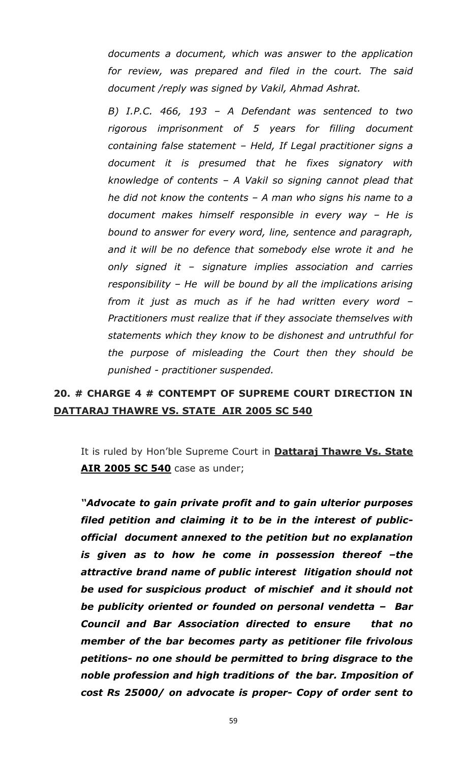*documents a document, which was answer to the application for review, was prepared and filed in the court. The said document /reply was signed by Vakil, Ahmad Ashrat.*

*B) I.P.C. 466, 193 – A Defendant was sentenced to two rigorous imprisonment of 5 years for filling document containing false statement – Held, If Legal practitioner signs a document it is presumed that he fixes signatory with knowledge of contents – A Vakil so signing cannot plead that he did not know the contents – A man who signs his name to a document makes himself responsible in every way – He is bound to answer for every word, line, sentence and paragraph, and it will be no defence that somebody else wrote it and he only signed it – signature implies association and carries responsibility – He will be bound by all the implications arising from it just as much as if he had written every word – Practitioners must realize that if they associate themselves with statements which they know to be dishonest and untruthful for the purpose of misleading the Court then they should be punished - practitioner suspended.*

## **20. # CHARGE 4 # CONTEMPT OF SUPREME COURT DIRECTION IN DATTARAJ THAWRE VS. STATE AIR 2005 SC 540**

It is ruled by Hon'ble Supreme Court in **Dattaraj Thawre Vs. State AIR 2005 SC 540** case as under;

*"Advocate to gain private profit and to gain ulterior purposes filed petition and claiming it to be in the interest of publicofficial document annexed to the petition but no explanation is given as to how he come in possession thereof -the attractive brand name of public interest litigation should not be used for suspicious product of mischief and it should not be publicity oriented or founded on personal vendetta – Bar Council and Bar Association directed to ensure that no member of the bar becomes party as petitioner file frivolous petitions- no one should be permitted to bring disgrace to the noble profession and high traditions of the bar. Imposition of cost Rs 25000/ on advocate is proper- Copy of order sent to*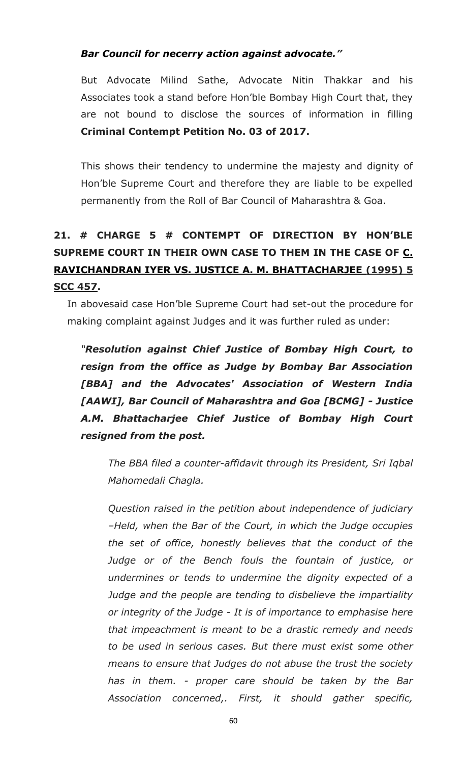### *Bar Council for necerry action against advocate."*

But Advocate Milind Sathe, Advocate Nitin Thakkar and his Associates took a stand before Hon'ble Bombay High Court that, they are not bound to disclose the sources of information in filling **Criminal Contempt Petition No. 03 of 2017.**

This shows their tendency to undermine the majesty and dignity of Hon'ble Supreme Court and therefore they are liable to be expelled permanently from the Roll of Bar Council of Maharashtra & Goa.

# **21. # CHARGE 5 # CONTEMPT OF DIRECTION BY HON'BLE SUPREME COURT IN THEIR OWN CASE TO THEM IN THE CASE OF C. RAVICHANDRAN IYER VS. JUSTICE A. M. BHATTACHARJEE (1995) 5 SCC 457.**

In abovesaid case Hon'ble Supreme Court had set-out the procedure for making complaint against Judges and it was further ruled as under:

*"Resolution against Chief Justice of Bombay High Court, to resign from the office as Judge by Bombay Bar Association [BBA] and the Advocates' Association of Western India [AAWI], Bar Council of Maharashtra and Goa [BCMG] - Justice A.M. Bhattacharjee Chief Justice of Bombay High Court resigned from the post.*

*The BBA filed a counter-affidavit through its President, Sri Iqbal Mahomedali Chagla.*

*Question raised in the petition about independence of judiciary –Held, when the Bar of the Court, in which the Judge occupies the set of office, honestly believes that the conduct of the Judge or of the Bench fouls the fountain of justice, or undermines or tends to undermine the dignity expected of a Judge and the people are tending to disbelieve the impartiality or integrity of the Judge - It is of importance to emphasise here that impeachment is meant to be a drastic remedy and needs to be used in serious cases. But there must exist some other means to ensure that Judges do not abuse the trust the society has in them. - proper care should be taken by the Bar Association concerned,. First, it should gather specific,*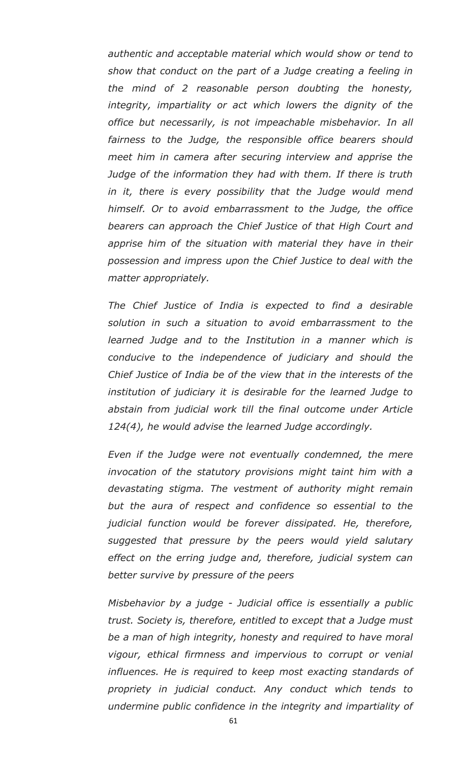*authentic and acceptable material which would show or tend to show that conduct on the part of a Judge creating a feeling in the mind of 2 reasonable person doubting the honesty, integrity, impartiality or act which lowers the dignity of the office but necessarily, is not impeachable misbehavior. In all fairness to the Judge, the responsible office bearers should meet him in camera after securing interview and apprise the Judge of the information they had with them. If there is truth in it, there is every possibility that the Judge would mend himself. Or to avoid embarrassment to the Judge, the office bearers can approach the Chief Justice of that High Court and apprise him of the situation with material they have in their possession and impress upon the Chief Justice to deal with the matter appropriately.*

*The Chief Justice of India is expected to find a desirable solution in such a situation to avoid embarrassment to the learned Judge and to the Institution in a manner which is conducive to the independence of judiciary and should the Chief Justice of India be of the view that in the interests of the institution of judiciary it is desirable for the learned Judge to abstain from judicial work till the final outcome under Article 124(4), he would advise the learned Judge accordingly.*

*Even if the Judge were not eventually condemned, the mere invocation of the statutory provisions might taint him with a devastating stigma. The vestment of authority might remain but the aura of respect and confidence so essential to the judicial function would be forever dissipated. He, therefore, suggested that pressure by the peers would yield salutary effect on the erring judge and, therefore, judicial system can better survive by pressure of the peers*

*Misbehavior by a judge - Judicial office is essentially a public trust. Society is, therefore, entitled to except that a Judge must be a man of high integrity, honesty and required to have moral vigour, ethical firmness and impervious to corrupt or venial influences. He is required to keep most exacting standards of propriety in judicial conduct. Any conduct which tends to undermine public confidence in the integrity and impartiality of*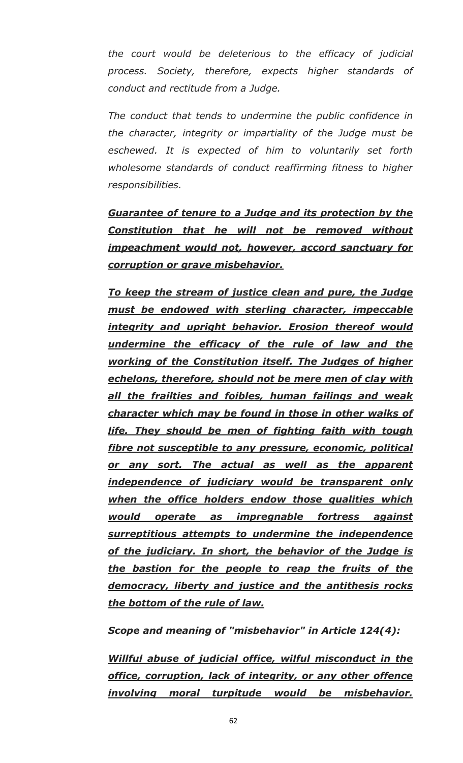*the court would be deleterious to the efficacy of judicial process. Society, therefore, expects higher standards of conduct and rectitude from a Judge.*

*The conduct that tends to undermine the public confidence in the character, integrity or impartiality of the Judge must be eschewed. It is expected of him to voluntarily set forth wholesome standards of conduct reaffirming fitness to higher responsibilities.*

*Guarantee of tenure to a Judge and its protection by the Constitution that he will not be removed without impeachment would not, however, accord sanctuary for corruption or grave misbehavior.*

*To keep the stream of justice clean and pure, the Judge must be endowed with sterling character, impeccable integrity and upright behavior. Erosion thereof would undermine the efficacy of the rule of law and the working of the Constitution itself. The Judges of higher echelons, therefore, should not be mere men of clay with all the frailties and foibles, human failings and weak character which may be found in those in other walks of life. They should be men of fighting faith with tough fibre not susceptible to any pressure, economic, political or any sort. The actual as well as the apparent independence of judiciary would be transparent only when the office holders endow those qualities which would operate as impregnable fortress against surreptitious attempts to undermine the independence of the judiciary. In short, the behavior of the Judge is the bastion for the people to reap the fruits of the democracy, liberty and justice and the antithesis rocks the bottom of the rule of law.*

*Scope and meaning of "misbehavior" in Article 124(4):*

*Willful abuse of judicial office, wilful misconduct in the office, corruption, lack of integrity, or any other offence involving moral turpitude would be misbehavior.*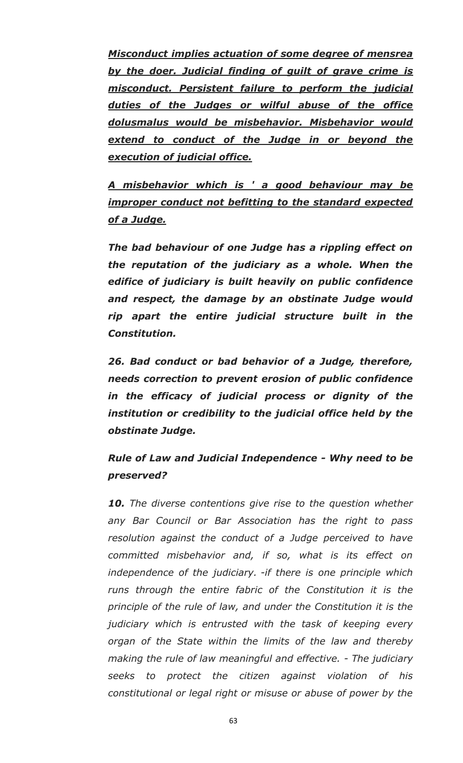*Misconduct implies actuation of some degree of mensrea by the doer. Judicial finding of guilt of grave crime is misconduct. Persistent failure to perform the judicial duties of the Judges or wilful abuse of the office dolusmalus would be misbehavior. Misbehavior would extend to conduct of the Judge in or beyond the execution of judicial office.*

*A misbehavior which is ' a good behaviour may be improper conduct not befitting to the standard expected of a Judge.*

*The bad behaviour of one Judge has a rippling effect on the reputation of the judiciary as a whole. When the edifice of judiciary is built heavily on public confidence and respect, the damage by an obstinate Judge would rip apart the entire judicial structure built in the Constitution.*

*26. Bad conduct or bad behavior of a Judge, therefore, needs correction to prevent erosion of public confidence in the efficacy of judicial process or dignity of the institution or credibility to the judicial office held by the obstinate Judge.*

*Rule of Law and Judicial Independence - Why need to be preserved?*

*10. The diverse contentions give rise to the question whether any Bar Council or Bar Association has the right to pass resolution against the conduct of a Judge perceived to have committed misbehavior and, if so, what is its effect on independence of the judiciary. -if there is one principle which runs through the entire fabric of the Constitution it is the principle of the rule of law, and under the Constitution it is the judiciary which is entrusted with the task of keeping every organ of the State within the limits of the law and thereby making the rule of law meaningful and effective. - The judiciary seeks to protect the citizen against violation of his constitutional or legal right or misuse or abuse of power by the*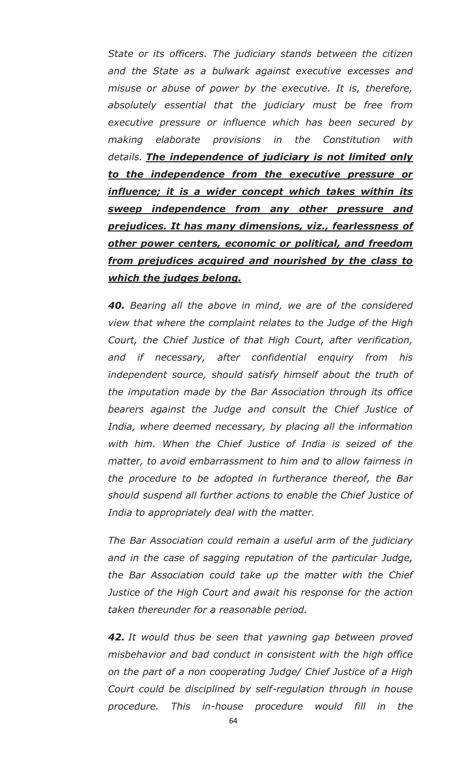*State or its officers. The judiciary stands between the citizen and the State as a bulwark against executive excesses and misuse or abuse of power by the executive. It is, therefore, absolutely essential that the judiciary must be free from executive pressure or influence which has been secured by making elaborate provisions in the Constitution with details. The independence of judiciary is not limited only to the independence from the executive pressure or influence; it is a wider concept which takes within its sweep independence from any other pressure and prejudices. It has many dimensions, viz., fearlessness of other power centers, economic or political, and freedom from prejudices acquired and nourished by the class to which the judges belong.*

*40. Bearing all the above in mind, we are of the considered view that where the complaint relates to the Judge of the High Court, the Chief Justice of that High Court, after verification, and if necessary, after confidential enquiry from his independent source, should satisfy himself about the truth of the imputation made by the Bar Association through its office bearers against the Judge and consult the Chief Justice of India, where deemed necessary, by placing all the information with him. When the Chief Justice of India is seized of the matter, to avoid embarrassment to him and to allow fairness in the procedure to be adopted in furtherance thereof, the Bar should suspend all further actions to enable the Chief Justice of India to appropriately deal with the matter.*

*The Bar Association could remain a useful arm of the judiciary and in the case of sagging reputation of the particular Judge, the Bar Association could take up the matter with the Chief Justice of the High Court and await his response for the action taken thereunder for a reasonable period.*

*42. It would thus be seen that yawning gap between proved misbehavior and bad conduct in consistent with the high office on the part of a non cooperating Judge/ Chief Justice of a High Court could be disciplined by self-regulation through in house procedure. This in-house procedure would fill in the*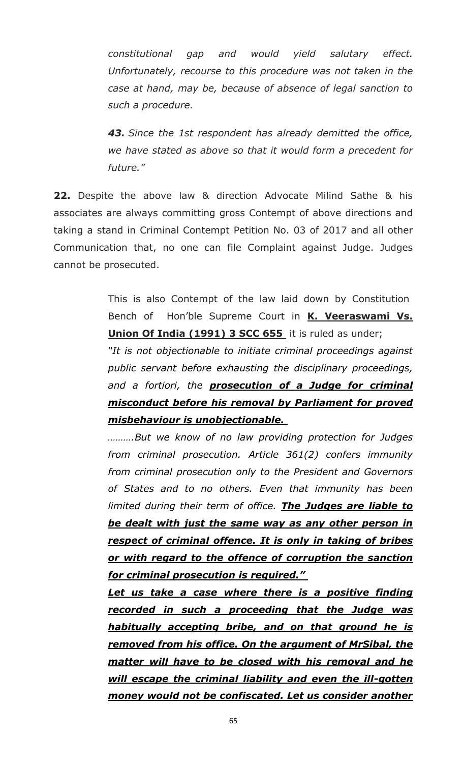*constitutional gap and would yield salutary effect. Unfortunately, recourse to this procedure was not taken in the case at hand, may be, because of absence of legal sanction to such a procedure.*

*43. Since the 1st respondent has already demitted the office, we have stated as above so that it would form a precedent for future."*

**22.** Despite the above law & direction Advocate Milind Sathe & his associates are always committing gross Contempt of above directions and taking a stand in Criminal Contempt Petition No. 03 of 2017 and all other Communication that, no one can file Complaint against Judge. Judges cannot be prosecuted.

> This is also Contempt of the law laid down by Constitution Bench of Hon'ble Supreme Court in **K. Veeraswami Vs. Union Of India (1991) 3 SCC 655** it is ruled as under;

> *"It is not objectionable to initiate criminal proceedings against public servant before exhausting the disciplinary proceedings, and a fortiori, the prosecution of a Judge for criminal misconduct before his removal by Parliament for proved misbehaviour is unobjectionable.*

> *……….But we know of no law providing protection for Judges from criminal prosecution. Article 361(2) confers immunity from criminal prosecution only to the President and Governors of States and to no others. Even that immunity has been limited during their term of office. The Judges are liable to be dealt with just the same way as any other person in respect of criminal offence. It is only in taking of bribes or with regard to the offence of corruption the sanction for criminal prosecution is required."*

> *Let us take a case where there is a positive finding recorded in such a proceeding that the Judge was habitually accepting bribe, and on that ground he is removed from his office. On the argument of MrSibal, the matter will have to be closed with his removal and he will escape the criminal liability and even the ill-gotten money would not be confiscated. Let us consider another*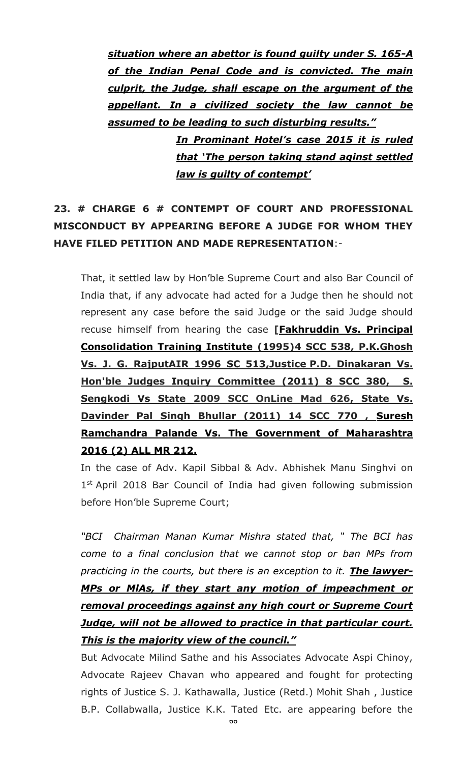*situation where an abettor is found guilty under S. 165-A of the Indian Penal Code and is convicted. The main culprit, the Judge, shall escape on the argument of the appellant. In a civilized society the law cannot be assumed to be leading to such disturbing results."*

> *In Prominant Hotel's case 2015 it is ruled that 'The person taking stand aginst settled law is guilty of contempt'*

# **23. # CHARGE 6 # CONTEMPT OF COURT AND PROFESSIONAL MISCONDUCT BY APPEARING BEFORE A JUDGE FOR WHOM THEY HAVE FILED PETITION AND MADE REPRESENTATION**:-

That, it settled law by Hon'ble Supreme Court and also Bar Council of India that, if any advocate had acted for a Judge then he should not represent any case before the said Judge or the said Judge should recuse himself from hearing the case **[Fakhruddin Vs. Principal Consolidation Training Institute (1995)4 SCC 538, P.K.Ghosh Vs. J. G. RajputAIR 1996 SC 513,Justice P.D. Dinakaran Vs. Hon'ble Judges Inquiry Committee (2011) 8 SCC 380, S. Sengkodi Vs State 2009 SCC OnLine Mad 626, State Vs. Davinder Pal Singh Bhullar (2011) 14 SCC 770 , Suresh Ramchandra Palande Vs. The Government of Maharashtra 2016 (2) ALL MR 212.**

In the case of Adv. Kapil Sibbal & Adv. Abhishek Manu Singhvi on 1<sup>st</sup> April 2018 Bar Council of India had given following submission before Hon'ble Supreme Court;

*"BCI Chairman Manan Kumar Mishra stated that, " The BCI has come to a final conclusion that we cannot stop or ban MPs from practicing in the courts, but there is an exception to it. The lawyer-MPs or MlAs, if they start any motion of impeachment or removal proceedings against any high court or Supreme Court Judge, will not be allowed to practice in that particular court. This is the majority view of the council."*

But Advocate Milind Sathe and his Associates Advocate Aspi Chinoy, Advocate Rajeev Chavan who appeared and fought for protecting rights of Justice S. J. Kathawalla, Justice (Retd.) Mohit Shah , Justice B.P. Collabwalla, Justice K.K. Tated Etc. are appearing before the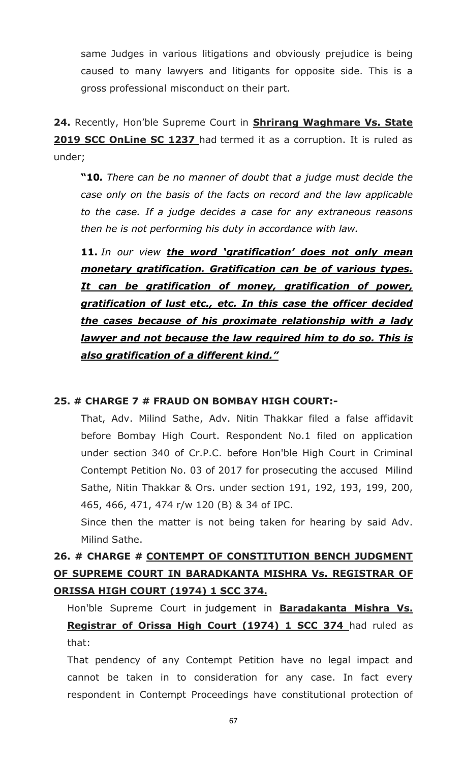same Judges in various litigations and obviously prejudice is being caused to many lawyers and litigants for opposite side. This is a gross professional misconduct on their part.

**24.** Recently, Hon'ble Supreme Court in **Shrirang Waghmare Vs. State 2019 SCC OnLine SC 1237** had termed it as a corruption. It is ruled as under;

**"10***. There can be no manner of doubt that a judge must decide the case only on the basis of the facts on record and the law applicable to the case. If a judge decides a case for any extraneous reasons then he is not performing his duty in accordance with law.*

**11.** *In our view the word 'gratification' does not only mean monetary gratification. Gratification can be of various types. It can be gratification of money, gratification of power, gratification of lust etc., etc. In this case the officer decided the cases because of his proximate relationship with a lady lawyer and not because the law required him to do so. This is also gratification of a different kind."*

### **25. # CHARGE 7 # FRAUD ON BOMBAY HIGH COURT:-**

That, Adv. Milind Sathe, Adv. Nitin Thakkar filed a false affidavit before Bombay High Court. Respondent No.1 filed on application under section 340 of Cr.P.C. before Hon'ble High Court in Criminal Contempt Petition No. 03 of 2017 for prosecuting the accused Milind Sathe, Nitin Thakkar & Ors. under section 191, 192, 193, 199, 200, 465, 466, 471, 474 r/w 120 (B) & 34 of IPC.

Since then the matter is not being taken for hearing by said Adv. Milind Sathe.

# **26. # CHARGE # CONTEMPT OF CONSTITUTION BENCH JUDGMENT OF SUPREME COURT IN BARADKANTA MISHRA Vs. REGISTRAR OF ORISSA HIGH COURT (1974) 1 SCC 374.**

Hon'ble Supreme Court in judgement in **Baradakanta Mishra Vs. Registrar of Orissa High Court (1974) 1 SCC 374** had ruled as that:

That pendency of any Contempt Petition have no legal impact and cannot be taken in to consideration for any case. In fact every respondent in Contempt Proceedings have constitutional protection of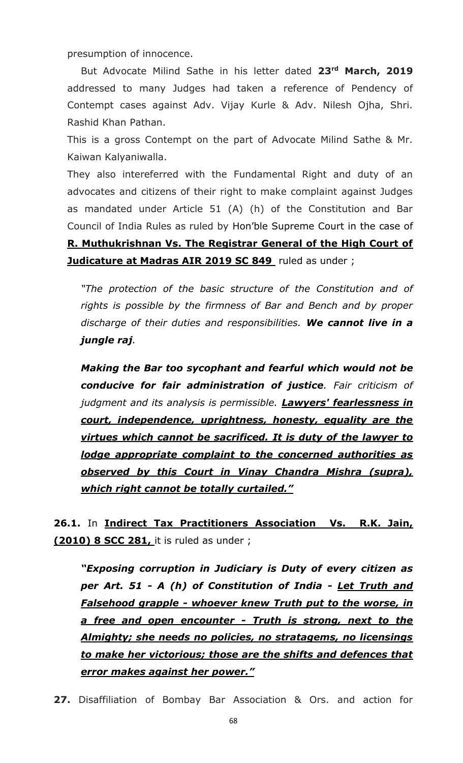presumption of innocence.

But Advocate Milind Sathe in his letter dated **23rd March, 2019** addressed to many Judges had taken a reference of Pendency of Contempt cases against Adv. Vijay Kurle & Adv. Nilesh Ojha, Shri. Rashid Khan Pathan.

This is a gross Contempt on the part of Advocate Milind Sathe & Mr. Kaiwan Kalyaniwalla.

They also intereferred with the Fundamental Right and duty of an advocates and citizens of their right to make complaint against Judges as mandated under Article 51 (A) (h) of the Constitution and Bar Council of India Rules as ruled by Hon'ble Supreme Court in the case of **R. Muthukrishnan Vs. The Registrar General of the High Court of Judicature at Madras AIR 2019 SC 849** ruled as under ;

*"The protection of the basic structure of the Constitution and of rights is possible by the firmness of Bar and Bench and by proper discharge of their duties and responsibilities. We cannot live in a jungle raj.*

*Making the Bar too sycophant and fearful which would not be conducive for fair administration of justice. Fair criticism of judgment and its analysis is permissible. Lawyers' fearlessness in court, independence, uprightness, honesty, equality are the virtues which cannot be sacrificed. It is duty of the lawyer to lodge appropriate complaint to the concerned authorities as observed by this Court in Vinay Chandra Mishra (supra), which right cannot be totally curtailed."*

**26.1.** In **Indirect Tax Practitioners Association Vs. R.K. Jain, (2010) 8 SCC 281,** it is ruled as under ;

*"Exposing corruption in Judiciary is Duty of every citizen as per Art. 51 - A (h) of Constitution of India - Let Truth and Falsehood grapple - whoever knew Truth put to the worse, in a free and open encounter - Truth is strong, next to the Almighty; she needs no policies, no stratagems, no licensings to make her victorious; those are the shifts and defences that error makes against her power."*

**27.** Disaffiliation of Bombay Bar Association & Ors. and action for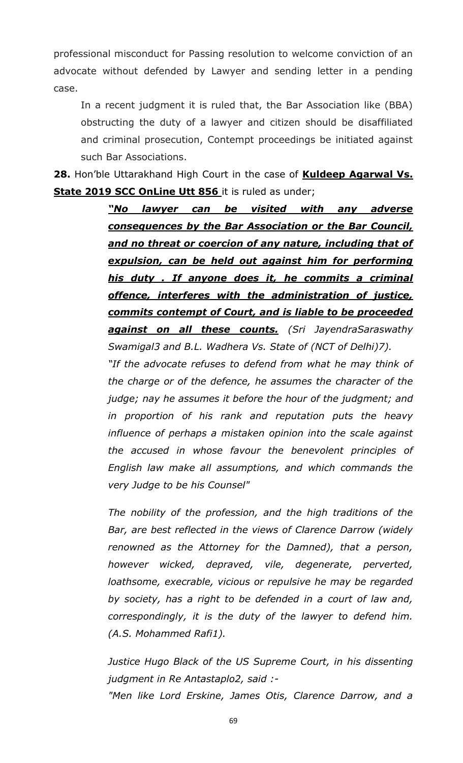professional misconduct for Passing resolution to welcome conviction of an advocate without defended by Lawyer and sending letter in a pending case.

In a recent judgment it is ruled that, the Bar Association like (BBA) obstructing the duty of a lawyer and citizen should be disaffiliated and criminal prosecution, Contempt proceedings be initiated against such Bar Associations.

**28.** Hon'ble Uttarakhand High Court in the case of **Kuldeep Agarwal Vs. State 2019 SCC OnLine Utt 856** it is ruled as under;

> *"No lawyer can be visited with any adverse consequences by the Bar Association or the Bar Council, and no threat or coercion of any nature, including that of expulsion, can be held out against him for performing his duty . If anyone does it, he commits a criminal offence, interferes with the administration of justice, commits contempt of Court, and is liable to be proceeded against on all these counts. (Sri JayendraSaraswathy Swamigal3 and B.L. Wadhera Vs. State of (NCT of Delhi)7).*

> *"If the advocate refuses to defend from what he may think of the charge or of the defence, he assumes the character of the judge; nay he assumes it before the hour of the judgment; and in proportion of his rank and reputation puts the heavy influence of perhaps a mistaken opinion into the scale against the accused in whose favour the benevolent principles of English law make all assumptions, and which commands the very Judge to be his Counsel"*

> *The nobility of the profession, and the high traditions of the Bar, are best reflected in the views of Clarence Darrow (widely renowned as the Attorney for the Damned), that a person, however wicked, depraved, vile, degenerate, perverted, loathsome, execrable, vicious or repulsive he may be regarded by society, has a right to be defended in a court of law and, correspondingly, it is the duty of the lawyer to defend him. (A.S. Mohammed Rafi1).*

> *Justice Hugo Black of the US Supreme Court, in his dissenting judgment in Re Antastaplo2, said :- "Men like Lord Erskine, James Otis, Clarence Darrow, and a*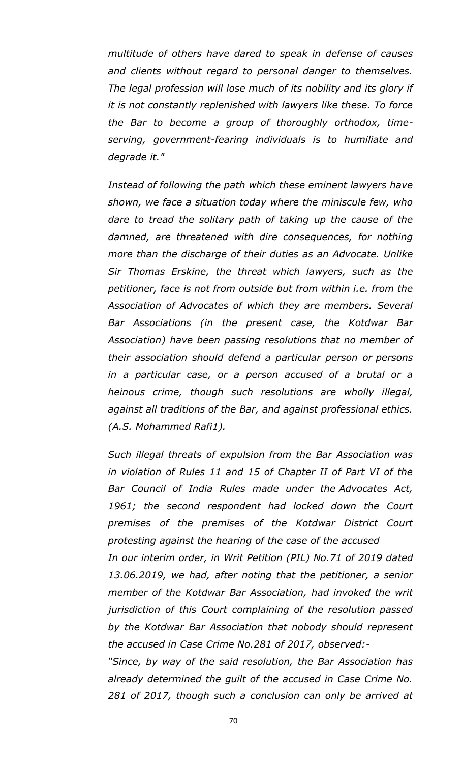*multitude of others have dared to speak in defense of causes and clients without regard to personal danger to themselves. The legal profession will lose much of its nobility and its glory if it is not constantly replenished with lawyers like these. To force the Bar to become a group of thoroughly orthodox, timeserving, government-fearing individuals is to humiliate and degrade it."*

*Instead of following the path which these eminent lawyers have shown, we face a situation today where the miniscule few, who dare to tread the solitary path of taking up the cause of the damned, are threatened with dire consequences, for nothing more than the discharge of their duties as an Advocate. Unlike Sir Thomas Erskine, the threat which lawyers, such as the petitioner, face is not from outside but from within i.e. from the Association of Advocates of which they are members. Several Bar Associations (in the present case, the Kotdwar Bar Association) have been passing resolutions that no member of their association should defend a particular person or persons in a particular case, or a person accused of a brutal or a heinous crime, though such resolutions are wholly illegal, against all traditions of the Bar, and against professional ethics. (A.S. Mohammed Rafi1).*

*Such illegal threats of expulsion from the Bar Association was in violation of Rules 11 and 15 of Chapter II of Part VI of the Bar Council of India Rules made under the Advocates Act, 1961; the second respondent had locked down the Court premises of the premises of the Kotdwar District Court protesting against the hearing of the case of the accused In our interim order, in Writ Petition (PIL) No.71 of 2019 dated 13.06.2019, we had, after noting that the petitioner, a senior member of the Kotdwar Bar Association, had invoked the writ* 

*jurisdiction of this Court complaining of the resolution passed by the Kotdwar Bar Association that nobody should represent the accused in Case Crime No.281 of 2017, observed:-*

*"Since, by way of the said resolution, the Bar Association has already determined the guilt of the accused in Case Crime No. 281 of 2017, though such a conclusion can only be arrived at*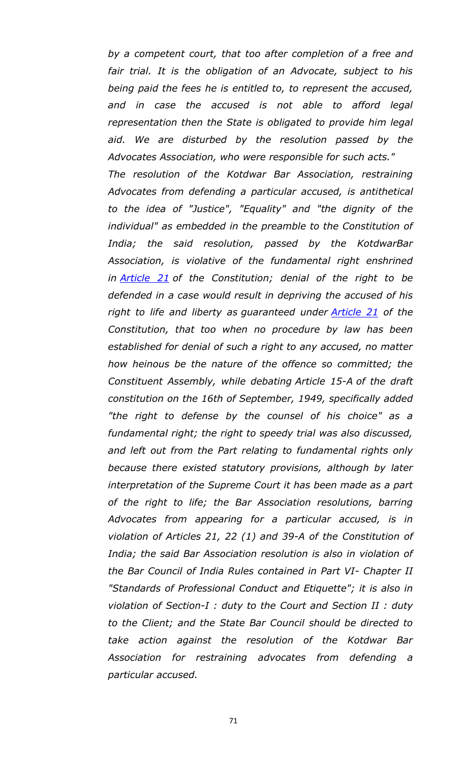*by a competent court, that too after completion of a free and*  fair trial. It is the obligation of an Advocate, subject to his *being paid the fees he is entitled to, to represent the accused, and in case the accused is not able to afford legal representation then the State is obligated to provide him legal aid. We are disturbed by the resolution passed by the Advocates Association, who were responsible for such acts." The resolution of the Kotdwar Bar Association, restraining Advocates from defending a particular accused, is antithetical to the idea of "Justice", "Equality" and "the dignity of the individual" as embedded in the preamble to the Constitution of India; the said resolution, passed by the KotdwarBar Association, is violative of the fundamental right enshrined in [Article 21](https://indiankanoon.org/doc/1199182/) of the Constitution; denial of the right to be defended in a case would result in depriving the accused of his right to life and liberty as guaranteed under [Article 21](https://indiankanoon.org/doc/1199182/) of the Constitution, that too when no procedure by law has been established for denial of such a right to any accused, no matter how heinous be the nature of the offence so committed; the Constituent Assembly, while debating Article 15-A of the draft constitution on the 16th of September, 1949, specifically added "the right to defense by the counsel of his choice" as a fundamental right; the right to speedy trial was also discussed, and left out from the Part relating to fundamental rights only because there existed statutory provisions, although by later interpretation of the Supreme Court it has been made as a part of the right to life; the Bar Association resolutions, barring Advocates from appearing for a particular accused, is in violation of Articles 21, 22 (1) and 39-A of the Constitution of India; the said Bar Association resolution is also in violation of the Bar Council of India Rules contained in Part VI- Chapter II "Standards of Professional Conduct and Etiquette"; it is also in violation of Section-I : duty to the Court and Section II : duty to the Client; and the State Bar Council should be directed to take action against the resolution of the Kotdwar Bar Association for restraining advocates from defending a particular accused.*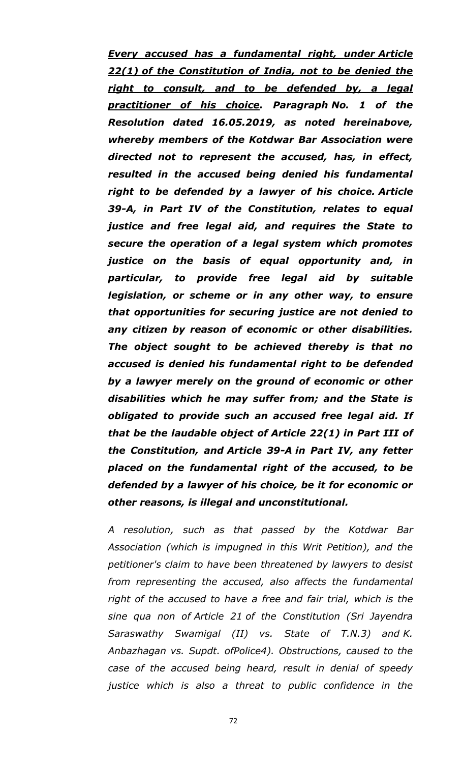*Every accused has a fundamental right, under Article 22(1) of the Constitution of India, not to be denied the right to consult, and to be defended by, a legal practitioner of his choice. Paragraph No. 1 of the Resolution dated 16.05.2019, as noted hereinabove, whereby members of the Kotdwar Bar Association were directed not to represent the accused, has, in effect, resulted in the accused being denied his fundamental right to be defended by a lawyer of his choice. Article 39-A, in Part IV of the Constitution, relates to equal justice and free legal aid, and requires the State to secure the operation of a legal system which promotes justice on the basis of equal opportunity and, in particular, to provide free legal aid by suitable legislation, or scheme or in any other way, to ensure that opportunities for securing justice are not denied to any citizen by reason of economic or other disabilities. The object sought to be achieved thereby is that no accused is denied his fundamental right to be defended by a lawyer merely on the ground of economic or other disabilities which he may suffer from; and the State is obligated to provide such an accused free legal aid. If that be the laudable object of Article 22(1) in Part III of the Constitution, and Article 39-A in Part IV, any fetter placed on the fundamental right of the accused, to be defended by a lawyer of his choice, be it for economic or other reasons, is illegal and unconstitutional.*

*A resolution, such as that passed by the Kotdwar Bar Association (which is impugned in this Writ Petition), and the petitioner's claim to have been threatened by lawyers to desist from representing the accused, also affects the fundamental right of the accused to have a free and fair trial, which is the sine qua non of Article 21 of the Constitution (Sri Jayendra Saraswathy Swamigal (II) vs. State of T.N.3) and K. Anbazhagan vs. Supdt. ofPolice4). Obstructions, caused to the case of the accused being heard, result in denial of speedy justice which is also a threat to public confidence in the*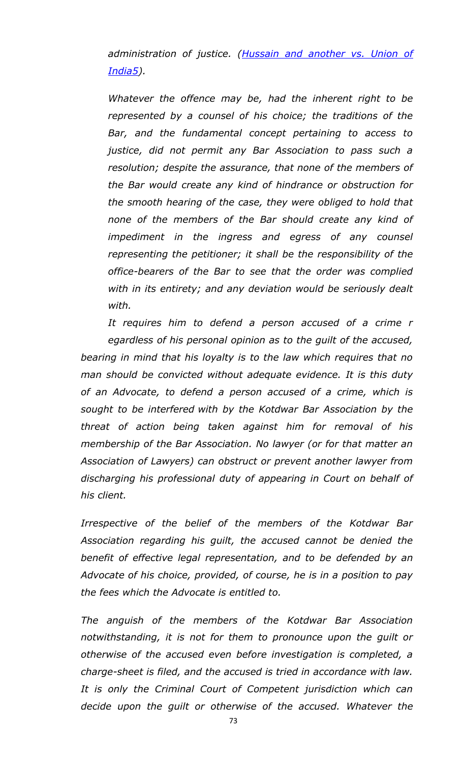*administration of justice. [\(Hussain and another vs. Union of](https://indiankanoon.org/doc/70780578/)  [India5\)](https://indiankanoon.org/doc/70780578/).*

*Whatever the offence may be, had the inherent right to be represented by a counsel of his choice; the traditions of the Bar, and the fundamental concept pertaining to access to justice, did not permit any Bar Association to pass such a resolution; despite the assurance, that none of the members of the Bar would create any kind of hindrance or obstruction for the smooth hearing of the case, they were obliged to hold that none of the members of the Bar should create any kind of impediment in the ingress and egress of any counsel representing the petitioner; it shall be the responsibility of the office-bearers of the Bar to see that the order was complied with in its entirety; and any deviation would be seriously dealt with.*

*It requires him to defend a person accused of a crime r egardless of his personal opinion as to the guilt of the accused, bearing in mind that his loyalty is to the law which requires that no man should be convicted without adequate evidence. It is this duty of an Advocate, to defend a person accused of a crime, which is sought to be interfered with by the Kotdwar Bar Association by the threat of action being taken against him for removal of his membership of the Bar Association. No lawyer (or for that matter an Association of Lawyers) can obstruct or prevent another lawyer from discharging his professional duty of appearing in Court on behalf of his client.* 

*Irrespective of the belief of the members of the Kotdwar Bar Association regarding his guilt, the accused cannot be denied the benefit of effective legal representation, and to be defended by an Advocate of his choice, provided, of course, he is in a position to pay the fees which the Advocate is entitled to.*

*The anguish of the members of the Kotdwar Bar Association notwithstanding, it is not for them to pronounce upon the guilt or otherwise of the accused even before investigation is completed, a charge-sheet is filed, and the accused is tried in accordance with law. It is only the Criminal Court of Competent jurisdiction which can decide upon the guilt or otherwise of the accused. Whatever the*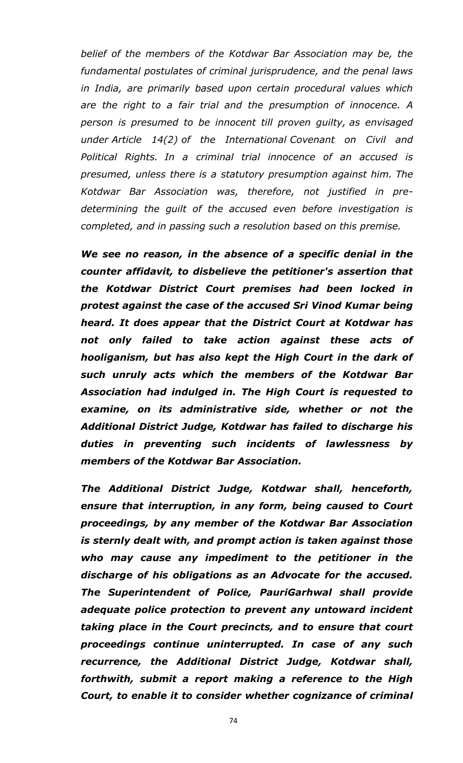*belief of the members of the Kotdwar Bar Association may be, the fundamental postulates of criminal jurisprudence, and the penal laws in India, are primarily based upon certain procedural values which are the right to a fair trial and the presumption of innocence. A person is presumed to be innocent till proven guilty, as envisaged under Article 14(2) of the International Covenant on Civil and Political Rights. In a criminal trial innocence of an accused is presumed, unless there is a statutory presumption against him. The Kotdwar Bar Association was, therefore, not justified in predetermining the guilt of the accused even before investigation is completed, and in passing such a resolution based on this premise.*

*We see no reason, in the absence of a specific denial in the counter affidavit, to disbelieve the petitioner's assertion that the Kotdwar District Court premises had been locked in protest against the case of the accused Sri Vinod Kumar being heard. It does appear that the District Court at Kotdwar has not only failed to take action against these acts of hooliganism, but has also kept the High Court in the dark of such unruly acts which the members of the Kotdwar Bar Association had indulged in. The High Court is requested to examine, on its administrative side, whether or not the Additional District Judge, Kotdwar has failed to discharge his duties in preventing such incidents of lawlessness by members of the Kotdwar Bar Association.*

*The Additional District Judge, Kotdwar shall, henceforth, ensure that interruption, in any form, being caused to Court proceedings, by any member of the Kotdwar Bar Association is sternly dealt with, and prompt action is taken against those who may cause any impediment to the petitioner in the discharge of his obligations as an Advocate for the accused. The Superintendent of Police, PauriGarhwal shall provide adequate police protection to prevent any untoward incident taking place in the Court precincts, and to ensure that court proceedings continue uninterrupted. In case of any such recurrence, the Additional District Judge, Kotdwar shall, forthwith, submit a report making a reference to the High Court, to enable it to consider whether cognizance of criminal*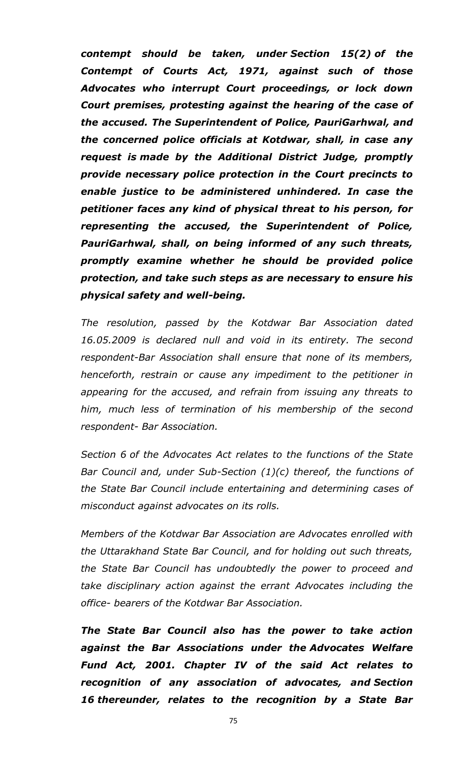*contempt should be taken, under Section 15(2) of the Contempt of Courts Act, 1971, against such of those Advocates who interrupt Court proceedings, or lock down Court premises, protesting against the hearing of the case of the accused. The Superintendent of Police, PauriGarhwal, and the concerned police officials at Kotdwar, shall, in case any request is made by the Additional District Judge, promptly provide necessary police protection in the Court precincts to enable justice to be administered unhindered. In case the petitioner faces any kind of physical threat to his person, for representing the accused, the Superintendent of Police, PauriGarhwal, shall, on being informed of any such threats, promptly examine whether he should be provided police protection, and take such steps as are necessary to ensure his physical safety and well-being.*

*The resolution, passed by the Kotdwar Bar Association dated 16.05.2009 is declared null and void in its entirety. The second respondent-Bar Association shall ensure that none of its members, henceforth, restrain or cause any impediment to the petitioner in appearing for the accused, and refrain from issuing any threats to him, much less of termination of his membership of the second respondent- Bar Association.*

*Section 6 of the Advocates Act relates to the functions of the State Bar Council and, under Sub-Section (1)(c) thereof, the functions of the State Bar Council include entertaining and determining cases of misconduct against advocates on its rolls.*

*Members of the Kotdwar Bar Association are Advocates enrolled with the Uttarakhand State Bar Council, and for holding out such threats, the State Bar Council has undoubtedly the power to proceed and take disciplinary action against the errant Advocates including the office- bearers of the Kotdwar Bar Association.*

*The State Bar Council also has the power to take action against the Bar Associations under the Advocates Welfare Fund Act, 2001. Chapter IV of the said Act relates to recognition of any association of advocates, and Section 16 thereunder, relates to the recognition by a State Bar*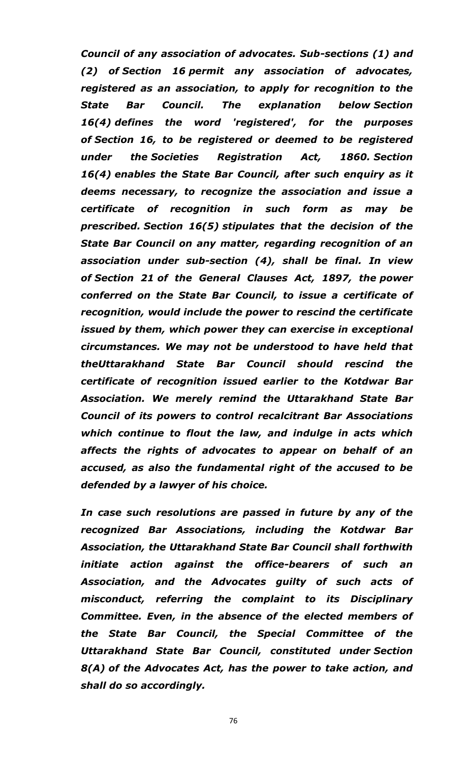*Council of any association of advocates. Sub-sections (1) and (2) of Section 16 permit any association of advocates, registered as an association, to apply for recognition to the State Bar Council. The explanation below Section 16(4) defines the word 'registered', for the purposes of Section 16, to be registered or deemed to be registered under the Societies Registration Act, 1860. Section 16(4) enables the State Bar Council, after such enquiry as it deems necessary, to recognize the association and issue a certificate of recognition in such form as may be prescribed. Section 16(5) stipulates that the decision of the State Bar Council on any matter, regarding recognition of an association under sub-section (4), shall be final. In view of Section 21 of the General Clauses Act, 1897, the power conferred on the State Bar Council, to issue a certificate of recognition, would include the power to rescind the certificate issued by them, which power they can exercise in exceptional circumstances. We may not be understood to have held that theUttarakhand State Bar Council should rescind the certificate of recognition issued earlier to the Kotdwar Bar Association. We merely remind the Uttarakhand State Bar Council of its powers to control recalcitrant Bar Associations which continue to flout the law, and indulge in acts which affects the rights of advocates to appear on behalf of an accused, as also the fundamental right of the accused to be defended by a lawyer of his choice.*

*In case such resolutions are passed in future by any of the recognized Bar Associations, including the Kotdwar Bar Association, the Uttarakhand State Bar Council shall forthwith initiate action against the office-bearers of such an Association, and the Advocates guilty of such acts of misconduct, referring the complaint to its Disciplinary Committee. Even, in the absence of the elected members of the State Bar Council, the Special Committee of the Uttarakhand State Bar Council, constituted under Section 8(A) of the Advocates Act, has the power to take action, and shall do so accordingly.*

76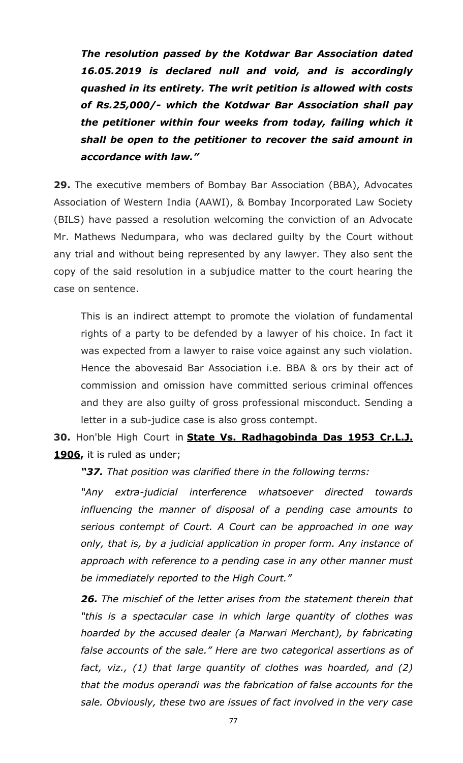*The resolution passed by the Kotdwar Bar Association dated 16.05.2019 is declared null and void, and is accordingly quashed in its entirety. The writ petition is allowed with costs of Rs.25,000/- which the Kotdwar Bar Association shall pay the petitioner within four weeks from today, failing which it shall be open to the petitioner to recover the said amount in accordance with law."*

**29.** The executive members of Bombay Bar Association (BBA), Advocates Association of Western India (AAWI), & Bombay Incorporated Law Society (BILS) have passed a resolution welcoming the conviction of an Advocate Mr. Mathews Nedumpara, who was declared guilty by the Court without any trial and without being represented by any lawyer. They also sent the copy of the said resolution in a subjudice matter to the court hearing the case on sentence.

This is an indirect attempt to promote the violation of fundamental rights of a party to be defended by a lawyer of his choice. In fact it was expected from a lawyer to raise voice against any such violation. Hence the abovesaid Bar Association i.e. BBA & ors by their act of commission and omission have committed serious criminal offences and they are also guilty of gross professional misconduct. Sending a letter in a sub-judice case is also gross contempt.

**30.** Hon'ble High Court in **State Vs. Radhagobinda Das 1953 Cr.L.J. 1906,** it is ruled as under;

*"37. That position was clarified there in the following terms:*

*"Any extra-judicial interference whatsoever directed towards influencing the manner of disposal of a pending case amounts to serious contempt of Court. A Court can be approached in one way only, that is, by a judicial application in proper form. Any instance of approach with reference to a pending case in any other manner must be immediately reported to the High Court."*

*26. The mischief of the letter arises from the statement therein that "this is a spectacular case in which large quantity of clothes was hoarded by the accused dealer (a Marwari Merchant), by fabricating false accounts of the sale." Here are two categorical assertions as of fact, viz., (1) that large quantity of clothes was hoarded, and (2) that the modus operandi was the fabrication of false accounts for the sale. Obviously, these two are issues of fact involved in the very case*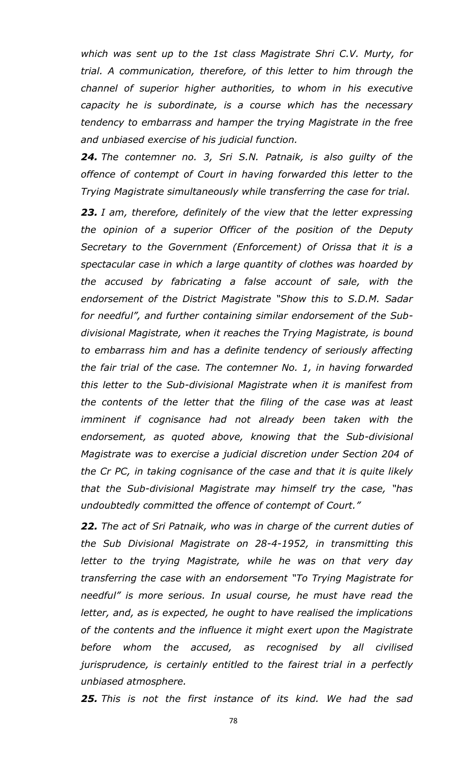*which was sent up to the 1st class Magistrate Shri C.V. Murty, for trial. A communication, therefore, of this letter to him through the channel of superior higher authorities, to whom in his executive capacity he is subordinate, is a course which has the necessary tendency to embarrass and hamper the trying Magistrate in the free and unbiased exercise of his judicial function.*

*24. The contemner no. 3, Sri S.N. Patnaik, is also guilty of the offence of contempt of Court in having forwarded this letter to the Trying Magistrate simultaneously while transferring the case for trial.*

*23. I am, therefore, definitely of the view that the letter expressing the opinion of a superior Officer of the position of the Deputy Secretary to the Government (Enforcement) of Orissa that it is a spectacular case in which a large quantity of clothes was hoarded by the accused by fabricating a false account of sale, with the endorsement of the District Magistrate "Show this to S.D.M. Sadar for needful", and further containing similar endorsement of the Subdivisional Magistrate, when it reaches the Trying Magistrate, is bound to embarrass him and has a definite tendency of seriously affecting the fair trial of the case. The contemner No. 1, in having forwarded this letter to the Sub-divisional Magistrate when it is manifest from the contents of the letter that the filing of the case was at least*  imminent if cognisance had not already been taken with the *endorsement, as quoted above, knowing that the Sub-divisional Magistrate was to exercise a judicial discretion under Section 204 of the Cr PC, in taking cognisance of the case and that it is quite likely that the Sub-divisional Magistrate may himself try the case, "has undoubtedly committed the offence of contempt of Court."* 

*22. The act of Sri Patnaik, who was in charge of the current duties of the Sub Divisional Magistrate on 28-4-1952, in transmitting this letter to the trying Magistrate, while he was on that very day transferring the case with an endorsement "To Trying Magistrate for needful" is more serious. In usual course, he must have read the letter, and, as is expected, he ought to have realised the implications of the contents and the influence it might exert upon the Magistrate before whom the accused, as recognised by all civilised jurisprudence, is certainly entitled to the fairest trial in a perfectly unbiased atmosphere.*

*25. This is not the first instance of its kind. We had the sad*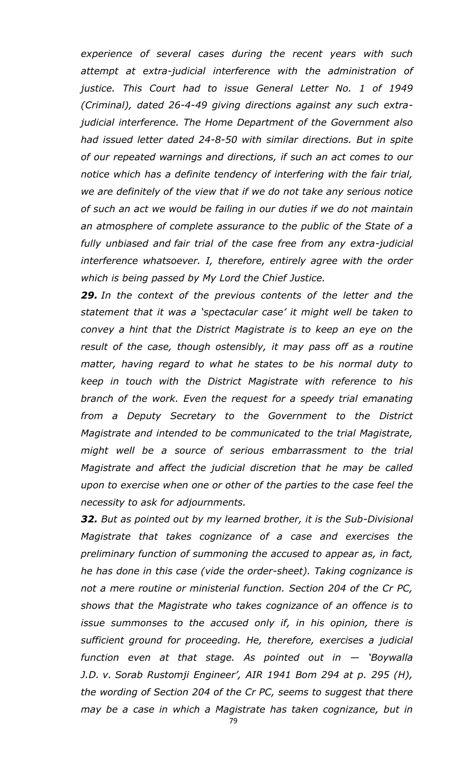*experience of several cases during the recent years with such attempt at extra-judicial interference with the administration of justice. This Court had to issue General Letter No. 1 of 1949 (Criminal), dated 26-4-49 giving directions against any such extrajudicial interference. The Home Department of the Government also had issued letter dated 24-8-50 with similar directions. But in spite of our repeated warnings and directions, if such an act comes to our notice which has a definite tendency of interfering with the fair trial, we are definitely of the view that if we do not take any serious notice of such an act we would be failing in our duties if we do not maintain an atmosphere of complete assurance to the public of the State of a fully unbiased and fair trial of the case free from any extra-judicial interference whatsoever. I, therefore, entirely agree with the order which is being passed by My Lord the Chief Justice.*

*29. In the context of the previous contents of the letter and the statement that it was a 'spectacular case' it might well be taken to convey a hint that the District Magistrate is to keep an eye on the result of the case, though ostensibly, it may pass off as a routine matter, having regard to what he states to be his normal duty to keep in touch with the District Magistrate with reference to his branch of the work. Even the request for a speedy trial emanating from a Deputy Secretary to the Government to the District Magistrate and intended to be communicated to the trial Magistrate, might well be a source of serious embarrassment to the trial Magistrate and affect the judicial discretion that he may be called upon to exercise when one or other of the parties to the case feel the necessity to ask for adjournments.*

*32. But as pointed out by my learned brother, it is the Sub-Divisional Magistrate that takes cognizance of a case and exercises the preliminary function of summoning the accused to appear as, in fact, he has done in this case (vide the order-sheet). Taking cognizance is not a mere routine or ministerial function. Section 204 of the Cr PC, shows that the Magistrate who takes cognizance of an offence is to issue summonses to the accused only if, in his opinion, there is sufficient ground for proceeding. He, therefore, exercises a judicial function even at that stage. As pointed out in — 'Boywalla J.D. v. Sorab Rustomji Engineer', AIR 1941 Bom 294 at p. 295 (H), the wording of Section 204 of the Cr PC, seems to suggest that there may be a case in which a Magistrate has taken cognizance, but in* 

79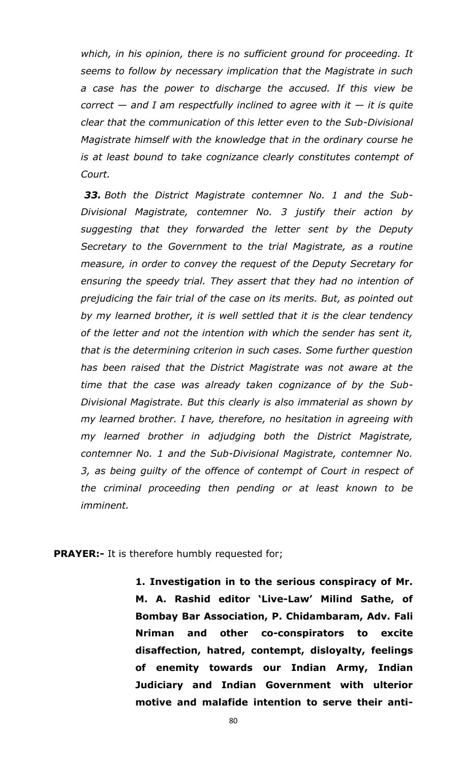*which, in his opinion, there is no sufficient ground for proceeding. It seems to follow by necessary implication that the Magistrate in such a case has the power to discharge the accused. If this view be correct — and I am respectfully inclined to agree with it*  $-$  *it is quite clear that the communication of this letter even to the Sub-Divisional Magistrate himself with the knowledge that in the ordinary course he is at least bound to take cognizance clearly constitutes contempt of Court.*

*33. Both the District Magistrate contemner No. 1 and the Sub-Divisional Magistrate, contemner No. 3 justify their action by suggesting that they forwarded the letter sent by the Deputy Secretary to the Government to the trial Magistrate, as a routine measure, in order to convey the request of the Deputy Secretary for ensuring the speedy trial. They assert that they had no intention of prejudicing the fair trial of the case on its merits. But, as pointed out by my learned brother, it is well settled that it is the clear tendency of the letter and not the intention with which the sender has sent it, that is the determining criterion in such cases. Some further question has been raised that the District Magistrate was not aware at the time that the case was already taken cognizance of by the Sub-Divisional Magistrate. But this clearly is also immaterial as shown by my learned brother. I have, therefore, no hesitation in agreeing with my learned brother in adjudging both the District Magistrate, contemner No. 1 and the Sub-Divisional Magistrate, contemner No. 3, as being guilty of the offence of contempt of Court in respect of the criminal proceeding then pending or at least known to be imminent.*

**PRAYER:-** It is therefore humbly requested for;

**1. Investigation in to the serious conspiracy of Mr. M. A. Rashid editor 'Live-Law' Milind Sathe, of Bombay Bar Association, P. Chidambaram, Adv. Fali Nriman and other co-conspirators to excite disaffection, hatred, contempt, disloyalty, feelings of enemity towards our Indian Army, Indian Judiciary and Indian Government with ulterior motive and malafide intention to serve their anti-**